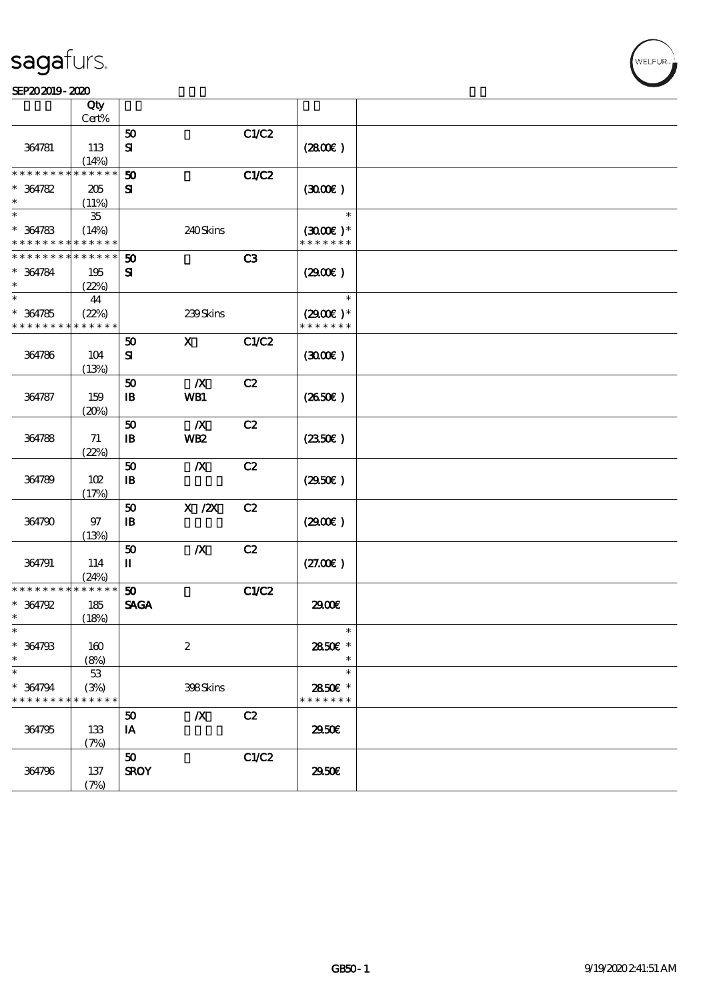#### SEP202019-2020

|                 | Qty         |                             |                  |       |                   |  |
|-----------------|-------------|-----------------------------|------------------|-------|-------------------|--|
|                 | Cert%       |                             |                  |       |                   |  |
|                 |             | $\boldsymbol{\mathfrak{D}}$ |                  | C1/C2 |                   |  |
| 364781          | 113         | $\mathbf{S}$                |                  |       | (2800)            |  |
|                 | (14%)       |                             |                  |       |                   |  |
| * * * * * * * * | * * * * * * | 50                          |                  | C1/C2 |                   |  |
| $* 364782$      | 205         | ${\bf s}$                   |                  |       | (300)             |  |
| $\ast$          | (11%)       |                             |                  |       |                   |  |
| $\ast$          | $35\,$      |                             |                  |       | $\ast$            |  |
| $* 364783$      | (14%)       |                             | 240Skins         |       | $(3000)$ *        |  |
| * * * * * * * * | * * * * * * |                             |                  |       | * * * * * * *     |  |
| * * * * * * * * | * * * * * * | 50                          |                  | C3    |                   |  |
| $* 364784$      | 195         | ${\bf s}$                   |                  |       | (2900)            |  |
| $\ast$          | (22%)       |                             |                  |       |                   |  |
| $\ast$          | 44          |                             |                  |       | $\ast$            |  |
| $* 364785$      | (22%)       |                             | 239Skins         |       | $(2900)$ *        |  |
| * * * * * * * * | * * * * * * |                             |                  |       | * * * * * * *     |  |
|                 |             | 50                          | $\mathbf{x}$     | C1/C2 |                   |  |
| 364786          | 104         | ${\bf s}$                   |                  |       | (300)             |  |
|                 | (13%)       |                             |                  |       |                   |  |
|                 |             | 50                          | $\boldsymbol{X}$ | C2    |                   |  |
| 364787          | 159         | $\mathbf{B}$                | WB1              |       | (2650)            |  |
|                 | (20%)       |                             |                  |       |                   |  |
|                 |             | 50                          | $\boldsymbol{X}$ | C2    |                   |  |
| 364788          | 71          | $\mathbf{B}$                | WB <sub>2</sub>  |       | (2350)            |  |
|                 | (22%)       |                             |                  |       |                   |  |
|                 |             | 50                          | $\boldsymbol{X}$ | C2    |                   |  |
| 364789          | 102         | $\mathbf{B}$                |                  |       | (2950)            |  |
|                 | (17%)       |                             |                  |       |                   |  |
|                 |             | 50                          | $X$ / $ZX$       | C2    |                   |  |
| 364790          | 97          | $\, {\bf I} \! {\bf B} \,$  |                  |       | (2900)            |  |
|                 | (13%)       |                             |                  |       |                   |  |
|                 |             | 50                          | $\boldsymbol{X}$ | C2    |                   |  |
| 364791          | 114         | П                           |                  |       | (27.00)           |  |
|                 | (24%)       |                             |                  |       |                   |  |
| * * * * * * * * | ******      | 50                          |                  | C1/C2 |                   |  |
| $* 364792$      | 185         | <b>SAGA</b>                 |                  |       | 2900€             |  |
| $\ast$          |             |                             |                  |       |                   |  |
| $\ast$          | (18%)       |                             |                  |       | $\ast$            |  |
| $* 364793$      |             |                             |                  |       |                   |  |
| $\ast$          | 160         |                             | $\boldsymbol{2}$ |       | 2850E *<br>$\ast$ |  |
|                 | (8%)        |                             |                  |       |                   |  |
| $\ast$          | $53\,$      |                             |                  |       | $\ast$            |  |
| $* 364794$      | (3%)        |                             | 398Skins         |       | 2850E *           |  |
| * * * * * * * * | * * * * * * |                             |                  |       | * * * * * * *     |  |
|                 |             | 50                          | $\boldsymbol{X}$ | C2    |                   |  |
| 364795          | 133         | IA                          |                  |       | 2950E             |  |
|                 | (7%)        |                             |                  |       |                   |  |
|                 |             | 50                          |                  | C1/C2 |                   |  |
| 364796          | 137         | <b>SROY</b>                 |                  |       | 2950E             |  |
|                 | (7%)        |                             |                  |       |                   |  |

**VELFUR**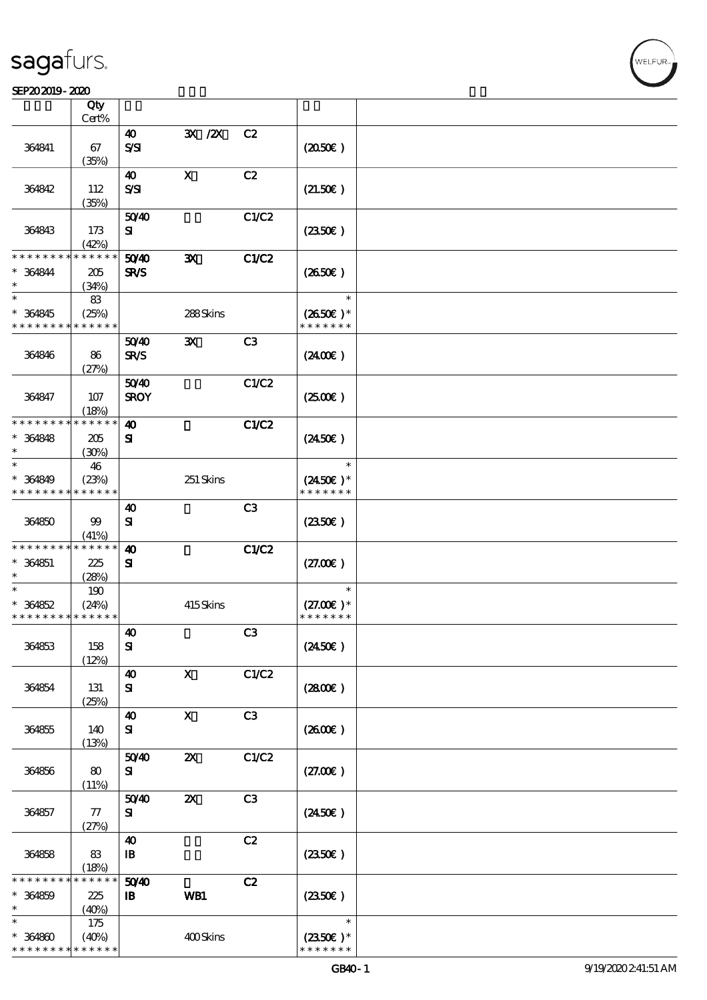#### $S$ EP202019 - 2020  $S$  $\frac{\text{SPP202019-2020}}{\text{Otv}}$

|                                                     | Qty<br>Cert%                |                                                     |                                    |                |                                               |  |
|-----------------------------------------------------|-----------------------------|-----------------------------------------------------|------------------------------------|----------------|-----------------------------------------------|--|
|                                                     |                             | $\boldsymbol{\omega}$                               | 3X / 2X                            | C2             |                                               |  |
| 364841                                              | 67<br>(35%)                 | SSI                                                 |                                    |                | (2050)                                        |  |
| 364842                                              | 112                         | 40<br>$S\mathcal{S}$                                | $\mathbf X$                        | C2             | (21.50)                                       |  |
| 364843                                              | (35%)<br>173                | 5040<br>${\bf s}$                                   |                                    | C1/C2          | (2350)                                        |  |
| * * * * * * * *<br>$* 364844$                       | (42%)<br>* * * * * *<br>205 | 5040<br>SR/S                                        | $\mathbf{x}$                       | <b>C1/C2</b>   | (2650E)                                       |  |
| $\ast$<br>$\ast$<br>$* 364845$                      | (34%)<br>83<br>(25%)        |                                                     | 288Skins                           |                | $\ast$<br>$(2650E)*$                          |  |
| * * * * * * * *                                     | * * * * * *                 |                                                     |                                    |                | * * * * * * *                                 |  |
| 364846                                              | 86<br>(27%)                 | 5040<br><b>SR/S</b>                                 | $\mathbf{x}$                       | C <sub>3</sub> | (2400)                                        |  |
| 364847                                              | 107<br>(18%)                | 5040<br><b>SROY</b>                                 |                                    | C1/C2          | $(2500\varepsilon)$                           |  |
| * * * * * * * *<br>$* 364848$<br>$\ast$             | * * * * * *<br>205<br>(30%) | $\boldsymbol{\omega}$<br>${\bf s}$                  |                                    | C1/C2          | $(2450\epsilon)$                              |  |
| $\ast$<br>$* 364849$<br>* * * * * * * *             | 46<br>(23%)<br>* * * * * *  |                                                     | 251 Skins                          |                | $\ast$<br>$(2450\epsilon)^*$<br>* * * * * * * |  |
| 364850                                              | 99<br>(41%)                 | 40<br>${\bf s}$                                     |                                    | C3             | $(2350\epsilon)$                              |  |
| * * * * * * * *<br>$* 364851$<br>$\ast$             | * * * * * *<br>225<br>(28%) | $\boldsymbol{\omega}$<br>${\bf s}$                  |                                    | C1/C2          | (27.00)                                       |  |
| $\ast$<br>$* 364852$<br>* * * * * * * * * * * * * * | 190<br>(24%)                |                                                     | 415Skins                           |                | $\ast$<br>$(27.00)$ *<br>* * * * * * *        |  |
| 364853                                              | 158<br>(12%)                | $\boldsymbol{40}$<br>${\bf s}$                      |                                    | C3             | $(2450\epsilon)$                              |  |
| 364854                                              | 131<br>(25%)                | $\boldsymbol{\omega}$<br>${\bf s}$                  | $\boldsymbol{X}$                   | C1/C2          | (2800)                                        |  |
| 364855                                              | 140<br>(13%)                | $\boldsymbol{\omega}$<br>${\bf s}$                  | $\mathbf X$                        | C3             | (2600)                                        |  |
| 364856                                              | 80<br>(11%)                 | 5040<br>${\bf s}$                                   | $\boldsymbol{\mathsf{z}}$          | C1/C2          | (27.00)                                       |  |
| 364857                                              | 77<br>(27%)                 | 5040<br>${\bf s}$                                   | $\pmb{\mathsf{Z}}\pmb{\mathsf{X}}$ | C3             | $(2450\epsilon)$                              |  |
| 364858                                              | 83<br>(18%)                 | $\boldsymbol{\omega}$<br>$\, {\bf I} \! {\bf B} \,$ |                                    | C2             | (2350)                                        |  |
| * * * * * *<br>$* 364859$<br>$\ast$                 | * * * * * *<br>225<br>(40%) | 5040<br>$\mathbf{B}$                                | WB1                                | C2             | (2350)                                        |  |
| $\ast$<br>$* 364800$<br>* * * * * * * *             | 175<br>(40%)<br>* * * * * * |                                                     | 400Skins                           |                | $\ast$<br>$(2350)$ *<br>* * * * * * *         |  |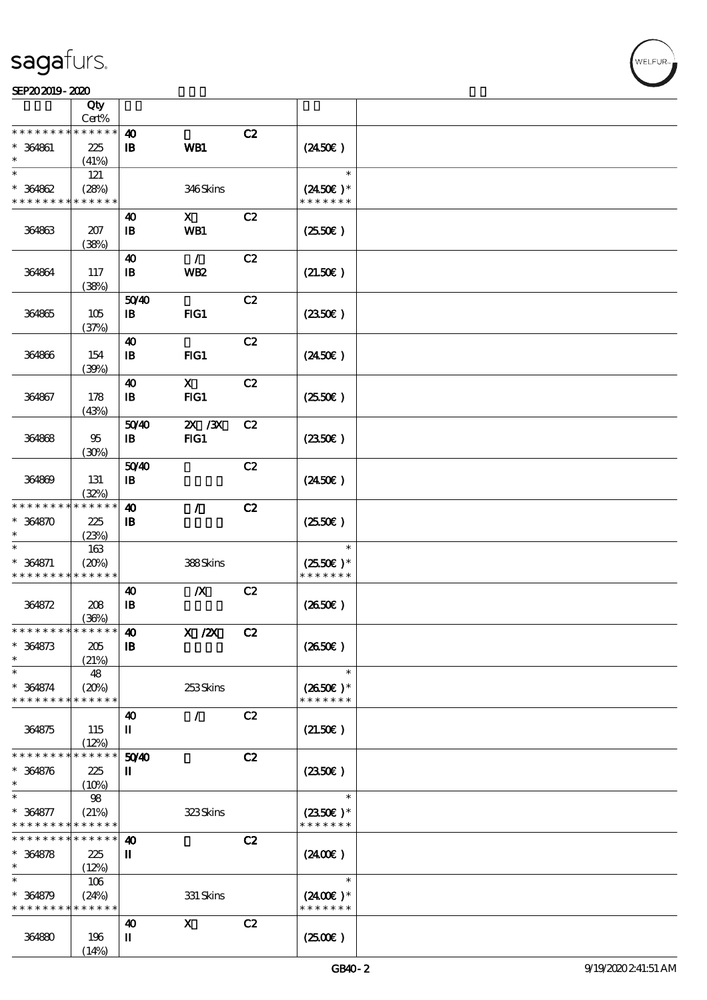$\top$ 

|                               | Qty<br>Cert%         |                            |                           |    |                                    |  |
|-------------------------------|----------------------|----------------------------|---------------------------|----|------------------------------------|--|
| * * * * * * * *               | * * * * * *          | $\boldsymbol{\omega}$      |                           | C2 |                                    |  |
| * 364861                      | 225<br>(41%)         | $\mathbf{B}$               | WB1                       |    | $(2450\epsilon)$                   |  |
| $\ast$                        | 121                  |                            |                           |    | $\ast$                             |  |
| $* 364862$<br>* * * * * * * * | (28%)<br>* * * * * * |                            | 346Skins                  |    | $(2450\text{E})*$<br>* * * * * * * |  |
|                               |                      | 40                         | $\boldsymbol{\mathsf{X}}$ | C2 |                                    |  |
| 364863                        | 207<br>(38%)         | $\mathbf{B}$               | WB1                       |    | $(2550\epsilon)$                   |  |
|                               |                      | 40                         | $\mathcal{L}$             | C2 |                                    |  |
| 364864                        | 117<br>(38%)         | $\, {\bf I} \! {\bf B} \,$ | WB <sub>2</sub>           |    | (21.50)                            |  |
|                               |                      | 5040                       |                           | C2 |                                    |  |
| 364865                        | 105<br>(37%)         | $\mathbf{B}$               | FIG1                      |    | (2350)                             |  |
|                               |                      | 40                         |                           | C2 |                                    |  |
| 364866                        | 154<br>(39%)         | $\mathbf{I}$               | FIG1                      |    | $(2450\epsilon)$                   |  |
|                               |                      | $\boldsymbol{\omega}$      | $\mathbf x$               | C2 |                                    |  |
| 364867                        | 178<br>(43%)         | $\mathbf{B}$               | FIG1                      |    | $(2550\varepsilon)$                |  |
|                               |                      | 5040                       | 2X / 3X                   | C2 |                                    |  |
| 364868                        | 95<br>(30%)          | $\, {\bf I} \! {\bf B} \,$ | FIG1                      |    | $(2350\epsilon)$                   |  |
|                               |                      | 50 <sup>/40</sup>          |                           | C2 |                                    |  |
| 364869                        | 131<br>(32%)         | $\mathbf{B}$               |                           |    | $(2450\epsilon)$                   |  |
| * * * * * * * *               | * * * * * *          | $\boldsymbol{\Lambda}$     | $\mathcal{L}$             | C2 |                                    |  |
| $* 364870$<br>$\ast$          | 225<br>(23%)         | $\mathbf{B}$               |                           |    | $(2550\varepsilon)$                |  |
| $\ast$                        | 163                  |                            |                           |    | $\ast$                             |  |
| $* 364871$<br>* * * * * * * * | (20%)<br>* * * * * * |                            | 388Skins                  |    | $(2550)$ *<br>* * * * * * *        |  |
|                               |                      | $\boldsymbol{\omega}$      | $\boldsymbol{X}$          | C2 |                                    |  |
| 364872                        | 208<br>(36%)         | $\mathbf{B}$               |                           |    | (2650E)                            |  |
| *************** 10            |                      |                            | $X$ / $ZX$                | C2 |                                    |  |
| $* 364873$                    | 205                  | $\mathbf I\mathbf B$       |                           |    | (2650E)                            |  |
| $\ast$                        | (21%)                |                            |                           |    |                                    |  |
| $\ast$                        | 48                   |                            |                           |    | $\ast$                             |  |
| $* 364874$<br>* * * * * * * * | (20%)<br>* * * * * * |                            | 253Skins                  |    | $(2650\epsilon)*$<br>* * * * * * * |  |
|                               |                      | 40                         | $\sqrt{2}$                | C2 |                                    |  |
| 364875                        | 115<br>(12%)         | П                          |                           |    | (21.50)                            |  |
| * * * * * * *                 | * * * * * *          | 50 <sup>/40</sup>          |                           | C2 |                                    |  |
| $* 364876$                    | 225                  | П                          |                           |    | (2350)                             |  |
| $\ast$                        | (10%)                |                            |                           |    |                                    |  |
| $\ast$                        | 98                   |                            |                           |    | $\ast$                             |  |
| $* 364877$<br>* * * * * * * * | (21%)<br>* * * * * * |                            | 323Skins                  |    | $(2350\epsilon)*$<br>* * * * * * * |  |
| * * * * * * * *               | * * * * * *          | $\boldsymbol{\omega}$      |                           | C2 |                                    |  |
| $* 364878$<br>$^{\ast}$       | 225<br>(12%)         | П                          |                           |    | $(2400\varepsilon)$                |  |
| $\ast$                        | 106                  |                            |                           |    | $\ast$                             |  |
| $* 364879$                    | (24%)                |                            | 331 Skins                 |    | $(2400E)^*$                        |  |
| * * * * * * * *               | * * * * * *          |                            |                           |    | * * * * * * *                      |  |
|                               |                      | $\boldsymbol{\omega}$      | $\boldsymbol{\mathrm{X}}$ | C2 |                                    |  |
| 364880                        | 196                  | П                          |                           |    | (250)                              |  |
|                               | (14%)                |                            |                           |    |                                    |  |

 $\overline{\mathbf{r}}$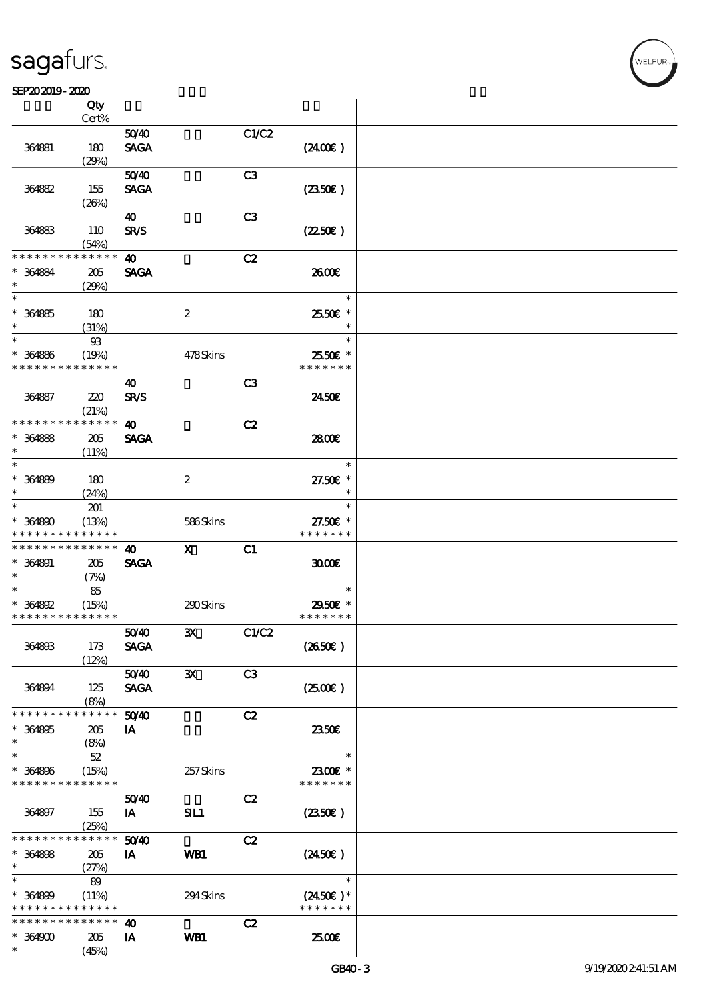#### SEP202019-2020

|                                          | Qty<br>Cert%               |                       |                  |                |                    |  |
|------------------------------------------|----------------------------|-----------------------|------------------|----------------|--------------------|--|
|                                          |                            |                       |                  |                |                    |  |
|                                          |                            | 5040                  |                  | C1/C2          |                    |  |
| 364881                                   | 180                        | <b>SAGA</b>           |                  |                | (2400)             |  |
|                                          | (29%)                      |                       |                  |                |                    |  |
|                                          |                            | 5040                  |                  | C3             |                    |  |
| 364882                                   | 155                        | <b>SAGA</b>           |                  |                | (2350)             |  |
|                                          | (20%)                      |                       |                  |                |                    |  |
|                                          |                            | 40                    |                  | C <sub>3</sub> |                    |  |
| 364883                                   | 110                        | <b>SR/S</b>           |                  |                | (2250)             |  |
|                                          | (54%)                      |                       |                  |                |                    |  |
| * * * * * * * *                          | * * * * * *                | $\boldsymbol{\omega}$ |                  | C2             |                    |  |
| $* 364884$                               | 205                        | <b>SAGA</b>           |                  |                | 2600E              |  |
| $\ast$                                   | (29%)                      |                       |                  |                |                    |  |
| $\ast$                                   |                            |                       |                  |                | $\ast$             |  |
| $* 364885$                               | 180                        |                       | 2                |                | 2550€ *            |  |
| $\ast$                                   | (31%)                      |                       |                  |                | $\ast$             |  |
| $\ast$                                   | $93$                       |                       |                  |                | $\ast$             |  |
| $* 364886$                               | (19%)                      |                       | 478Skins         |                | 2550€ *            |  |
| * * * * * * * *                          | * * * * * *                |                       |                  |                | * * * * * * *      |  |
|                                          |                            | 40                    |                  | C <sub>3</sub> |                    |  |
| 364887                                   | 220                        | <b>SR/S</b>           |                  |                | 2450E              |  |
|                                          | (21%)                      |                       |                  |                |                    |  |
| * * * * * * * *                          | * * * * * *                | $\boldsymbol{\omega}$ |                  | C2             |                    |  |
| $* 364888$                               | 205                        | <b>SAGA</b>           |                  |                | 2800€              |  |
| $\ast$                                   | (11%)                      |                       |                  |                |                    |  |
| $\ast$                                   |                            |                       |                  |                | $\ast$             |  |
| $* 364889$                               | 180                        |                       | $\boldsymbol{2}$ |                | 27.50€ *           |  |
| $\ast$                                   |                            |                       |                  |                | $\ast$             |  |
| $\ast$                                   | (24%)                      |                       |                  |                | $\ast$             |  |
|                                          | 201                        |                       |                  |                |                    |  |
| $* 364800$                               | (13%)                      |                       | 586Skins         |                | 27.50€ *           |  |
| * * * * * * * *                          | * * * * * *                |                       |                  |                | * * * * * * *      |  |
| * * * * * * * *                          | $\ast\ast\ast\ast\ast\ast$ | 40                    | X                | C1             |                    |  |
| $* 364891$                               | 205                        | <b>SAGA</b>           |                  |                | 3000               |  |
| $\ast$                                   | (7%)                       |                       |                  |                |                    |  |
| $\ast$                                   | 85                         |                       |                  |                | $\ast$             |  |
| $* 364892$                               | (15%)                      |                       | 290Skins         |                | 2950€ *            |  |
| * * * * * * * * <mark>* * * * * *</mark> |                            |                       |                  |                | * * * * * * *      |  |
|                                          |                            | 5040                  | $\mathbf{x}$     | C1/C2          |                    |  |
| 364893                                   | 173                        | <b>SAGA</b>           |                  |                | (2650)             |  |
|                                          | (12%)                      |                       |                  |                |                    |  |
|                                          |                            | 5040                  | $\mathbf{x}$     | C <sub>3</sub> |                    |  |
| 364894                                   | 125                        | <b>SAGA</b>           |                  |                | (250)              |  |
|                                          | (8%)                       |                       |                  |                |                    |  |
| * * * * * * * *                          | * * * * * *                | 5040                  |                  | C2             |                    |  |
| $* 364895$                               | 205                        | IA                    |                  |                | 2350E              |  |
| $\ast$                                   | (8%)                       |                       |                  |                |                    |  |
| $\ast$                                   | 52                         |                       |                  |                | $\ast$             |  |
| $* 364896$                               | (15%)                      |                       | 257Skins         |                | 2300€ *            |  |
| * * * * * * * *                          | * * * * * *                |                       |                  |                | * * * * * * *      |  |
|                                          |                            | 5040                  |                  | C2             |                    |  |
| 364897                                   | 155                        | IA                    | SIL1             |                | $(2350\epsilon)$   |  |
|                                          | (25%)                      |                       |                  |                |                    |  |
| * * * * * * * *                          | * * * * * *                | 5040                  |                  | C2             |                    |  |
| $* 364898$                               | 205                        | IA                    | WB1              |                | $(2450\epsilon)$   |  |
| $\ast$                                   | (27%)                      |                       |                  |                |                    |  |
| $\ast$                                   | 89                         |                       |                  |                | $\ast$             |  |
| $* 364809$                               | (11%)                      |                       | 294Skins         |                | $(2450\epsilon)$ * |  |
| * * * * * * * *                          | * * * * * *                |                       |                  |                | * * * * * * *      |  |
| * * * * * * * *                          | $\ast\ast\ast\ast\ast\ast$ | 40                    |                  | C2             |                    |  |
|                                          |                            |                       |                  |                |                    |  |
| $* 364900$                               | 205<br>(45%)               | IA                    | WB1              |                | 2500€              |  |
| $\ast$                                   |                            |                       |                  |                |                    |  |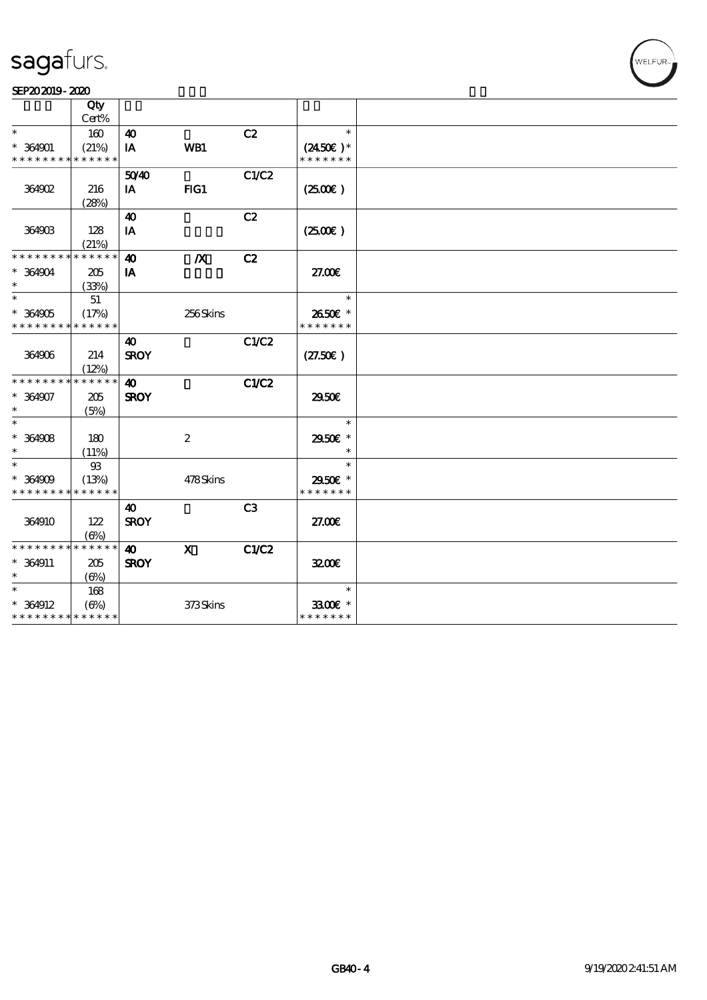#### SEP202019-2020

|                                          | Qty         |                       |                           |                |                    |  |
|------------------------------------------|-------------|-----------------------|---------------------------|----------------|--------------------|--|
|                                          | Cert%       |                       |                           |                |                    |  |
| $\ast$                                   | 160         | $\boldsymbol{\omega}$ |                           | C2             | $\ast$             |  |
| $* 364901$                               | (21%)       | IA                    | WB1                       |                | $(2450\epsilon)^*$ |  |
| * * * * * * * * <mark>* * * * * *</mark> |             |                       |                           |                | * * * * * * *      |  |
|                                          |             | 5040                  |                           | C1/C2          |                    |  |
| 364902                                   | 216         | IA                    | FG1                       |                | (2500)             |  |
|                                          | (28%)       |                       |                           |                |                    |  |
|                                          |             | $\boldsymbol{\omega}$ |                           | C2             |                    |  |
| 364903                                   | 128         | IA                    |                           |                | (250E)             |  |
|                                          | (21%)       |                       |                           |                |                    |  |
| * * * * * * * *                          | * * * * * * | $\boldsymbol{\omega}$ | $\boldsymbol{X}$          | C2             |                    |  |
| $* 364904$                               | 205         | IA                    |                           |                | 27.00E             |  |
| $\ast$                                   | (33%)       |                       |                           |                |                    |  |
| $\ast$                                   | 51          |                       |                           |                | $\ast$             |  |
| $* 364905$                               | (17%)       |                       | 256Skins                  |                | 2650€ *            |  |
| * * * * * * * * * * * * * *              |             |                       |                           |                | * * * * * * *      |  |
|                                          |             | 40                    |                           | C1/C2          |                    |  |
| 364906                                   | 214         | <b>SROY</b>           |                           |                | (27.50)            |  |
|                                          | (12%)       |                       |                           |                |                    |  |
| * * * * * * * * * * * * * *              |             | $\boldsymbol{\omega}$ |                           | C1/C2          |                    |  |
| $* 364907$                               | 205         | <b>SROY</b>           |                           |                | 2950E              |  |
| $\ast$                                   | (5%)        |                       |                           |                |                    |  |
| $\ast$                                   |             |                       |                           |                | $\ast$             |  |
| $* 364908$                               | 180         |                       | $\boldsymbol{2}$          |                | 2950E *            |  |
| $\ast$                                   | (11%)       |                       |                           |                |                    |  |
| $\ast$                                   | $93\,$      |                       |                           |                | $\ast$             |  |
| $* 364909$                               | (13%)       |                       | 478Skins                  |                | 2950€ *            |  |
| * * * * * * * * <mark>* * * * * *</mark> |             |                       |                           |                | * * * * * * *      |  |
|                                          |             | 40                    |                           | C <sub>3</sub> |                    |  |
| 364910                                   | 122         | <b>SROY</b>           |                           |                | 27.00E             |  |
|                                          | $(\Theta)$  |                       |                           |                |                    |  |
| * * * * * * * * * * * * * *              |             | $\boldsymbol{\omega}$ | $\boldsymbol{\mathsf{X}}$ | C1/C2          |                    |  |
| * 364911                                 | 205         | <b>SROY</b>           |                           |                | 3200E              |  |
| $\ast$                                   | $(\Theta)$  |                       |                           |                |                    |  |
| $\ast$                                   | 168         |                       |                           |                | $\ast$             |  |
| $* 364912$                               | $(\Theta)$  |                       | 373Skins                  |                | 3300€ *            |  |
| * * * * * * * * * * * * * *              |             |                       |                           |                | * * * * * * *      |  |
|                                          |             |                       |                           |                |                    |  |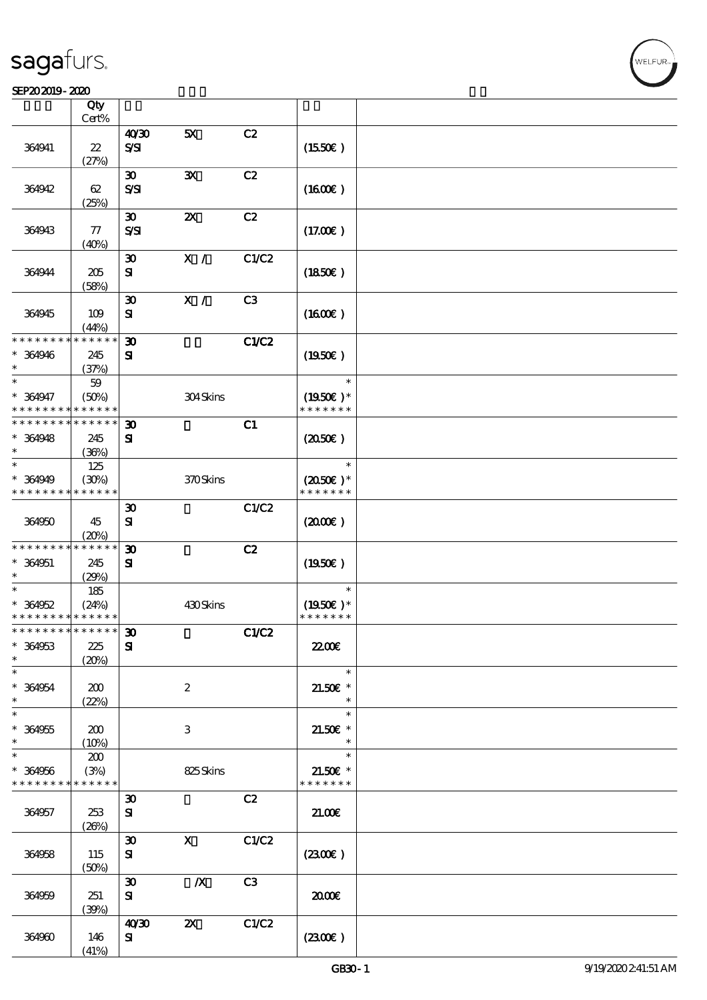#### $S$ EP202019 - 2020  $S$

| SEP202019-2020                                      |                                     |                                               |                           |                |                                       |  |
|-----------------------------------------------------|-------------------------------------|-----------------------------------------------|---------------------------|----------------|---------------------------------------|--|
|                                                     | Qty                                 |                                               |                           |                |                                       |  |
|                                                     | Cert%                               |                                               |                           |                |                                       |  |
| 364941                                              | $\boldsymbol{\mathcal{Z}}$<br>(27%) | 40'30<br>$S\mathcal{S}$                       | 5X                        | C2             | (1550E)                               |  |
| 364942                                              | 62<br>(25%)                         | $\boldsymbol{\mathfrak{D}}$<br>$S\mathcal{S}$ | ${\bf X}$                 | C2             | (1600)                                |  |
| 364943                                              | 77<br>(40%)                         | $\boldsymbol{\mathfrak{D}}$<br>$S\mathcal{S}$ | $\boldsymbol{\mathsf{z}}$ | C2             | (17.00)                               |  |
| 364944                                              | 205<br>(58%)                        | $\boldsymbol{\mathfrak{D}}$<br>${\bf s}$      | X /                       | C1/C2          | (1850)                                |  |
| 364945                                              | 109<br>(44%)                        | $\boldsymbol{\mathfrak{D}}$<br>${\bf s}$      | X /                       | C <sub>3</sub> | (1600)                                |  |
| * * * * * * * *<br>$* 364946$<br>$\ast$             | * * * * * *<br>245<br>(37%)         | 30<br>${\bf s}$                               |                           | <b>C1/C2</b>   | (1950)                                |  |
| $\ast$<br>$* 364947$<br>* * * * * * * *             | 59<br>(50%)<br>* * * * * *          |                                               | 304Skins                  |                | $\ast$<br>$(1950)$ *<br>* * * * * * * |  |
| * * * * * * * *<br>* 364948<br>$\ast$               | * * * * * *<br>245<br>(36%)         | $\boldsymbol{\mathfrak{D}}$<br>${\bf s}$      |                           | C1             | (2050)                                |  |
| $\ast$<br>$* 364949$<br>* * * * * * * *             | 125<br>(30%)<br>* * * * * *         |                                               | 370Skins                  |                | $\ast$<br>$(2050)$ *<br>* * * * * * * |  |
| 364950                                              | 45<br>(20%)                         | $\boldsymbol{\mathfrak{D}}$<br>${\bf s}$      |                           | C1/C2          | (200)                                 |  |
| * * * * * * * *<br>* 364951<br>$\ast$               | * * * * * *<br>245<br>(29%)         | $\boldsymbol{\mathfrak{D}}$<br>${\bf s}$      |                           | C2             | $(1950\epsilon)$                      |  |
| $\ast$<br>$* 364952$<br>* * * * * * * * * * * * * * | 185<br>(24%)                        |                                               | 430Skins                  |                | $\ast$<br>$(1950E)*$<br>* * * * * * * |  |
| * * * * * * * *<br>$* 364953$<br>$*$                | $* * * * * * *$<br>225<br>(20%)     | $\boldsymbol{\mathfrak{D}}$<br>${\bf s}$      |                           | C1/C2          | <b>22006</b>                          |  |
| $\ast$<br>$* 364954$<br>$\ast$                      | 200<br>(22%)                        |                                               | $\boldsymbol{2}$          |                | $\ast$<br>$21.50E$ *<br>$\ast$        |  |
| $\ast$<br>$* 364955$<br>$\ast$                      | 200<br>(10%)                        |                                               | 3                         |                | $\ast$<br>$21.50E$ *<br>$\ast$        |  |
| $\overline{\ast}$<br>$* 364956$<br>* * * * * * * *  | 200<br>(3%)<br>* * * * * *          |                                               | 825Skins                  |                | $\ast$<br>$21.50E$ *<br>* * * * * * * |  |
| 364957                                              | 253<br>(20%)                        | $\boldsymbol{\mathfrak{D}}$<br>${\bf s}$      |                           | C2             | 21.00                                 |  |
| 364958                                              | 115<br>(50%)                        | $\boldsymbol{\mathfrak{D}}$<br>${\bf s}$      | $\mathbf{X}$              | C1/C2          | (230)                                 |  |
| 364959                                              | 251<br>(30%)                        | $\boldsymbol{\mathfrak{D}}$<br>${\bf s}$      | $\boldsymbol{X}$          | C3             | 2000                                  |  |
| 364960                                              | 146<br>(41%)                        | 40'30<br>${\bf s}$                            | $\boldsymbol{\mathsf{Z}}$ | C1/C2          | (230E)                                |  |

.<br>WELFUR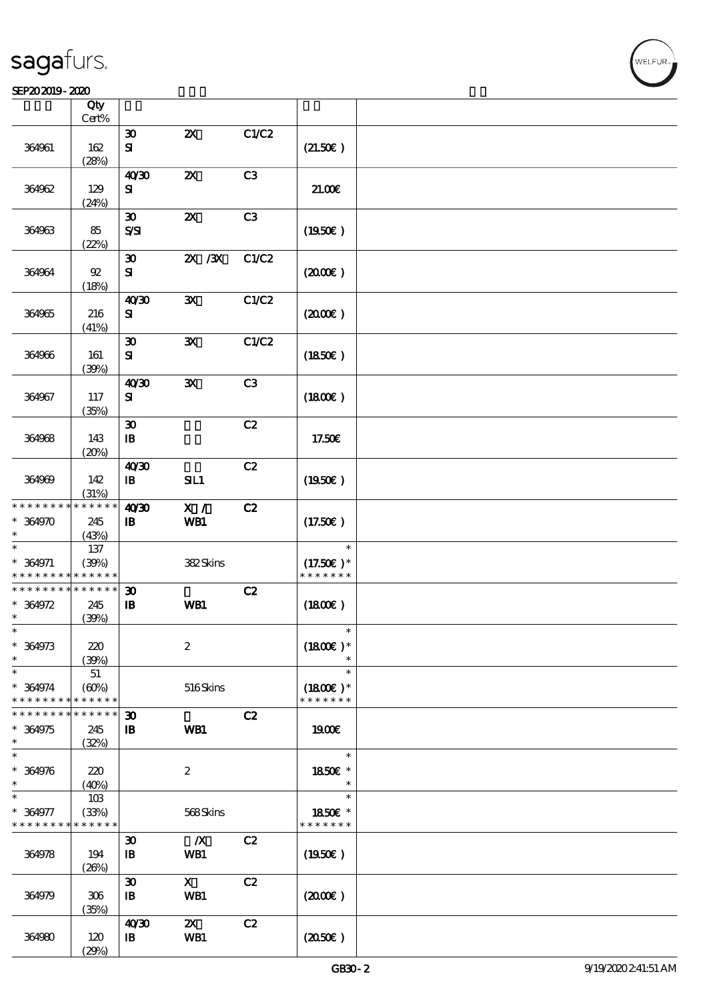#### SEP202019-2020

|                               | Qty<br>Cert%         |                                          |                           |       |                             |  |
|-------------------------------|----------------------|------------------------------------------|---------------------------|-------|-----------------------------|--|
|                               |                      |                                          |                           |       |                             |  |
| 364961                        | 162                  | $\boldsymbol{\mathfrak{D}}$<br>${\bf s}$ | $\boldsymbol{\mathsf{Z}}$ | C1/C2 | (21.50)                     |  |
|                               | (28%)                |                                          |                           |       |                             |  |
|                               |                      | 40'30                                    | $\boldsymbol{\mathsf{z}}$ | C3    |                             |  |
| 364962                        | 129                  | ${\bf s}$                                |                           |       | 21.006                      |  |
|                               | (24%)                |                                          |                           |       |                             |  |
|                               |                      | $\boldsymbol{\mathfrak{D}}$              | $\boldsymbol{\mathsf{z}}$ | C3    |                             |  |
| 364963                        | 85                   | $S\mathcal{S}$                           |                           |       | (1950)                      |  |
|                               | (22%)                |                                          |                           |       |                             |  |
|                               |                      | $\boldsymbol{\mathfrak{D}}$              | $X \, X$                  | C1/C2 |                             |  |
| 364964                        | $92\,$               | ${\bf s}$                                |                           |       | (200E)                      |  |
|                               | (18%)                |                                          |                           |       |                             |  |
|                               |                      | 40'30                                    | $\mathbf{x}$              | C1/C2 |                             |  |
| 364965                        | 216                  | ${\bf s}$                                |                           |       | (200E)                      |  |
|                               | (41%)                |                                          |                           |       |                             |  |
|                               |                      | $\boldsymbol{\mathfrak{D}}$              | $\mathbf{x}$              | C1/C2 |                             |  |
| 364966                        | 161                  | ${\bf s}$                                |                           |       | $(1850\epsilon)$            |  |
|                               | (39%)                |                                          |                           |       |                             |  |
|                               |                      | 40'30                                    | ${\bf x}$                 | C3    |                             |  |
| 364967                        | 117                  | ${\bf s}$                                |                           |       | (1800)                      |  |
|                               | (35%)                |                                          |                           |       |                             |  |
|                               |                      | $\boldsymbol{\mathfrak{D}}$              |                           | C2    |                             |  |
| 364968                        | 143                  | $\mathbf{B}$                             |                           |       | 17.50€                      |  |
|                               | (20%)                |                                          |                           |       |                             |  |
|                               |                      | 4030                                     |                           | C2    |                             |  |
| 364969                        | 142                  | $\, {\bf I} \! {\bf B} \,$               | SL1                       |       | $(1950\epsilon)$            |  |
|                               | (31%)                |                                          |                           |       |                             |  |
| * * * * * * * *               | * * * * * *          | 40'30                                    | X /                       | C2    |                             |  |
| $* 364970$                    | 245                  | $\mathbf{B}$                             | WB1                       |       | (17.50)                     |  |
| *                             | (43%)                |                                          |                           |       |                             |  |
| $\ast$                        | 137                  |                                          |                           |       | $\ast$                      |  |
| $* 364971$                    | (30%)                |                                          | 382Skins                  |       | $(17.50)$ *                 |  |
| * * * * * * * *               | * * * * * *          |                                          |                           |       | * * * * * * *               |  |
| * * * * * * * *               | * * * * * *          | $\boldsymbol{\mathfrak{D}}$              |                           | C2    |                             |  |
| $* 364972$                    | 245                  | $\mathbf{B}$                             | WB1                       |       | (1800)                      |  |
| $\ast$                        | (30%)                |                                          |                           |       |                             |  |
| ∗                             |                      |                                          |                           |       |                             |  |
| $* 364973$                    | 220                  |                                          | $\boldsymbol{z}$          |       | $(1800E)^*$                 |  |
| $\ast$<br>$\ast$              | (39%)                |                                          |                           |       | $\ast$                      |  |
|                               | 51                   |                                          |                           |       |                             |  |
| $* 364974$<br>* * * * * * * * | (60%)<br>* * * * * * |                                          | 516Skins                  |       | $(1800E)*$<br>* * * * * * * |  |
| * * * * * * * *               | * * * * * *          |                                          |                           |       |                             |  |
| $* 364975$                    |                      | $\boldsymbol{\mathfrak{D}}$              | WB1                       | C2    | 1900E                       |  |
| $\ast$                        | 245<br>(32%)         | $\mathbf{B}$                             |                           |       |                             |  |
| $\ast$                        |                      |                                          |                           |       | $\ast$                      |  |
| $* 364976$                    | 220                  |                                          | $\boldsymbol{2}$          |       | 1850€ *                     |  |
| $\ast$                        | (40%)                |                                          |                           |       | $\ast$                      |  |
| $\ast$                        | 10B                  |                                          |                           |       | $\ast$                      |  |
| * 364977                      | (33%)                |                                          | 568Skins                  |       | 1850E *                     |  |
| * * * * * * * *               | * * * * * *          |                                          |                           |       | * * * * * * *               |  |
|                               |                      | $\boldsymbol{\mathfrak{D}}$              | $\boldsymbol{X}$          | C2    |                             |  |
| 364978                        | 194                  | $\mathbf{B}$                             | WB1                       |       | $(1950\epsilon)$            |  |
|                               | (20%)                |                                          |                           |       |                             |  |
|                               |                      | $\boldsymbol{\mathfrak{D}}$              | $\mathbf{X}$              | C2    |                             |  |
| 364979                        | 306                  | $\mathbf{B}$                             | WB1                       |       | (200E)                      |  |
|                               | (35%)                |                                          |                           |       |                             |  |
|                               |                      | 40'30                                    | $\boldsymbol{\mathsf{X}}$ | C2    |                             |  |
| 364980                        | 120                  | $\, {\bf I} \! {\bf B} \,$               | WB1                       |       | (2050)                      |  |
|                               | (29%)                |                                          |                           |       |                             |  |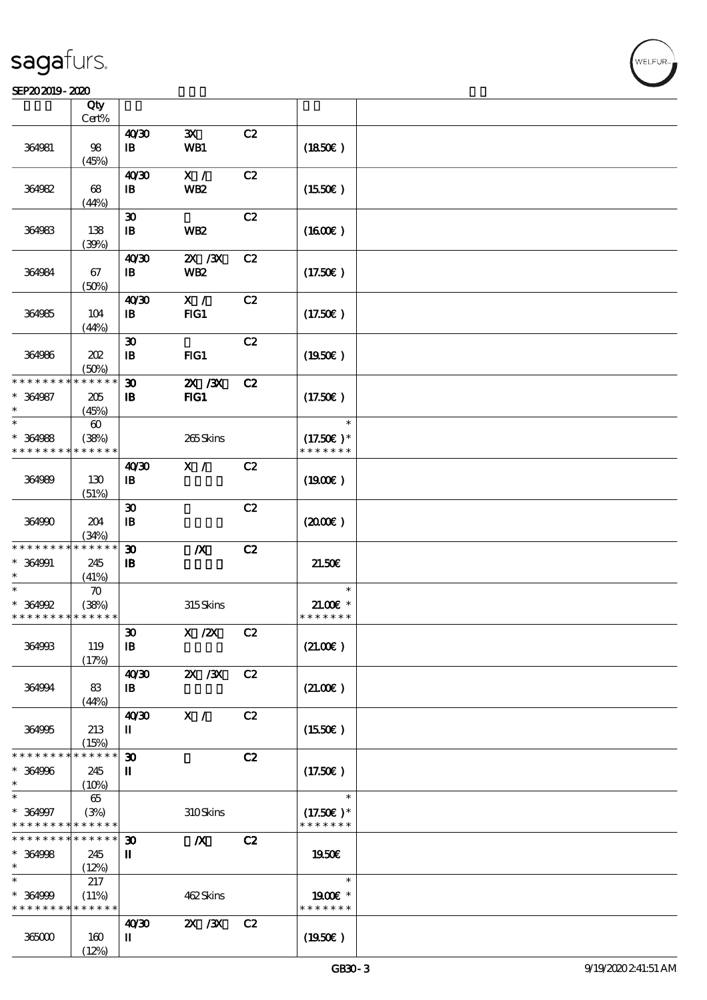#### $S$ EP202019 - 2020  $S$

|                             | Qty                   |                             |                  |    |                              |  |
|-----------------------------|-----------------------|-----------------------------|------------------|----|------------------------------|--|
|                             | Cert%                 |                             |                  |    |                              |  |
|                             |                       | 40 <sup>30</sup>            | $\mathbf{x}$     | C2 |                              |  |
| 364981                      | 98<br>(45%)           | $\mathbf{B}$                | WB1              |    | (1850)                       |  |
|                             |                       | 40'30                       | X /              | C2 |                              |  |
| 364982                      | 68                    | $\mathbf{B}$                | <b>WB2</b>       |    | (1550E)                      |  |
|                             | (44%)                 |                             |                  |    |                              |  |
|                             |                       | $\boldsymbol{\mathfrak{D}}$ |                  | C2 |                              |  |
| 364983                      | 138                   | $\mathbf{B}$                | <b>WB2</b>       |    | $(1600\varepsilon)$          |  |
|                             | (30%)                 |                             |                  |    |                              |  |
|                             |                       | 40'30                       | $ZX$ / $ZX$      | C2 |                              |  |
| 364984                      | 67                    | $\mathbf{B}$                | <b>WB2</b>       |    | (17.50)                      |  |
|                             | (50%)                 |                             |                  |    |                              |  |
|                             |                       | 40'30                       | $\mathbf{X}$ /   | C2 |                              |  |
| 364985                      | 104                   | $\mathbf{B}$                | $HG1$            |    | (17.50)                      |  |
|                             | (44%)                 |                             |                  |    |                              |  |
|                             |                       | $\boldsymbol{\mathfrak{D}}$ |                  | C2 |                              |  |
| 364986                      | 202                   | $\mathbf{B}$                | FG1              |    | $(1950\epsilon)$             |  |
|                             | (50%)                 |                             |                  |    |                              |  |
| * * * * * * * *             | * * * * * *           | $\boldsymbol{\mathfrak{D}}$ | 2X / 3X          | C2 |                              |  |
| $* 364987$                  | 205                   | $\, {\bf I} \! {\bf B} \,$  | $HG1$            |    | (17.50)                      |  |
| $\ast$                      | (45%)                 |                             |                  |    |                              |  |
| $\ast$                      | $\boldsymbol{\omega}$ |                             |                  |    | $\ast$                       |  |
| $* 364988$                  | (38%)                 |                             | 265Skins         |    | $(17.50)$ *<br>* * * * * * * |  |
| * * * * * * * *             | * * * * * *           |                             |                  |    |                              |  |
|                             |                       | 40'30                       | X /              | C2 |                              |  |
| 364989                      | 130                   | $\mathbf{I}$                |                  |    | $(1900\varepsilon)$          |  |
|                             | (51%)                 | $\boldsymbol{\mathfrak{D}}$ |                  | C2 |                              |  |
| 364990                      | 204                   | $\, {\bf I} \! {\bf B} \,$  |                  |    | $(2000\varepsilon)$          |  |
|                             | (34%)                 |                             |                  |    |                              |  |
| * * * * * * * *             | * * * * * *           | $\boldsymbol{\mathfrak{D}}$ | $\boldsymbol{X}$ | C2 |                              |  |
| $* 364991$                  | 245                   | $\mathbf{B}$                |                  |    | 21.50E                       |  |
| $\ast$                      | (41%)                 |                             |                  |    |                              |  |
| $\ast$                      | $\boldsymbol{\pi}$    |                             |                  |    | $\ast$                       |  |
| $* 364992$                  | (38%)                 |                             | 315Skins         |    | $21.00E$ *                   |  |
| * * * * * * * * * * * * * * |                       |                             |                  |    | * * * * * * *                |  |
|                             |                       | $\pmb{\mathfrak{D}}$        | X / ZX C2        |    |                              |  |
| 364993                      | 119                   | $\mathbf{B}$                |                  |    | (21.00)                      |  |
|                             | (17%)                 |                             |                  |    |                              |  |
|                             |                       | 40'30                       | $X \, X$         | C2 |                              |  |
| 364994                      | 83                    | $\mathbf{B}$                |                  |    | (21.00)                      |  |
|                             | (44%)                 |                             |                  |    |                              |  |
|                             |                       | 40 <sup>30</sup>            | X /              | C2 |                              |  |
| 364995                      | 213                   | П                           |                  |    | (1550)                       |  |
| * * * * * * * *             | (15%)<br>* * * * * *  | $\boldsymbol{\mathfrak{D}}$ |                  | C2 |                              |  |
| $* 364996$                  | 245                   | П                           |                  |    | (17.50)                      |  |
| $\ast$                      | (10%)                 |                             |                  |    |                              |  |
| $\ast$                      | 65                    |                             |                  |    | $\ast$                       |  |
| $* 364997$                  | (3%)                  |                             | 310Skins         |    | $(17.50)$ *                  |  |
| * * * * * * * *             | * * * * * *           |                             |                  |    | * * * * * * *                |  |
| * * * * * * * *             | $* * * * * * *$       | $\boldsymbol{\mathfrak{D}}$ | $\boldsymbol{X}$ | C2 |                              |  |
| $* 364998$                  | 245                   | П                           |                  |    | 1950E                        |  |
| $\ast$                      | (12%)                 |                             |                  |    |                              |  |
| $\ast$                      | 217                   |                             |                  |    | $\ast$                       |  |
| $* 364999$                  | (11%)                 |                             | 462Skins         |    | 1900E *                      |  |
| * * * * * * * *             | * * * * * *           |                             |                  |    | * * * * * * *                |  |
|                             |                       | 40'30                       | $X \, X$         | C2 |                              |  |
| 365000                      | 160                   | П                           |                  |    | (1950)                       |  |
|                             | (12%)                 |                             |                  |    |                              |  |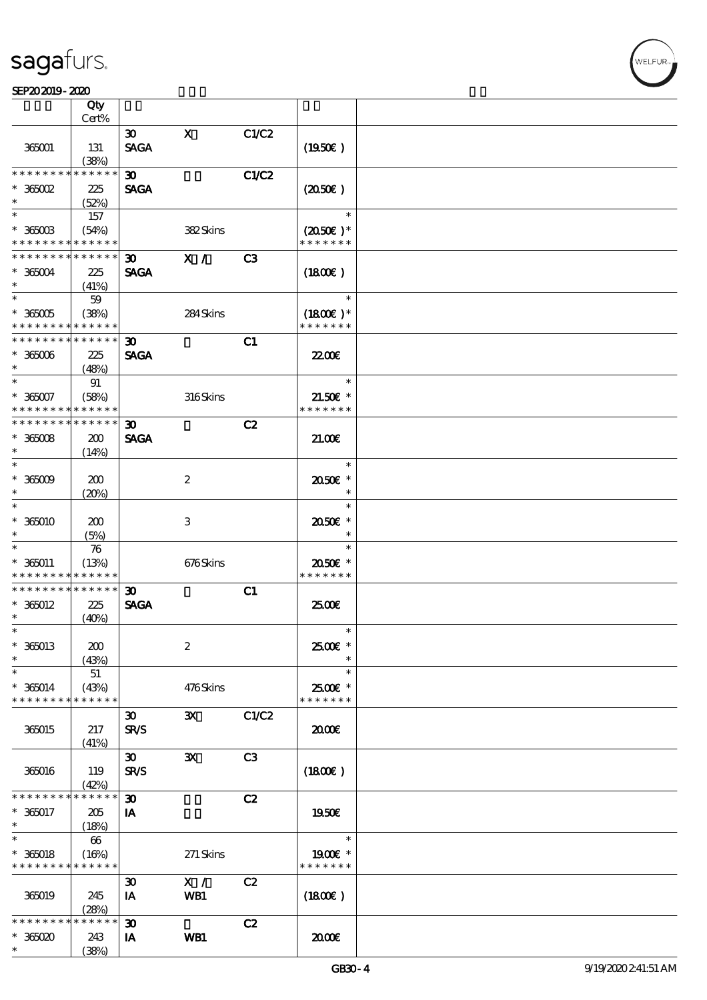$\overline{\mathsf{T}}$ 

#### $S$ EP202019 - 2020  $S$

|                               | Qty<br>Cert%         |                                            |                  |                |                             |  |
|-------------------------------|----------------------|--------------------------------------------|------------------|----------------|-----------------------------|--|
|                               |                      |                                            |                  |                |                             |  |
| 365001                        | 131                  | $\boldsymbol{\mathfrak{D}}$<br><b>SAGA</b> | $\mathbf X$      | C1/C2          | (1950)                      |  |
| * * * * * * * *               | (38%)<br>* * * * * * |                                            |                  |                |                             |  |
|                               |                      | $\boldsymbol{\mathfrak{D}}$                |                  | C1/C2          |                             |  |
| $*$ 365002<br>$\ast$          | 225<br>(52%)         | <b>SAGA</b>                                |                  |                | (2050)                      |  |
| $\overline{\ast}$             | 157                  |                                            |                  |                | $\ast$                      |  |
| $*$ 365003<br>* * * * * * * * | (54%)<br>* * * * * * |                                            | 382Skins         |                | $(2050)$ *<br>* * * * * * * |  |
| * * * * * * * *               |                      |                                            |                  |                |                             |  |
|                               | * * * * * *          | $\boldsymbol{\mathfrak{D}}$                | X /              | C3             |                             |  |
| $*365004$                     | 225                  | <b>SAGA</b>                                |                  |                | (1800)                      |  |
| $\ast$                        | (41%)                |                                            |                  |                |                             |  |
| $\overline{\ast}$             | 59                   |                                            |                  |                | $\ast$                      |  |
| $*$ 365005                    | (38%)                |                                            | 284Skins         |                | $(1800E)*$                  |  |
| * * * * * * * *               | * * * * * *          |                                            |                  |                | * * * * * * *               |  |
| * * * * * * * *               | * * * * * *          | 30 <sub>o</sub>                            |                  | C1             |                             |  |
| $* 36006$                     | 225                  | <b>SAGA</b>                                |                  |                | 22.00 <del>€</del>          |  |
| $\ast$                        |                      |                                            |                  |                |                             |  |
| $\ast$                        | (48%)                |                                            |                  |                |                             |  |
|                               | 91                   |                                            |                  |                | $\ast$                      |  |
| $* 365007$                    | (58%)                |                                            | 316Skins         |                | $21.50E$ *                  |  |
| * * * * * * * *               | * * * * * *          |                                            |                  |                | * * * * * * *               |  |
| * * * * * * * *               | * * * * * *          | $\boldsymbol{\mathfrak{D}}$                |                  | C2             |                             |  |
| $* 36008$                     | 200                  | <b>SAGA</b>                                |                  |                | 21.00E                      |  |
| $\ast$                        | (14%)                |                                            |                  |                |                             |  |
| $\ast$                        |                      |                                            |                  |                | $\ast$                      |  |
| $* 365009$                    |                      |                                            |                  |                |                             |  |
| $\ast$                        | 200                  |                                            | $\boldsymbol{2}$ |                | 2050E *<br>$\ast$           |  |
|                               | (20%)                |                                            |                  |                |                             |  |
| $\ast$                        |                      |                                            |                  |                | $\ast$                      |  |
| $*36000$                      | 200                  |                                            | 3                |                | 2050E *                     |  |
| $\ast$                        | (5%)                 |                                            |                  |                | $\ast$                      |  |
| $\ast$                        | 76                   |                                            |                  |                | $\ast$                      |  |
| $* 360011$                    | (13%)                |                                            | 676Skins         |                | 2050E *                     |  |
| * * * * * * * *               | * * * * * *          |                                            |                  |                | * * * * * * *               |  |
| * * * * * * * *               | * * * * * *          | $\boldsymbol{\mathfrak{D}}$                |                  | C1             |                             |  |
| $*365012$                     | 225                  | <b>SAGA</b>                                |                  |                | 2500€                       |  |
| $\ast$                        |                      |                                            |                  |                |                             |  |
|                               | (40%)                |                                            |                  |                |                             |  |
| $\ast$                        |                      |                                            |                  |                | $\ast$                      |  |
| $*36013$                      | 200                  |                                            | $\boldsymbol{2}$ |                | 2500€ *                     |  |
| $\ast$                        | (43%)                |                                            |                  |                | $\ast$                      |  |
| $\ast$                        | 51                   |                                            |                  |                | $\ast$                      |  |
| $* 365014$                    | (43%)                |                                            | 476Skins         |                | 2500€ *                     |  |
| * * * * * * * *               | * * * * * *          |                                            |                  |                | * * * * * * *               |  |
|                               |                      | $\boldsymbol{\mathfrak{D}}$                | $\mathbf{x}$     | C1/C2          |                             |  |
| 365015                        | 217                  | <b>SR/S</b>                                |                  |                | 2000€                       |  |
|                               |                      |                                            |                  |                |                             |  |
|                               | (41%)                |                                            |                  |                |                             |  |
|                               |                      | $\boldsymbol{\mathfrak{D}}$                | $\mathbf{x}$     | C <sub>3</sub> |                             |  |
| 365016                        | 119                  | <b>SR/S</b>                                |                  |                | (1800)                      |  |
|                               | (42%)                |                                            |                  |                |                             |  |
| * * * * * *                   | * * * * *            | $\boldsymbol{\mathfrak{D}}$                |                  | C2             |                             |  |
| $* 36017$                     | 205                  | IA                                         |                  |                | 1950E                       |  |
| $*$                           | (18%)                |                                            |                  |                |                             |  |
| $\overline{\ast}$             | $66\,$               |                                            |                  |                | $\ast$                      |  |
| $* 360018$                    | (16%)                |                                            |                  |                | 1900E *                     |  |
| * * * * * * * *               | * * * * * *          |                                            | 271 Skins        |                | * * * * * * *               |  |
|                               |                      |                                            |                  |                |                             |  |
|                               |                      | $\boldsymbol{\mathfrak{D}}$                | X /              | C2             |                             |  |
| 365019                        | 245                  | IA                                         | WB1              |                | (1800)                      |  |
|                               | (28%)                |                                            |                  |                |                             |  |
| * * * * * * *                 | * * * * *            | $\boldsymbol{\mathfrak{D}}$                |                  | C2             |                             |  |
| $* 36500$                     | 243                  | IA                                         | WB1              |                | 2000                        |  |
| $\ast$                        | (38%)                |                                            |                  |                |                             |  |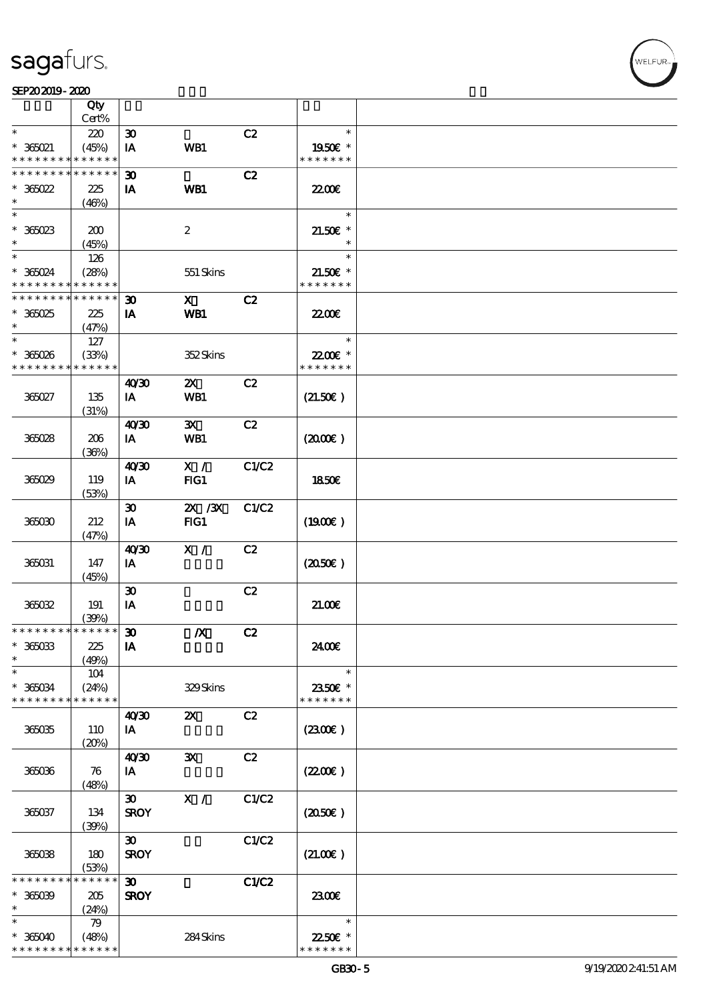#### $S$ EP202019 - 2020  $S$

|                                          | Qty<br>Cert%         |                             |                           |              |                          |  |
|------------------------------------------|----------------------|-----------------------------|---------------------------|--------------|--------------------------|--|
| $\ast$                                   |                      |                             |                           |              | $\ast$                   |  |
|                                          | 220                  | $\boldsymbol{\mathfrak{D}}$ |                           | C2           |                          |  |
| $*$ 365021<br>* * * * * * * *            | (45%)<br>* * * * * * | IA                          | WB1                       |              | 1950E *<br>* * * * * * * |  |
| * * * * * * * *                          | * * * * * *          | $\boldsymbol{\mathfrak{D}}$ |                           | C2           |                          |  |
| $*366022$                                | 225                  | IA                          | WB1                       |              | 2200                     |  |
| $\ast$                                   | (46%)                |                             |                           |              |                          |  |
| $\overline{\ast}$                        |                      |                             |                           |              | $\ast$                   |  |
|                                          |                      |                             |                           |              |                          |  |
| $*36023$                                 | 200                  |                             | $\boldsymbol{2}$          |              | $21.50E$ *               |  |
| $\ast$                                   | (45%)                |                             |                           |              | $\ast$                   |  |
|                                          | 126                  |                             |                           |              | $\ast$                   |  |
| $*365024$                                | (28%)                |                             | 551 Skins                 |              | $21.50E$ *               |  |
| * * * * * * * *                          | * * * * * *          |                             |                           |              | * * * * * * *            |  |
| * * * * * * * *                          | * * * * * *          | $\boldsymbol{\mathfrak{D}}$ | $\mathbf{x}$              | C2           |                          |  |
| $*365025$                                | 225                  | IA                          | WB1                       |              | <b>2200E</b>             |  |
| $\ast$                                   | (47%)                |                             |                           |              |                          |  |
| $\ast$                                   | 127                  |                             |                           |              | $\ast$                   |  |
| $*365026$                                | (33%)                |                             | 352Skins                  |              | 22.00€ *                 |  |
| * * * * * * * *                          | * * * * * *          |                             |                           |              | * * * * * * *            |  |
|                                          |                      |                             |                           |              |                          |  |
|                                          |                      | 40'30                       | $\boldsymbol{\mathsf{Z}}$ | C2           |                          |  |
| 365027                                   | 135                  | IA                          | <b>WB1</b>                |              | (21.50)                  |  |
|                                          | (31%)                |                             |                           |              |                          |  |
|                                          |                      | 40'30                       | $\mathbf{x}$              | C2           |                          |  |
| 365028                                   | 206                  | IA                          | WB1                       |              | (200E)                   |  |
|                                          | (36%)                |                             |                           |              |                          |  |
|                                          |                      | 40'30                       | X /                       | C1/C2        |                          |  |
| 365029                                   | 119                  | IA                          | FG1                       |              | 1850E                    |  |
|                                          | (53%)                |                             |                           |              |                          |  |
|                                          |                      | $\boldsymbol{\mathfrak{D}}$ | 2X / 3X                   | C1/C2        |                          |  |
| 365030                                   | 212                  | IA                          | FIG1                      |              | (1900E)                  |  |
|                                          |                      |                             |                           |              |                          |  |
|                                          | (47%)                |                             |                           |              |                          |  |
|                                          |                      | 40'30                       | X /                       | C2           |                          |  |
| 365031                                   | 147                  | IA                          |                           |              | (2050)                   |  |
|                                          | (45%)                |                             |                           |              |                          |  |
|                                          |                      | $\boldsymbol{\mathfrak{D}}$ |                           | C2           |                          |  |
| 365032                                   | 191                  | IA                          |                           |              | 21.00E                   |  |
|                                          | (39%)                |                             |                           |              |                          |  |
| * * * * * * * * <mark>* * * * * *</mark> |                      | $\boldsymbol{\mathfrak{D}}$ | $\boldsymbol{X}$          | C2           |                          |  |
| $* 365033$                               | 225                  | IA                          |                           |              | 2400€                    |  |
| $\ast$                                   | (49%)                |                             |                           |              |                          |  |
| $\ast$                                   | 104                  |                             |                           |              | $\ast$                   |  |
| $* 365034$                               | (24%)                |                             | 329Skins                  |              | 2350€ *                  |  |
| * * * * * * * *                          | * * * * * *          |                             |                           |              | * * * * * * *            |  |
|                                          |                      | 40 <sup>30</sup>            | $\boldsymbol{\mathsf{Z}}$ | C2           |                          |  |
| 365035                                   | 110                  | IA                          |                           |              | (2300)                   |  |
|                                          | (20%)                |                             |                           |              |                          |  |
|                                          |                      |                             |                           | C2           |                          |  |
|                                          |                      | 40'30                       | $\mathbf{x}$              |              |                          |  |
| 365036                                   | 76                   | IA                          |                           |              | (220E)                   |  |
|                                          | (48%)                |                             |                           |              |                          |  |
|                                          |                      | $\boldsymbol{\mathfrak{D}}$ | X /                       | C1/C2        |                          |  |
| 365037                                   | 134                  | <b>SROY</b>                 |                           |              | (2050)                   |  |
|                                          | (39%)                |                             |                           |              |                          |  |
|                                          |                      | $\boldsymbol{\mathfrak{D}}$ |                           | C1/C2        |                          |  |
| 36038                                    | 180                  | <b>SROY</b>                 |                           |              | (21.00)                  |  |
|                                          | (53%)                |                             |                           |              |                          |  |
| * * * * * * *                            | * * * * * *          | $\boldsymbol{\mathfrak{D}}$ |                           | <b>C1/C2</b> |                          |  |
| $* 36009$                                | 205                  | <b>SROY</b>                 |                           |              | 2300E                    |  |
| $^{\ast}$                                | (24%)                |                             |                           |              |                          |  |
| $\ast$                                   | 79                   |                             |                           |              | $\ast$                   |  |
| $* 365040$                               | (48%)                |                             | 284Skins                  |              | 22.50€ *                 |  |
| * * * * * * * *                          | * * * * * *          |                             |                           |              | * * * * * * *            |  |
|                                          |                      |                             |                           |              |                          |  |

T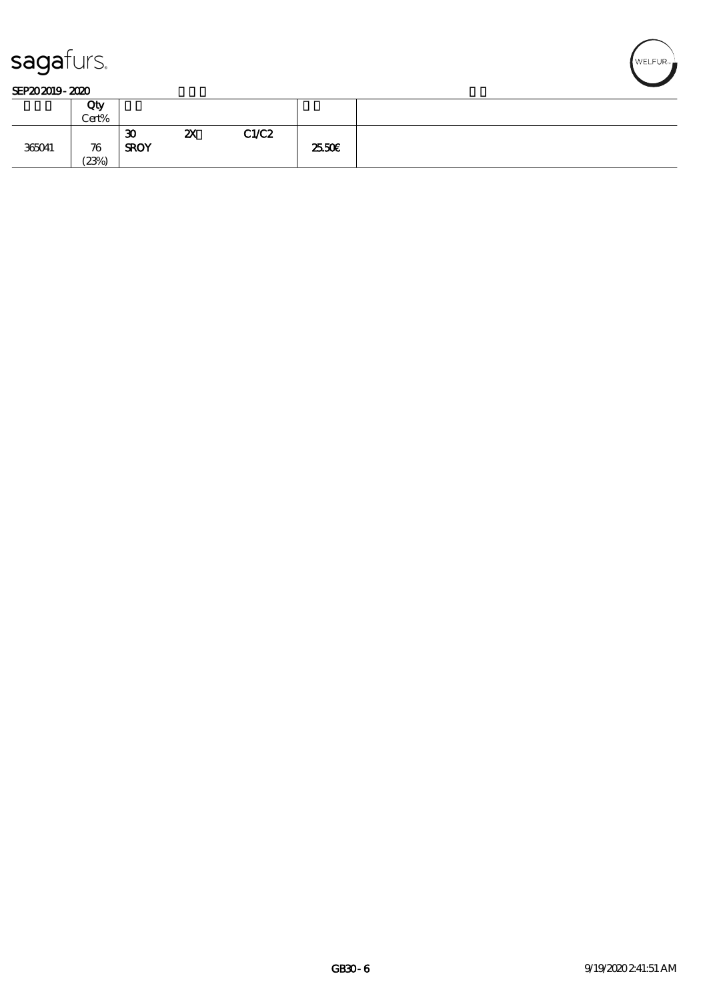

#### SEP202019-2020

|        | Qty<br>Cert% |                   |    |       |        |
|--------|--------------|-------------------|----|-------|--------|
| 365041 | 76<br>(23%)  | 30<br><b>SROY</b> | ZX | C1/C2 | 25.50E |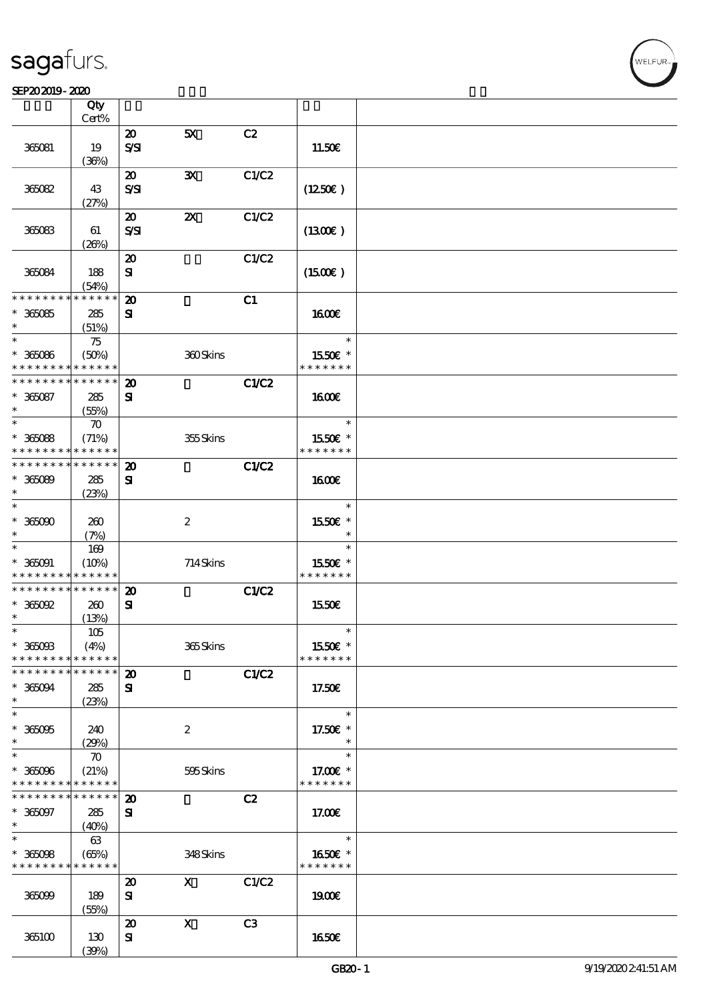$\overline{\mathsf{T}}$ 

#### $S$ EP202019 - 2020  $S$

|                              | Qty<br>Cert%         |                                         |                           |       |                          |  |
|------------------------------|----------------------|-----------------------------------------|---------------------------|-------|--------------------------|--|
|                              |                      | $\boldsymbol{\mathsf{20}}$              | 5X                        | C2    |                          |  |
| 365081                       | 19<br>(36%)          | $S\mathcal{S}$                          |                           |       | 11.50E                   |  |
|                              |                      | $\boldsymbol{\mathfrak{D}}$             | $\mathbf{x}$              | C1/C2 |                          |  |
| 36082                        | 43<br>(27%)          | $S\mathcal{S}$                          |                           |       | (1250)                   |  |
|                              |                      | $\boldsymbol{\mathbf{z}}$               | $\boldsymbol{\mathsf{z}}$ | C1/C2 |                          |  |
| 365083                       | 61                   | $S\mathcal{S}$                          |                           |       | $(1300\varepsilon)$      |  |
|                              | (20%)                |                                         |                           |       |                          |  |
| 365084                       | 188<br>(54%)         | $\boldsymbol{\mathsf{20}}$<br>${\bf s}$ |                           | C1/C2 | $(1500\varepsilon)$      |  |
| * * * * * * * *              | * * * * * *          | $\boldsymbol{\mathbf{z}}$               |                           | C1    |                          |  |
| $* 36085$                    | 285                  | ${\bf s}$                               |                           |       | <b>1600€</b>             |  |
| $\ast$                       | (51%)                |                                         |                           |       |                          |  |
| $\ast$                       |                      |                                         |                           |       | $\ast$                   |  |
|                              | 75                   |                                         |                           |       |                          |  |
| $* 36086$<br>* * * * * * * * | (50%)                |                                         | 360Skins                  |       | 1550E *<br>* * * * * * * |  |
|                              | * * * * * *          |                                         |                           |       |                          |  |
| * * * * * * * *              | * * * * * *          | $\boldsymbol{\mathbf{z}}$               |                           | C1/C2 |                          |  |
| $* 365087$                   | 285                  | ${\bf s}$                               |                           |       | <b>1600€</b>             |  |
| $\ast$                       | (55%)                |                                         |                           |       |                          |  |
| $\ast$                       | $\boldsymbol{\pi}$   |                                         |                           |       | $\ast$                   |  |
| $* 36088$                    | (71%)                |                                         | 355Skins                  |       | 1550€ *                  |  |
| * * * * * * * *              | * * * * * *          |                                         |                           |       | * * * * * * *            |  |
| * * * * * * * *              | ******               | $\boldsymbol{\mathsf{20}}$              |                           | C1/C2 |                          |  |
| $* 36089$                    | 285                  | ${\bf s}$                               |                           |       | 1600E                    |  |
| $\ast$                       | (23%)                |                                         |                           |       |                          |  |
| $\ast$                       |                      |                                         |                           |       | $\ast$                   |  |
| $* 365000$                   | 260                  |                                         | $\boldsymbol{2}$          |       | 1550€ *                  |  |
| *                            | (7%)                 |                                         |                           |       | $\ast$                   |  |
| $\ast$                       | 169                  |                                         |                           |       | $\ast$                   |  |
|                              |                      |                                         |                           |       | 1550€ *                  |  |
| $* 36001$<br>* * * * * * * * | (10%)<br>* * * * * * |                                         | 714Skins                  |       | * * * * * * *            |  |
| * * * * * * * *              | * * * * * *          |                                         |                           |       |                          |  |
|                              |                      | $\boldsymbol{\mathsf{20}}$              |                           | C1/C2 |                          |  |
| $*$ 365092                   | 260                  | $\mathbf{S}$                            |                           |       | 1550€                    |  |
| $\ast$                       | (13%)                |                                         |                           |       |                          |  |
| $\ast$                       | $105$                |                                         |                           |       | $\ast$                   |  |
| $* 365003$                   | (4%)                 |                                         | 365Skins                  |       | 1550€ *                  |  |
| * * * * * * * *              | * * * * * *          |                                         |                           |       | * * * * * * *            |  |
| * * * * * * * *              | * * * * * *          | $\boldsymbol{\mathbf{z}}$               |                           | C1/C2 |                          |  |
| $* 36004$                    | 285                  | ${\bf s}$                               |                           |       | 17.50€                   |  |
| $\ast$                       | (23%)                |                                         |                           |       |                          |  |
| $\overline{\ast}$            |                      |                                         |                           |       | $\ast$                   |  |
| $* 36005$                    | 240                  |                                         | $\boldsymbol{2}$          |       | 17.50€ *                 |  |
| $\ast$                       | (29%)                |                                         |                           |       | $\ast$                   |  |
| $\ast$                       | $\boldsymbol{\pi}$   |                                         |                           |       | $\ast$                   |  |
| $* 365096$                   | (21%)                |                                         | 595Skins                  |       | 17.00€ *                 |  |
| * * * * * * * *              | * * * * * *          |                                         |                           |       | * * * * * * *            |  |
| * * * * * * * *              | * * * * * *          | $\boldsymbol{\mathsf{20}}$              |                           | C2    |                          |  |
| $* 365097$                   | 285                  | ${\bf s}$                               |                           |       | 17.00E                   |  |
| $\ast$                       | (40%)                |                                         |                           |       |                          |  |
| $\overline{\ast}$            | 63                   |                                         |                           |       | $\ast$                   |  |
| $* 36008$                    | (65%)                |                                         | 348Skins                  |       | 1650€ *                  |  |
| * * * * * * * *              | * * * * * *          |                                         |                           |       | * * * * * * *            |  |
|                              |                      | $\boldsymbol{\mathfrak{D}}$             | $\mathbf{x}$              | C1/C2 |                          |  |
|                              |                      |                                         |                           |       |                          |  |
| 365099                       | 189                  | ${\bf s}$                               |                           |       | 1900E                    |  |
|                              | (55%)                |                                         |                           |       |                          |  |
|                              |                      | $\boldsymbol{\mathbf{z}}$               | $\boldsymbol{\mathrm{X}}$ | C3    |                          |  |
| 365100                       | 130                  | ${\bf s}$                               |                           |       | 1650€                    |  |
|                              | (30%)                |                                         |                           |       |                          |  |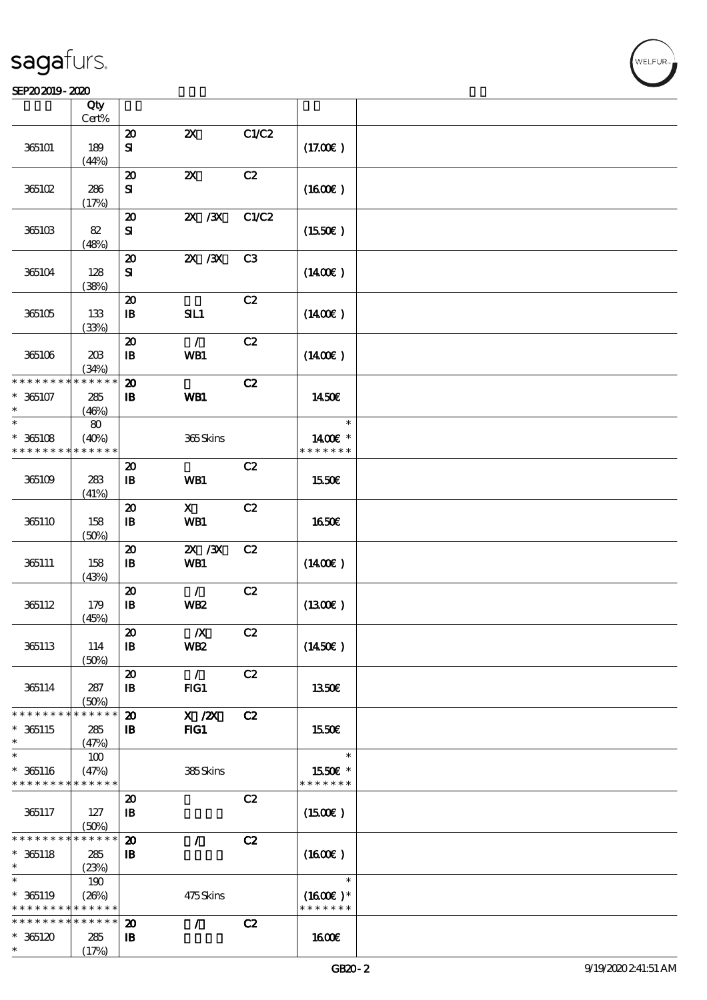#### SEP202019-2020

|                                                                  | Qty                                        |                                                         |                                     |       |                                       |  |
|------------------------------------------------------------------|--------------------------------------------|---------------------------------------------------------|-------------------------------------|-------|---------------------------------------|--|
|                                                                  | Cert%                                      |                                                         |                                     |       |                                       |  |
| 365101                                                           | 189<br>(44%)                               | $\boldsymbol{\mathbf{z}}$<br>${\bf s}$                  | $\boldsymbol{\mathsf{Z}}$           | C1/C2 | (17.00)                               |  |
| 365102                                                           | 286<br>(17%)                               | $\boldsymbol{\boldsymbol{\lambda}}$<br>${\bf s}$        | $\boldsymbol{\mathsf{z}}$           | C2    | (1600)                                |  |
| 365103                                                           | 82<br>(48%)                                | $\boldsymbol{\mathbf{z}}$<br>${\bf s}$                  | $X \, X$                            | C1/C2 | $(1550\varepsilon)$                   |  |
| 365104                                                           | 128<br>(38%)                               | $\boldsymbol{\mathbf{z}}$<br>${\bf s}$                  | 2X / 3X                             | C3    | $(1400\varepsilon)$                   |  |
| 365105                                                           | 133<br>(33%)                               | $\boldsymbol{\mathfrak{D}}$<br>$\mathbf{B}$             | SL1                                 | C2    | $(1400\varepsilon)$                   |  |
| 365106                                                           | 203<br>(34%)                               | $\boldsymbol{\mathbf{z}}$<br>$\, {\bf B}$               | $\mathcal{L}$<br>WB1                | C2    | $(1400\varepsilon)$                   |  |
| * * * * * * * *<br>$* 365107$<br>$\ast$                          | * * * * * *<br>285<br>(46%)                | $\boldsymbol{\mathbf{z}}$<br>$\, {\bf B}$               | WB1                                 | C2    | 1450€                                 |  |
| $\ast$<br>$* 365108$<br>* * * * * * * *                          | 80<br>(40%)<br>* * * * * *                 |                                                         | 365Skins                            |       | $\ast$<br>1400€ *<br>* * * * * * *    |  |
| 365109                                                           | 283<br>(41%)                               | $\boldsymbol{\mathbf{z}}$<br>$\, {\bf I} \! {\bf B} \,$ | WB1                                 | C2    | 1550€                                 |  |
| 365110                                                           | 158<br>(50%)                               | $\boldsymbol{\mathfrak{D}}$<br>$\, {\bf B}$             | $\mathbf{x}$<br>WB1                 | C2    | <b>1650€</b>                          |  |
| 365111                                                           | 158<br>(43%)                               | $\boldsymbol{\mathbf{z}}$<br>$\mathbf{B}$               | 2X / 3X<br>WB1                      | C2    | $(1400\varepsilon)$                   |  |
| 365112                                                           | 179<br>(45%)                               | $\boldsymbol{\mathbf{z}}$<br>$\, {\bf I} \! {\bf B} \,$ | $\mathcal{L}$<br><b>WB2</b>         | C2    | (1300)                                |  |
| 365113                                                           | 114<br>(50%)                               | $\pmb{\mathcal{Z}}$<br>$\mathbf{B}$                     | $\boldsymbol{X}$<br>WB <sub>2</sub> | C2    | $(1450\epsilon)$                      |  |
| 365114                                                           | 287<br>(50%)                               | $\boldsymbol{\mathfrak{D}}$<br>$\mathbf{B}$             | $\mathcal{L}$<br>FG1                | C2    | 1350E                                 |  |
| * * * * * * * *<br>$* 365115$<br>$\ast$                          | * * * * * *<br>285<br>(47%)                | $\boldsymbol{\mathfrak{D}}$<br>$\mathbf{B}$             | $X$ / $ZX$<br>$HG1$                 | C2    | 1550€                                 |  |
| $\ast$<br>$* 365116$<br>* * * * * * * *                          | 100<br>(47%)<br>* * * * * *                |                                                         | 385Skins                            |       | $\ast$<br>1550€ *<br>* * * * * * *    |  |
| 365117                                                           | 127<br>(50%)                               | $\boldsymbol{\mathbf{z}}$<br>$\mathbf{B}$               |                                     | C2    | $(1500\varepsilon)$                   |  |
| * * * * * * * *<br>$* 365118$<br>$\ast$                          | * * * * * *<br>285<br>(23%)                | $\boldsymbol{\mathfrak{D}}$<br>$\mathbf{B}$             | $\mathcal{L}$                       | C2    | (1600E)                               |  |
| $\ast$<br>$* 365119$<br>* * * * * * * * <mark>* * * * * *</mark> | 190<br>(20%)                               |                                                         | 475Skins                            |       | $\ast$<br>$(1600E)*$<br>* * * * * * * |  |
| * * * * * * * *<br>$*365120$<br>$\ast$                           | $\ast\ast\ast\ast\ast\ast$<br>285<br>(17%) | $\boldsymbol{\mathbf{z}}$<br>$\mathbf{B}$               | $\mathcal{L}$                       | C2    | 1600E                                 |  |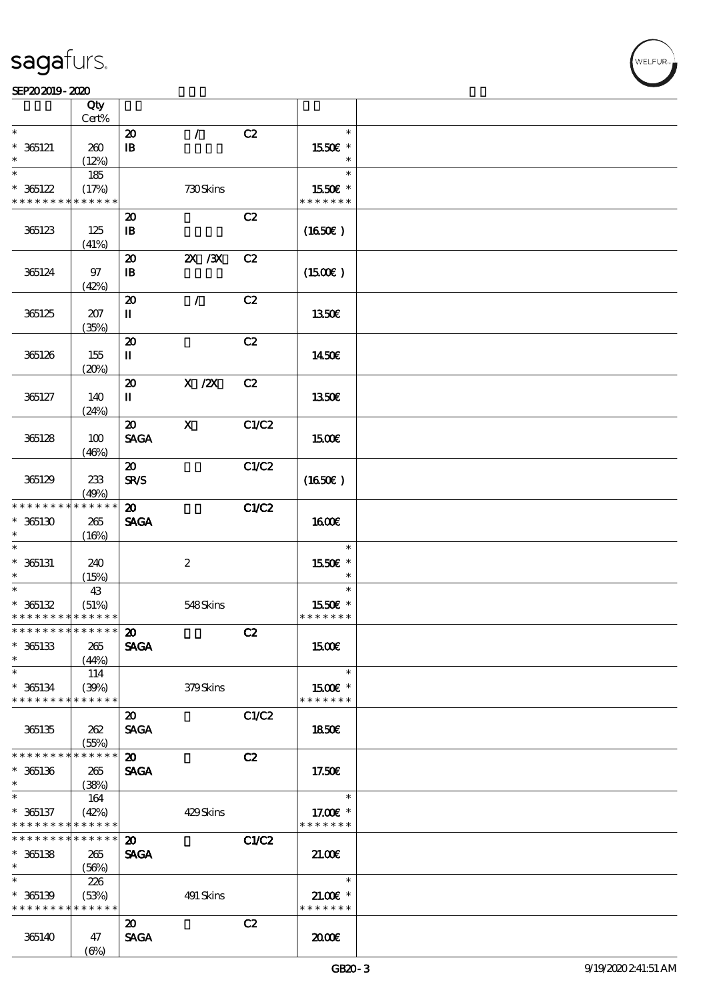|                                            | Qty<br>Cert% |                                       |                           |              |                     |  |
|--------------------------------------------|--------------|---------------------------------------|---------------------------|--------------|---------------------|--|
| $\ast$                                     |              |                                       | $\mathcal{L}$             | C2           | $\ast$              |  |
|                                            |              | $\boldsymbol{\mathfrak{D}}$           |                           |              |                     |  |
| $* 365121$                                 | 260          | $\mathbf{B}$                          |                           |              | 1550E *             |  |
|                                            | (12%)        |                                       |                           |              |                     |  |
| $\ast$                                     | 185          |                                       |                           |              | $\ast$              |  |
| $* 365122$                                 | (17%)        |                                       | 730Skins                  |              | 1550E *             |  |
|                                            |              |                                       |                           |              |                     |  |
| * * * * * * * *                            | * * * * * *  |                                       |                           |              | * * * * * * *       |  |
|                                            |              | $\boldsymbol{\mathbf{z}}$             |                           | C2           |                     |  |
| 365123                                     | 125          | $\mathbf{I}$                          |                           |              | (1650)              |  |
|                                            | (41%)        |                                       |                           |              |                     |  |
|                                            |              |                                       | $ZX$ / $ZX$               | C2           |                     |  |
|                                            |              | $\boldsymbol{\mathsf{20}}$            |                           |              |                     |  |
| 365124                                     | $97$         | $\mathbf{B}$                          |                           |              | $(1500\varepsilon)$ |  |
|                                            | (42%)        |                                       |                           |              |                     |  |
|                                            |              | $\boldsymbol{\mathfrak{D}}$           | $\mathcal{L}$             | C2           |                     |  |
| 365125                                     | 207          | П                                     |                           |              | 1350€               |  |
|                                            | (35%)        |                                       |                           |              |                     |  |
|                                            |              |                                       |                           |              |                     |  |
|                                            |              | $\boldsymbol{\mathbf{z}}$             |                           | C2           |                     |  |
| 365126                                     | 155          | П                                     |                           |              | 1450E               |  |
|                                            | (20%)        |                                       |                           |              |                     |  |
|                                            |              | $\boldsymbol{\mathbf{z}}$             | $X$ / $ZX$                | C2           |                     |  |
| 365127                                     | 140          | $\rm I\hspace{-.1em}I\hspace{-.1em}I$ |                           |              | 1350€               |  |
|                                            |              |                                       |                           |              |                     |  |
|                                            | (24%)        |                                       |                           |              |                     |  |
|                                            |              | $\boldsymbol{\mathfrak{D}}$           | $\boldsymbol{\mathsf{X}}$ | C1/C2        |                     |  |
| 365128                                     | 100          | <b>SAGA</b>                           |                           |              | 1500€               |  |
|                                            | (46%)        |                                       |                           |              |                     |  |
|                                            |              | $\boldsymbol{\mathfrak{D}}$           |                           | C1/C2        |                     |  |
|                                            | 233          | <b>SR/S</b>                           |                           |              |                     |  |
| 365129                                     |              |                                       |                           |              | (1650)              |  |
|                                            | (49%)        |                                       |                           |              |                     |  |
| * * * * * * * *                            | * * * * * *  | $\boldsymbol{\mathfrak{D}}$           |                           | C1/C2        |                     |  |
| $*365130$                                  | 265          | <b>SAGA</b>                           |                           |              | <b>1600€</b>        |  |
| $\ast$                                     | (16%)        |                                       |                           |              |                     |  |
| $\ast$                                     |              |                                       |                           |              | $\ast$              |  |
| $* 365131$                                 | 240          |                                       | $\boldsymbol{2}$          |              | 1550E *             |  |
| $\ast$                                     |              |                                       |                           |              | $\ast$              |  |
| $\ast$                                     | (15%)        |                                       |                           |              |                     |  |
|                                            | 43           |                                       |                           |              | $\ast$              |  |
| $* 365132$                                 | (51%)        |                                       | 548Skins                  |              | 1550€ *             |  |
| * * * * * * * * <mark>* * * * * * *</mark> |              |                                       |                           |              | * * * * * * *       |  |
| ******** <mark>*******</mark> 20           |              |                                       |                           | C2           |                     |  |
| $* 365133$                                 | 265          | <b>SAGA</b>                           |                           |              | 1500€               |  |
|                                            |              |                                       |                           |              |                     |  |
| $\ast$                                     | (44%)        |                                       |                           |              |                     |  |
| $\ast$                                     | 114          |                                       |                           |              | $\ast$              |  |
| $* 365134$                                 | (39%)        |                                       | 379Skins                  |              | 1500€ *             |  |
| * * * * * * * *                            | * * * * * *  |                                       |                           |              | * * * * * * *       |  |
|                                            |              | $\boldsymbol{\mathsf{20}}$            |                           | C1/C2        |                     |  |
| 365135                                     |              | <b>SAGA</b>                           |                           |              |                     |  |
|                                            | 262          |                                       |                           |              | <b>1850€</b>        |  |
|                                            | (55%)        |                                       |                           |              |                     |  |
| * * * * * * * *                            | * * * * * *  | $\boldsymbol{\mathfrak{D}}$           |                           | C2           |                     |  |
| $*$ 365136                                 | 265          | <b>SAGA</b>                           |                           |              | 17.50€              |  |
| $\ast$                                     | (38%)        |                                       |                           |              |                     |  |
| $\ast$                                     | 164          |                                       |                           |              | $\ast$              |  |
|                                            |              |                                       |                           |              |                     |  |
| $* 365137$                                 | (42%)        |                                       | 429Skins                  |              | 17.00 £*            |  |
| * * * * * * * *                            | * * * * * *  |                                       |                           |              | * * * * * * *       |  |
| * * * * * * * *                            | ******       | $\boldsymbol{\mathfrak{D}}$           |                           | <b>C1/C2</b> |                     |  |
| $* 365138$                                 | 265          | <b>SAGA</b>                           |                           |              | 21.00               |  |
| $\ast$                                     | (56%)        |                                       |                           |              |                     |  |
| $\ast$                                     |              |                                       |                           |              | $\ast$              |  |
|                                            | 226          |                                       |                           |              |                     |  |
| $* 365139$                                 | (53%)        |                                       | 491 Skins                 |              | $21.00$ $*$         |  |
| * * * * * * * *                            | * * * * * *  |                                       |                           |              | * * * * * * *       |  |
|                                            |              | $\boldsymbol{\mathfrak{D}}$           |                           | C2           |                     |  |
| 365140                                     | 47           | <b>SAGA</b>                           |                           |              | æœ                  |  |
|                                            | $(\Theta)$   |                                       |                           |              |                     |  |
|                                            |              |                                       |                           |              |                     |  |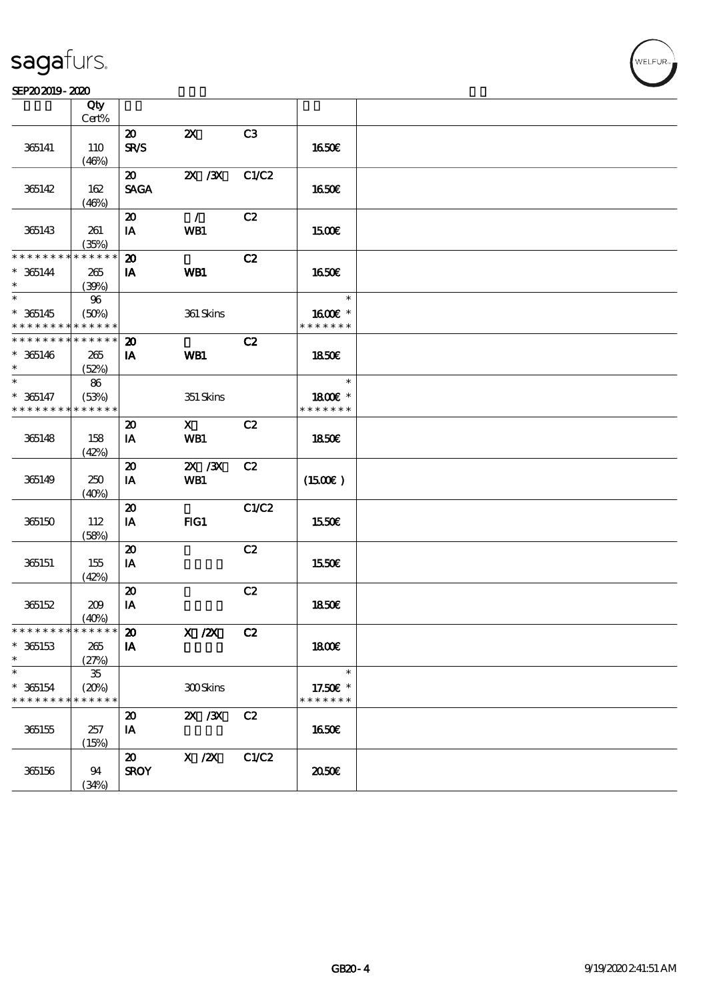#### SEP202019-2020

|                               | Qty<br>Cert%         |                                            |                           |       |                          |  |
|-------------------------------|----------------------|--------------------------------------------|---------------------------|-------|--------------------------|--|
|                               |                      | $\boldsymbol{\mathfrak{D}}$                | $\boldsymbol{\mathsf{Z}}$ | C3    |                          |  |
| 365141                        | 110                  | <b>SR/S</b>                                |                           |       | <b>1650€</b>             |  |
|                               | (46%)                |                                            |                           |       |                          |  |
|                               |                      | $\boldsymbol{\mathfrak{D}}$                | 2X / 3X                   | C1/C2 |                          |  |
| 365142                        | 162                  | <b>SAGA</b>                                |                           |       | <b>1650€</b>             |  |
|                               | (46%)                |                                            |                           |       |                          |  |
|                               |                      | $\boldsymbol{\mathfrak{D}}$                | $\mathcal{L}$             | C2    |                          |  |
| 365143                        | 261                  | IA                                         | WB1                       |       | 1500E                    |  |
|                               | (35%)                |                                            |                           |       |                          |  |
| * * * * * * * *               | * * * * * *          | $\boldsymbol{\mathfrak{D}}$                |                           | C2    |                          |  |
| $* 365144$                    | 265                  | IA                                         | WB1                       |       | 1650€                    |  |
| $\ast$                        | (30%)                |                                            |                           |       |                          |  |
| $\overline{\ast}$             | $96\,$               |                                            |                           |       | $\ast$                   |  |
| $* 365145$                    | (50%)                |                                            | 361 Skins                 |       | 1600E *                  |  |
| * * * * * * * *               | * * * * * *          |                                            |                           |       | * * * * * * *            |  |
| * * * * * * * * * * * * * *   |                      | $\boldsymbol{\mathfrak{D}}$                |                           | C2    |                          |  |
| $* 365146$                    | 265                  | IA                                         | WB1                       |       | 1850E                    |  |
| $\ast$                        | (52%)                |                                            |                           |       |                          |  |
| $\ast$                        | 86                   |                                            |                           |       | $\ast$                   |  |
| $* 365147$<br>* * * * * * * * | (53%)<br>* * * * * * |                                            | 351 Skins                 |       | 1800€ *<br>* * * * * * * |  |
|                               |                      |                                            |                           |       |                          |  |
|                               |                      | $\boldsymbol{\mathfrak{D}}$                | $\mathbf{X}$              | C2    |                          |  |
| 365148                        | 158                  | IA                                         | WB1                       |       | 1850E                    |  |
|                               | (42%)                | $\boldsymbol{\mathbf{z}}$                  | 2X / 3X                   | C2    |                          |  |
| 365149                        | 250                  | IA                                         | WB1                       |       | $(1500\varepsilon)$      |  |
|                               | (40%)                |                                            |                           |       |                          |  |
|                               |                      | $\boldsymbol{\mathfrak{D}}$                |                           | C1/C2 |                          |  |
| 365150                        | 112                  | IA                                         | FG1                       |       | 1550€                    |  |
|                               | (58%)                |                                            |                           |       |                          |  |
|                               |                      | $\boldsymbol{\mathbf{z}}$                  |                           | C2    |                          |  |
| 365151                        | 155                  | IA                                         |                           |       | 1550€                    |  |
|                               | (42%)                |                                            |                           |       |                          |  |
|                               |                      | $\boldsymbol{\mathsf{20}}$                 |                           | C2    |                          |  |
| 365152                        | 209                  | IA                                         |                           |       | 1850E                    |  |
|                               | (40%)                |                                            |                           |       |                          |  |
| * * * * * * * * * * * * * * * |                      | $\pmb{\mathcal{Z}}$                        | $X$ / $ZX$                | C2    |                          |  |
| $* 365153$                    | 265                  | IA                                         |                           |       | <b>1800€</b>             |  |
| $\ast$                        | (27%)                |                                            |                           |       |                          |  |
| $\ast$                        | ${\bf 35}$           |                                            |                           |       | $\ast$                   |  |
| $* 365154$                    | (20%)                |                                            | 300Skins                  |       | 17.50€ *                 |  |
| * * * * * * * *               | * * * * * *          |                                            |                           |       | * * * * * * *            |  |
|                               |                      | $\boldsymbol{\mathbf{z}}$                  | $X \, X$                  | C2    |                          |  |
| 365155                        | 257                  | IA                                         |                           |       | <b>1650€</b>             |  |
|                               | (15%)                |                                            |                           |       |                          |  |
| 365156                        |                      | $\boldsymbol{\mathfrak{D}}$<br><b>SROY</b> | X / ZX                    | C1/C2 | 2050€                    |  |
|                               | 94<br>(34%)          |                                            |                           |       |                          |  |
|                               |                      |                                            |                           |       |                          |  |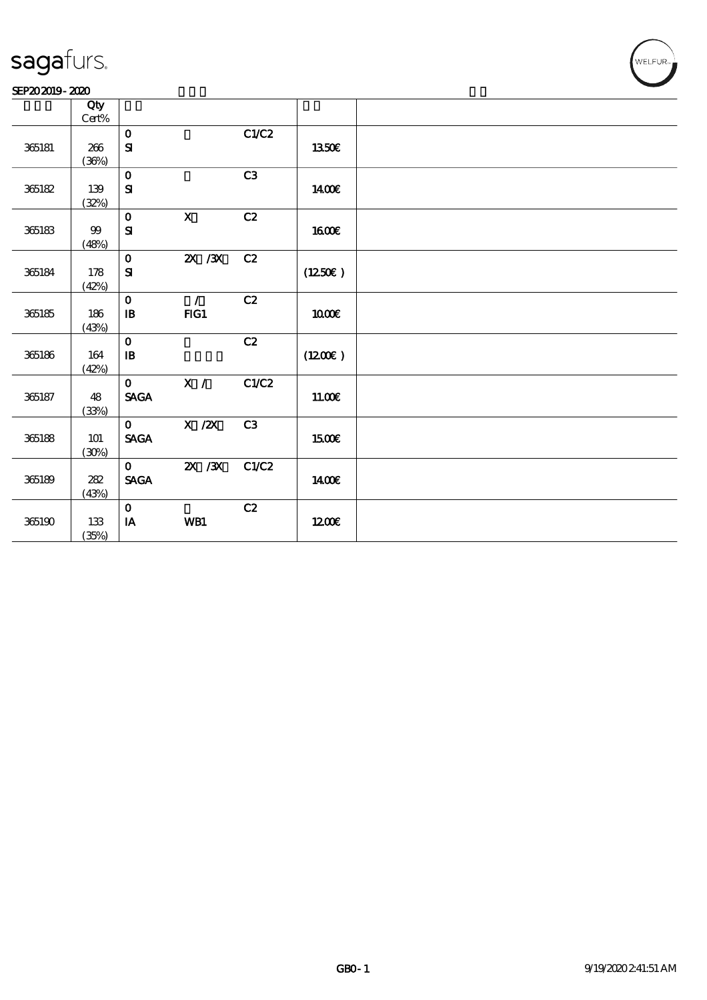#### SEP202019-2020

|            | Qty             |                                |                           |                |                     |  |
|------------|-----------------|--------------------------------|---------------------------|----------------|---------------------|--|
|            | $\mbox{Cert}\%$ |                                |                           |                |                     |  |
|            |                 | $\mathbf{o}$                   |                           | C1/C2          |                     |  |
| 365181     | 266             | $\mathbf{S}$                   |                           |                | 1350€               |  |
|            | (36%)           |                                |                           |                |                     |  |
|            |                 | $\mathbf{o}$                   |                           | C3             |                     |  |
| 365182     | 139             | ${\bf S}$                      |                           |                | 1400€               |  |
|            | (32%)           |                                |                           |                |                     |  |
|            |                 | $\mathbf{o}$                   | $\boldsymbol{\mathsf{X}}$ | C2             |                     |  |
| 365183     | $99$            | ${\bf S\!I}$                   |                           |                | 1600E               |  |
|            | (48%)           |                                |                           |                |                     |  |
|            |                 | $\mathbf{o}$                   | $X \, X$                  | C2             |                     |  |
| 365184     | 178             | $\mathbf{S}\mathbf{I}$         |                           |                | $(1250\varepsilon)$ |  |
|            | (42%)           |                                |                           |                |                     |  |
|            |                 | $\mathbf 0$                    | $\sqrt{2}$                | C2             |                     |  |
| 365185     | 186             | $\mathbf B$                    | FG1                       |                | 1000E               |  |
|            | (43%)           |                                |                           |                |                     |  |
|            |                 | $\mathbf{o}$                   |                           | C2             |                     |  |
| 365186     | 164             | $\mathbf{B}$                   |                           |                | (1200E)             |  |
|            | (42%)           |                                |                           |                |                     |  |
|            |                 | $\mathbf{O}$                   | X /                       | C1/C2          |                     |  |
| 365187     | 48              | $\ensuremath{\mathsf{SAGA}}$   |                           |                | 1100E               |  |
|            | (33%)           |                                |                           |                |                     |  |
|            |                 | $\mathbf{o}$                   | $X$ / $ZX$                | C <sub>3</sub> |                     |  |
| 365188     | 101             | <b>SAGA</b>                    |                           |                | 1500E               |  |
|            | (30%)           |                                |                           |                |                     |  |
|            |                 | $\mathbf{O}$                   | $X \, X$                  | C1/C2          |                     |  |
| 365189     | $282\,$         | $\operatorname{\mathsf{SAGA}}$ |                           |                | 1400E               |  |
|            | (43%)           |                                |                           |                |                     |  |
|            |                 | $\mathbf 0$                    |                           | C2             |                     |  |
| $365190\,$ | $133\,$         | $\mathbf{I}\mathbf{A}$         | WB1                       |                | 1200E               |  |
|            | (35%)           |                                |                           |                |                     |  |
|            |                 |                                |                           |                |                     |  |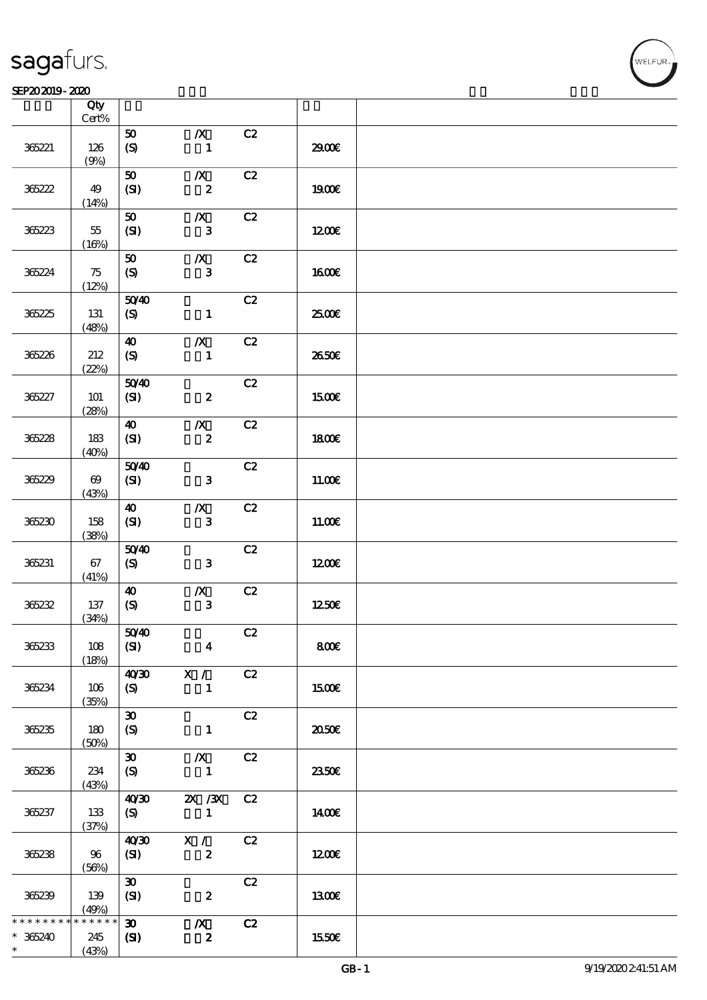#### SEP202019-2020 RHz

|                            | Qty<br>$\mbox{Cert}\%$         |                                             |                                      |    |              |  |
|----------------------------|--------------------------------|---------------------------------------------|--------------------------------------|----|--------------|--|
| 365221                     | 126<br>(9%)                    | 50<br>$\boldsymbol{S}$                      | $\boldsymbol{X}$<br>$\mathbf{1}$     | C2 | 2900         |  |
| 36222                      | 49<br>(14%)                    | 50<br>(SI)                                  | $\boldsymbol{X}$<br>$\boldsymbol{2}$ | C2 | <b>1900€</b> |  |
| 36223                      | 55<br>(16%)                    | 50<br>(SI)                                  | $\boldsymbol{X}$<br>$\mathbf{3}$     | C2 | 1200E        |  |
| 365224                     | 75<br>(12%)                    | 50<br>(S)                                   | $\boldsymbol{X}$<br>$\mathbf{3}$     | C2 | 1600E        |  |
| 365225                     | 131<br>(48%)                   | 5040<br>(S)                                 | $\mathbf{1}$                         | C2 | 2500€        |  |
| 365226                     | 212<br>(22%)                   | $\boldsymbol{\omega}$<br>(S)                | $\boldsymbol{X}$<br>$\mathbf{1}$     | C2 | 2650E        |  |
| 365227                     | 101<br>(28%)                   | 5040<br>(S)                                 | $\boldsymbol{z}$                     | C2 | 1500€        |  |
| 36228                      | 183<br>(40%)                   | $\boldsymbol{\omega}$<br>(SI)               | $\boldsymbol{X}$<br>$\boldsymbol{2}$ | C2 | 1800E        |  |
| 365229                     | $\boldsymbol{\omega}$<br>(43%) | 5040<br>(SI)                                | $\mathbf{3}$                         | C2 | 11.00E       |  |
| 365230                     | 158<br>(38%)                   | $\boldsymbol{\omega}$<br>(SI)               | $\boldsymbol{X}$<br>$\mathbf{3}$     | C2 | 11.00E       |  |
| 365231                     | 67<br>(41%)                    | 5040<br>(S)                                 | $\mathbf{3}$                         | C2 | 1200         |  |
| 36232                      | 137<br>(34%)                   | $\boldsymbol{\omega}$<br>$\boldsymbol{S}$   | $\pmb{X}$<br>$\mathbf{3}$            | C2 | 1250E        |  |
| 365233                     | 108<br>(18%)                   | 5040<br>(SI)                                | $\overline{\mathbf{4}}$              | C2 | 800          |  |
| 365234                     | 106<br>(35%)                   | 40 <sup>20</sup><br>(S)                     | X /<br>$\mathbf{1}$                  | C2 | 1500€        |  |
| 365235                     | 180<br>(50%)                   | $\boldsymbol{\mathfrak{D}}$<br>(S)          | $\mathbf{1}$                         | C2 | ææ           |  |
| 365236                     | 234<br>(43%)                   | $\boldsymbol{\mathfrak{D}}$<br>(S)          | $\boldsymbol{X}$<br>$\blacksquare$   | C2 | 2350E        |  |
| 365237                     | 133<br>(37%)                   | 40'30<br>(S)                                | $\chi$ / $\chi$<br>$\blacksquare$    | C2 | 1400€        |  |
| 36238                      | 96<br>(56%)                    | 40'30<br>(SI)                               | X /<br>$\boldsymbol{z}$              | C2 | 1200         |  |
| 365239                     | 139<br>(49%)                   | $\boldsymbol{\mathfrak{D}}$<br>(SI)         | $\boldsymbol{z}$                     | C2 | 1300E        |  |
| * * * * * * *<br>$* 36240$ | * * * * * *<br>245<br>(43%)    | $\boldsymbol{\mathfrak{D}}$<br>$\mathbf{C}$ | $\boldsymbol{X}$<br>$\boldsymbol{z}$ | C2 | 1550€        |  |

**NELFUR**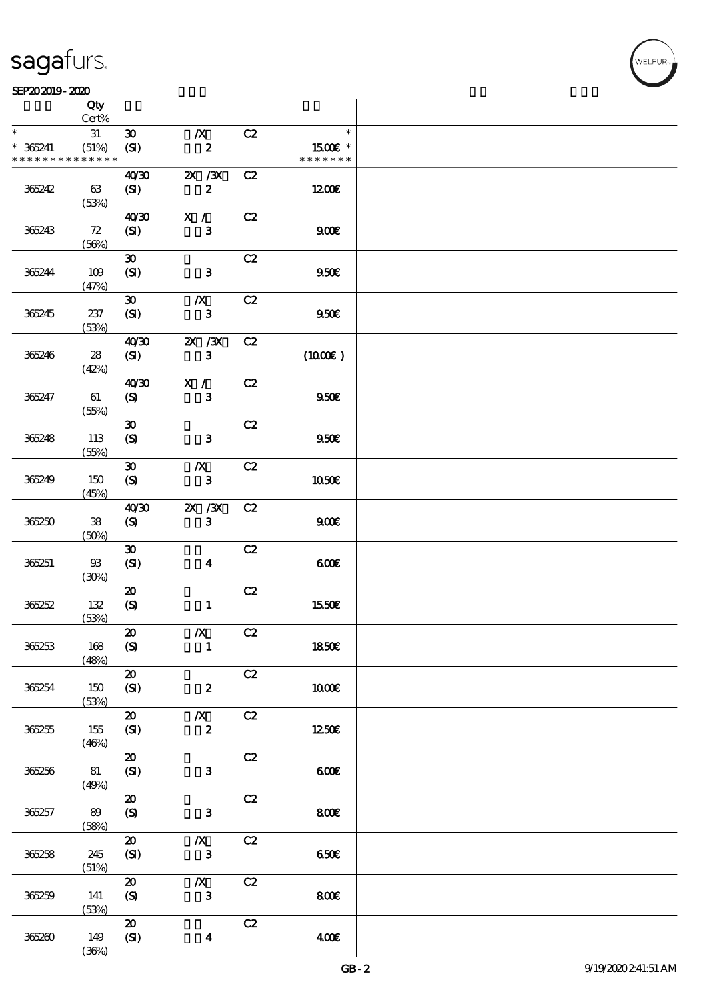#### SEP202019-2020 RHz

|                 | Qty<br>Cert% |                             |                  |    |                     |  |
|-----------------|--------------|-----------------------------|------------------|----|---------------------|--|
| $\ast$          |              |                             |                  |    | $\ast$              |  |
|                 | 31           | $\boldsymbol{\mathfrak{D}}$ | $\boldsymbol{X}$ | C2 |                     |  |
| $* 36241$       | (51%)        | (SI)                        | $\boldsymbol{2}$ |    | 1500€ *             |  |
| * * * * * * * * | * * * * * *  |                             |                  |    | * * * * * * *       |  |
|                 |              | 40'30                       | $X \, X$         | C2 |                     |  |
| 365242          | 63           | (SI)                        | $\pmb{2}$        |    | 1200E               |  |
|                 |              |                             |                  |    |                     |  |
|                 | (53%)        |                             |                  |    |                     |  |
|                 |              | 40'30                       | X /              | C2 |                     |  |
| 365243          | 72           | (SI)                        | $\mathbf{3}$     |    | 900E                |  |
|                 | (56%)        |                             |                  |    |                     |  |
|                 |              | $\boldsymbol{\mathfrak{D}}$ |                  | C2 |                     |  |
| 365244          | 109          |                             | $\mathbf{3}$     |    | 950E                |  |
|                 |              | (SI)                        |                  |    |                     |  |
|                 | (47%)        |                             |                  |    |                     |  |
|                 |              | $\boldsymbol{\mathfrak{D}}$ | $\boldsymbol{X}$ | C2 |                     |  |
| 365245          | 237          | (SI)                        | $\mathbf{3}$     |    | 950E                |  |
|                 | (53%)        |                             |                  |    |                     |  |
|                 |              | 40'30                       | $ZX$ / $ZX$      | C2 |                     |  |
| 365246          | ${\bf 28}$   | (S <sub>D</sub> )           | 3                |    | $(1000\varepsilon)$ |  |
|                 | (42%)        |                             |                  |    |                     |  |
|                 |              | 40'30                       | X /              | C2 |                     |  |
|                 |              |                             |                  |    |                     |  |
| 365247          | 61           | (S)                         | $\bf{3}$         |    | 950E                |  |
|                 | (55%)        |                             |                  |    |                     |  |
|                 |              | $\boldsymbol{\mathfrak{D}}$ |                  | C2 |                     |  |
| 365248          | 113          | (S)                         | $\mathbf{3}$     |    | 950E                |  |
|                 | (55%)        |                             |                  |    |                     |  |
|                 |              | $\boldsymbol{\mathfrak{D}}$ | $\boldsymbol{X}$ | C2 |                     |  |
| 365249          | 150          | $\boldsymbol{S}$            | ${\bf 3}$        |    | 1050€               |  |
|                 |              |                             |                  |    |                     |  |
|                 | (45%)        |                             |                  |    |                     |  |
|                 |              | 40'30                       | $X \, X$         | C2 |                     |  |
| 365250          | ${\bf 38}$   | (S)                         | $\mathbf{3}$     |    | 900                 |  |
|                 | (50%)        |                             |                  |    |                     |  |
|                 |              | $\boldsymbol{\mathfrak{D}}$ |                  | C2 |                     |  |
| 365251          | $93\,$       | (SI)                        | $\boldsymbol{4}$ |    | 600                 |  |
|                 | (30%)        |                             |                  |    |                     |  |
|                 |              | $\boldsymbol{\mathbf{z}}$   |                  | C2 |                     |  |
| 36252           | 132          | $\boldsymbol{\mathrm{(S)}}$ | $\mathbf{1}$     |    | 1550€               |  |
|                 | (53%)        |                             |                  |    |                     |  |
|                 |              |                             |                  |    |                     |  |
|                 |              | $\boldsymbol{\mathfrak{D}}$ | $\boldsymbol{X}$ | C2 |                     |  |
| 36253           | 168          | (S)                         | 1                |    | 1850€               |  |
|                 | (48%)        |                             |                  |    |                     |  |
|                 |              | $\boldsymbol{\mathbf{z}}$   |                  | C2 |                     |  |
| 36254           | 150          | (SI)                        | $\boldsymbol{z}$ |    | 1000E               |  |
|                 | (53%)        |                             |                  |    |                     |  |
|                 |              | $\boldsymbol{\mathfrak{D}}$ | $\boldsymbol{X}$ | C2 |                     |  |
| 36255           | 155          | (SI)                        | $\pmb{2}$        |    | 1250E               |  |
|                 |              |                             |                  |    |                     |  |
|                 | (46%)        |                             |                  |    |                     |  |
|                 |              | $\boldsymbol{\mathsf{20}}$  |                  | C2 |                     |  |
| 36256           | 81           | (SI)                        | ${\bf 3}$        |    | 600                 |  |
|                 | (49%)        |                             |                  |    |                     |  |
|                 |              | $\boldsymbol{\mathbf{z}}$   |                  | C2 |                     |  |
| 365257          | 89           | $\boldsymbol{S}$            | ${\bf 3}$        |    | 800                 |  |
|                 | (58%)        |                             |                  |    |                     |  |
|                 |              | $\boldsymbol{\mathbf{z}}$   | $\boldsymbol{X}$ | C2 |                     |  |
| 36258           | 245          | (SI)                        | ${\bf 3}$        |    | 650E                |  |
|                 |              |                             |                  |    |                     |  |
|                 | (51%)        |                             |                  |    |                     |  |
|                 |              | $\boldsymbol{\mathfrak{D}}$ | $\boldsymbol{X}$ | C2 |                     |  |
| 36259           | 141          | $\boldsymbol{S}$            | ${\bf 3}$        |    | 800                 |  |
|                 | (53%)        |                             |                  |    |                     |  |
|                 |              | $\pmb{\mathcal{Z}}$         |                  | C2 |                     |  |
| 365260          | 149          | (SI)                        | $\boldsymbol{4}$ |    | 400                 |  |
|                 | (36%)        |                             |                  |    |                     |  |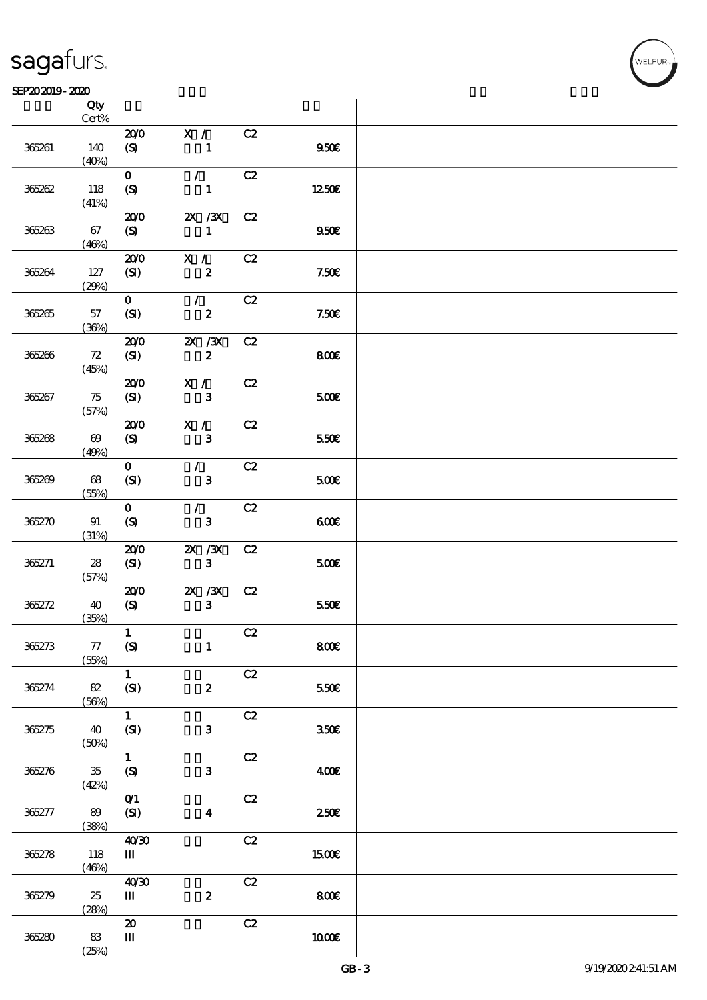#### SEP202019-2020

|        | Qty<br>Cert%                   |                               |                            |               |                  |  |
|--------|--------------------------------|-------------------------------|----------------------------|---------------|------------------|--|
|        |                                | 200                           | X /                        | C2            |                  |  |
| 365261 | 140<br>(40%)                   | $\boldsymbol{S}$              | $\mathbf{1}$               |               | 950 <sub>E</sub> |  |
|        |                                | $\mathbf{O}$                  | $\mathcal{F}^{\mathbb{R}}$ | C2            |                  |  |
| 365262 | 118<br>(41%)                   | (S)                           | $\mathbf{1}$               |               | 1250E            |  |
|        |                                | 200                           | $X \, X$                   | C2            |                  |  |
| 365263 | 67<br>(46%)                    | (S)                           | $\mathbf{1}$               |               | 950 <sub>E</sub> |  |
|        |                                | 200                           | X /                        | C2            |                  |  |
| 365264 | 127<br>(29%)                   | (SI)                          | $\boldsymbol{z}$           |               | 7.50E            |  |
|        |                                | $\mathbf{O}$                  | $\mathcal{T}$              | C2            |                  |  |
| 365265 | 57<br>(36%)                    | (SI)                          | $\boldsymbol{z}$           |               | 7.50E            |  |
|        |                                | 200                           | $X \, X$                   | C2            |                  |  |
| 365266 | 72<br>(45%)                    | (SI)                          | $\boldsymbol{z}$           |               | 800              |  |
|        |                                | 200                           | X /                        | C2            |                  |  |
| 365267 | 75<br>(57%)                    | (SI)                          | $\mathbf{3}$               |               | 500€             |  |
|        |                                | 200                           | X /                        | C2            |                  |  |
| 365268 | $\boldsymbol{\omega}$<br>(49%) | (S)                           | $\mathbf{3}$               |               | 550E             |  |
|        |                                | $\mathbf{o}$                  | $\mathcal{L}$              | C2            |                  |  |
| 365269 | 68<br>(55%)                    | (SI)                          | $\mathbf{3}$               |               | 500E             |  |
|        |                                | $\mathbf{O}$                  | $\mathcal{L}$              | C2            |                  |  |
| 365270 | 91<br>(31%)                    | $\boldsymbol{S}$              | $\mathbf{3}$               |               | 600              |  |
|        |                                | 200                           | $X \, X$                   | C2            |                  |  |
| 365271 | 28<br>(57%)                    | (SI)                          | $\mathbf{3}$               |               | 500€             |  |
|        |                                | 200                           | $ZX$ $/3X$                 | C2            |                  |  |
| 365272 | 40<br>(35%)                    | $\boldsymbol{S}$              | $\mathbf{3}$               |               | 550€             |  |
|        |                                | $\mathbf 1$                   |                            | C2            |                  |  |
| 36273  | 77<br>(55%)                    | $\boldsymbol{\mathrm{(S)}}$   | $\mathbf{1}$               |               | 800€             |  |
|        |                                | $\mathbf{1}$                  |                            | C2            |                  |  |
| 365274 | 82<br>(56%)                    | (SI)                          | $\boldsymbol{z}$           |               | 550E             |  |
|        |                                | $\mathbf{1}$                  |                            | $\mathbf{C2}$ |                  |  |
| 36275  | 40<br>(50%)                    | (SI)                          | $\mathbf{3}$               |               | 350 <sup>2</sup> |  |
|        |                                | $\mathbf{1}$                  |                            | C2            |                  |  |
| 365276 | $35\,$<br>(42%)                | $\pmb{\in}$                   | 3                          |               | 400€             |  |
|        |                                | $O$ <sup><math>1</math></sup> |                            | C2            |                  |  |
| 365277 | 89                             | (SI)                          | $\boldsymbol{4}$           |               | 250E             |  |
|        | (38%)                          |                               |                            |               |                  |  |
| 36278  | 118                            | 40'30<br>Ш                    |                            | $\mathbf{C2}$ | 1500€            |  |
|        | (46%)                          |                               |                            |               |                  |  |
|        |                                | 40'30                         |                            | C2            |                  |  |
| 365279 | 25                             | $\mathbf{m}$                  | $\pmb{2}$                  |               | 800€             |  |
|        | (28%)                          | $\pmb{\mathcal{Z}}$           |                            | C2            |                  |  |
| 365280 | 83                             | $\mathbf{m}$                  |                            |               | 1000E            |  |
|        | (25%)                          |                               |                            |               |                  |  |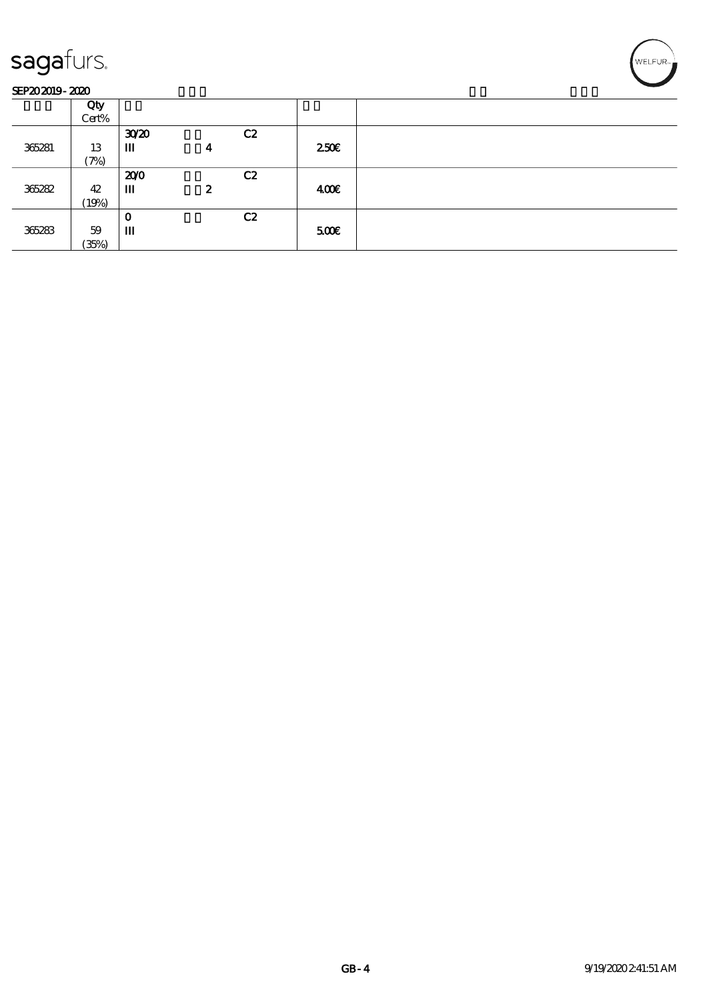#### SEP202019-2020

|        | Qty<br>Cert% |                  |                  |    |      |  |
|--------|--------------|------------------|------------------|----|------|--|
|        |              | 30 <sup>20</sup> |                  | C2 |      |  |
| 365281 | 13           | Ш                | 4                |    | 250E |  |
|        | (7%)         |                  |                  |    |      |  |
|        |              | 200              |                  | C2 |      |  |
| 365282 | 42           | Ш                | $\boldsymbol{z}$ |    | 400€ |  |
|        | (19%)        |                  |                  |    |      |  |
|        |              | O                |                  | C2 |      |  |
| 365283 | 59           | Ш                |                  |    | 500  |  |
|        | (35%)        |                  |                  |    |      |  |

WELFUR<sub>"</sub><br>NELFUR<sub>"</sub>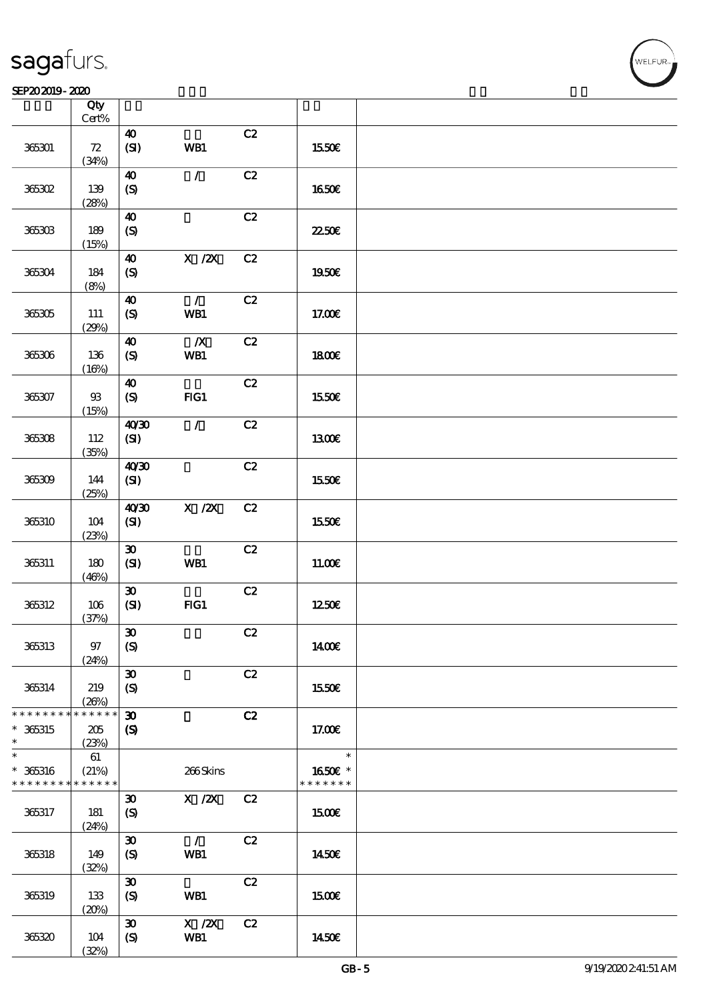#### SEP202019-2020

|                                         | Qty<br>$\mbox{Cert}\%$      |                                                 |                                                                         |               |                                    |  |
|-----------------------------------------|-----------------------------|-------------------------------------------------|-------------------------------------------------------------------------|---------------|------------------------------------|--|
|                                         |                             | $\boldsymbol{\omega}$                           |                                                                         | C2            |                                    |  |
| 365301                                  | ${\bf Z}$<br>(34%)          | (SI)                                            | WB1                                                                     |               | 1550€                              |  |
| 365302                                  | 139                         | $\boldsymbol{\omega}$<br>$\boldsymbol{S}$       | $\mathcal{L}$                                                           | C2            | 1650€                              |  |
|                                         | (28%)                       |                                                 |                                                                         |               |                                    |  |
| 365303                                  | 189<br>(15%)                | $\boldsymbol{\Lambda}$<br>$\pmb{\text{(S)}}$    |                                                                         | C2            | 2250E                              |  |
| 365304                                  | 184<br>(8%)                 | $\boldsymbol{\omega}$<br>(S)                    | $X$ / $ZX$                                                              | C2            | 1950€                              |  |
| 365305                                  | 111<br>(29%)                | $\boldsymbol{\Lambda}$<br>(S)                   | $\mathcal{L}$<br>WB1                                                    | C2            | 17.00€                             |  |
| 365306                                  | 136<br>(16%)                | $\boldsymbol{\Lambda}$<br>$\boldsymbol{S}$      | $\boldsymbol{X}$<br>WB1                                                 | C2            | 1800E                              |  |
| 365307                                  | ${\mathfrak B}$<br>(15%)    | $\boldsymbol{\omega}$<br>$\boldsymbol{S}$       | FIG1                                                                    | C2            | <b>1550€</b>                       |  |
| 365308                                  | 112<br>(35%)                | 40'30<br>(SI)                                   | $\mathcal{L}$                                                           | C2            | <b>130€</b>                        |  |
| 365309                                  | 144<br>(25%)                | 40'30<br>(SI)                                   |                                                                         | C2            | 1550€                              |  |
| 365310                                  | 104<br>(23%)                | 40'30<br>(SI)                                   | $X$ / $ZX$                                                              | C2            | 1550€                              |  |
| 365311                                  | 180<br>(46%)                | $\boldsymbol{\mathfrak{D}}$<br>(SI)             | WB1                                                                     | C2            | 11.00E                             |  |
| 365312                                  | 106<br>(37%)                | $\boldsymbol{\mathfrak{D}}$<br>(SI)             | FG1                                                                     | $\mathbf{C2}$ | 1250€                              |  |
| 365313                                  | $97$<br>(24%)               | $\boldsymbol{\mathfrak{D}}$<br>$\boldsymbol{S}$ |                                                                         | C2            | 1400€                              |  |
| 365314                                  | 219<br>(20%)                | $\boldsymbol{\mathfrak{D}}$<br>$\boldsymbol{S}$ |                                                                         | C2            | 1550€                              |  |
| * * * * * * * *<br>$* 365315$<br>$\ast$ | * * * * * *<br>205<br>(23%) | $\boldsymbol{\mathfrak{D}}$<br>$\boldsymbol{S}$ |                                                                         | C2            | 17.00E                             |  |
| $\ast$<br>$* 365316$<br>* * * * * * * * | 61<br>(21%)<br>* * * * * *  |                                                 | 266Skins                                                                |               | $\ast$<br>1650€ *<br>* * * * * * * |  |
| 365317                                  | 181<br>(24%)                | $\boldsymbol{\mathfrak{D}}$<br>$\boldsymbol{S}$ | $\boldsymbol{\mathrm{X}}$ / <b><math>\boldsymbol{\mathrm{X}}</math></b> | C2            | 1500E                              |  |
| 365318                                  | 149<br>(32%)                | $\boldsymbol{\mathfrak{D}}$<br>$\boldsymbol{S}$ | $\mathcal{L}$<br>WB1                                                    | C2            | 1450€                              |  |
| 365319                                  | 133<br>(20%)                | $\boldsymbol{\mathfrak{D}}$<br>$\boldsymbol{S}$ | WB1                                                                     | C2            | 1500€                              |  |
| 365320                                  | $104$<br>(32%)              | $\boldsymbol{\mathfrak{D}}$<br>$\boldsymbol{S}$ | $\boldsymbol{\mathrm{X}}$ / <b>2X</b><br>WB1                            | C2            | 1450€                              |  |

.<br>WELFUR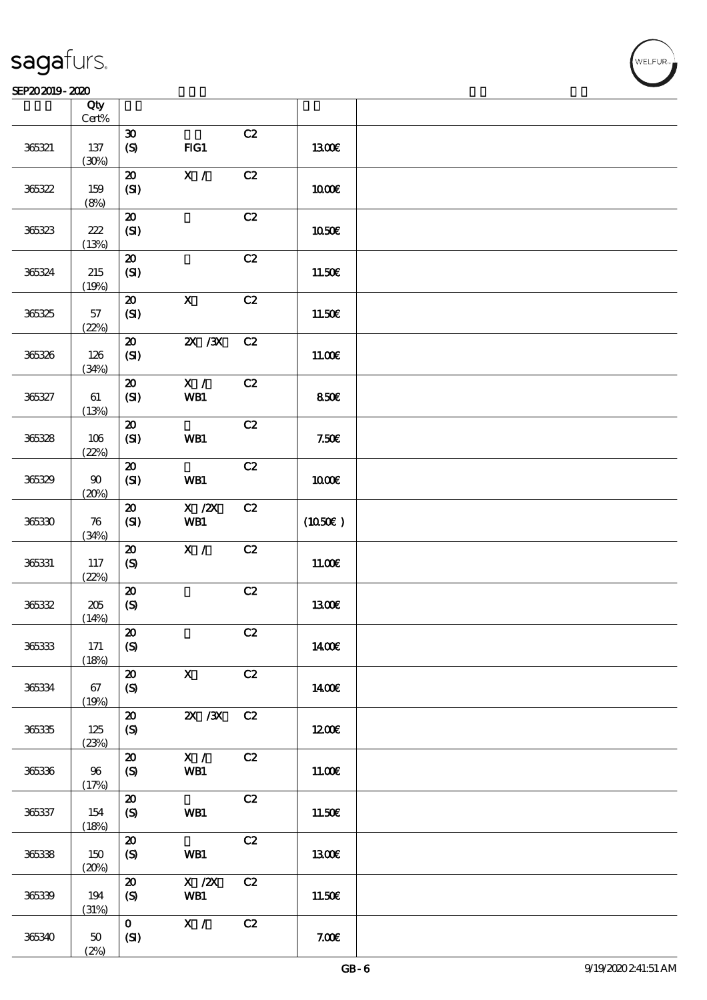#### SEP202019-2020

|        | Qty<br>$\mbox{Cert}\%$ |                                                 |                           |    |              |  |
|--------|------------------------|-------------------------------------------------|---------------------------|----|--------------|--|
|        |                        | $\boldsymbol{\mathfrak{D}}$                     |                           | C2 |              |  |
| 365321 | $137\,$<br>(30%)       | $\boldsymbol{\mathrm{(S)}}$                     | FG1                       |    | <b>1300€</b> |  |
|        |                        | $\pmb{\mathcal{Z}}$                             | $\overline{\mathbf{x}}$ / | C2 |              |  |
| 365322 | 159                    | (SI)                                            |                           |    | 1000E        |  |
|        | (8%)                   |                                                 |                           |    |              |  |
|        |                        | $\pmb{\mathcal{Z}}$                             |                           | C2 |              |  |
| 365323 | $222\,$                | (SI)                                            |                           |    | 1050€        |  |
|        | (13%)                  |                                                 |                           |    |              |  |
|        |                        | $\pmb{\mathcal{Z}}$                             |                           | C2 |              |  |
| 365324 | $215\,$                | (SI)                                            |                           |    | 11.50€       |  |
|        | (19%)                  |                                                 |                           |    |              |  |
|        |                        | $\pmb{\mathcal{Z}}$                             | $\boldsymbol{\mathsf{X}}$ | C2 |              |  |
| 365325 | 57                     | (SI)                                            |                           |    | 11.50€       |  |
|        | (22%)                  | $\boldsymbol{\mathbf{z}}$                       | $X$ / $X$                 | C2 |              |  |
| 365326 | 126                    | (SI)                                            |                           |    | 11.00E       |  |
|        | (34%)                  |                                                 |                           |    |              |  |
|        |                        | $\boldsymbol{\mathfrak{D}}$                     | $\mathbf{X}$ /            | C2 |              |  |
| 365327 | 61                     | (SI)                                            | WB1                       |    | 850€         |  |
|        | (13%)                  |                                                 |                           |    |              |  |
|        |                        | ${\bf Z}$                                       |                           | C2 |              |  |
| 365328 | $106$                  | (SI)                                            | WB1                       |    | 7.50E        |  |
|        | (22%)                  |                                                 |                           |    |              |  |
|        |                        | $\boldsymbol{\mathsf{20}}$                      |                           | C2 |              |  |
| 365329 | $90\,$                 | (SI)                                            | WB1                       |    | $1000E$      |  |
|        | (20%)                  |                                                 | $X$ / $ZX$                | C2 |              |  |
| 36530  | 76                     | $\pmb{\mathcal{Z}}$<br>(SI)                     | WB1                       |    | (1050)       |  |
|        | (34%)                  |                                                 |                           |    |              |  |
|        |                        | $\boldsymbol{\mathsf{20}}$                      | $\mathbf{X}$ /            | C2 |              |  |
| 365331 | 117                    | $\pmb{\text{(S)}}$                              |                           |    | 11.00E       |  |
|        | (22%)                  |                                                 |                           |    |              |  |
|        |                        | $\pmb{\mathcal{Z}}$                             |                           | C2 |              |  |
| 36532  | $205\,$                | $\boldsymbol{S}$                                |                           |    | 1300E        |  |
|        | (14%)                  | $\pmb{\mathcal{X}}$                             |                           | C2 |              |  |
| 365333 | 171                    | $\boldsymbol{S}$                                |                           |    | <b>140€</b>  |  |
|        | (18%)                  |                                                 |                           |    |              |  |
|        |                        | $\boldsymbol{\mathbf{z}}$                       | $\boldsymbol{\mathsf{X}}$ | C2 |              |  |
| 365334 | 67                     | $\boldsymbol{S}$                                |                           |    | 1400€        |  |
|        | (19%)                  |                                                 |                           |    |              |  |
|        |                        | $\boldsymbol{\mathbf{z}}$                       | $ZX$ / $ZX$               | C2 |              |  |
| 365335 | 125                    | $\boldsymbol{S}$                                |                           |    | 1200E        |  |
|        | (23%)                  |                                                 |                           |    |              |  |
|        |                        | $\boldsymbol{\mathfrak{D}}$                     | X /                       | C2 |              |  |
| 365336 | 96<br>(17%)            | $\boldsymbol{\mathrm{(S)}}$                     | WB1                       |    | 11.00E       |  |
|        |                        | $\boldsymbol{\mathbf{z}}$                       |                           | C2 |              |  |
| 365337 | 154                    | $\boldsymbol{S}$                                | WB1                       |    | 11.50E       |  |
|        | (18%)                  |                                                 |                           |    |              |  |
|        |                        | $\boldsymbol{\mathbf{z}}$                       |                           | C2 |              |  |
| 365338 | 150                    | $\boldsymbol{S}$                                | <b>WB1</b>                |    | 1300€        |  |
|        | (20%)                  |                                                 |                           |    |              |  |
| 36539  | 194                    | $\boldsymbol{\mathfrak{D}}$<br>$\boldsymbol{S}$ | $X$ / $ZX$<br>WB1         | C2 | 11.50€       |  |
|        | (31%)                  |                                                 |                           |    |              |  |
|        |                        | $\mathbf{O}$                                    | X /                       | C2 |              |  |
| 365340 | $50\,$                 | (SI)                                            |                           |    | 7.00E        |  |
|        | (2%)                   |                                                 |                           |    |              |  |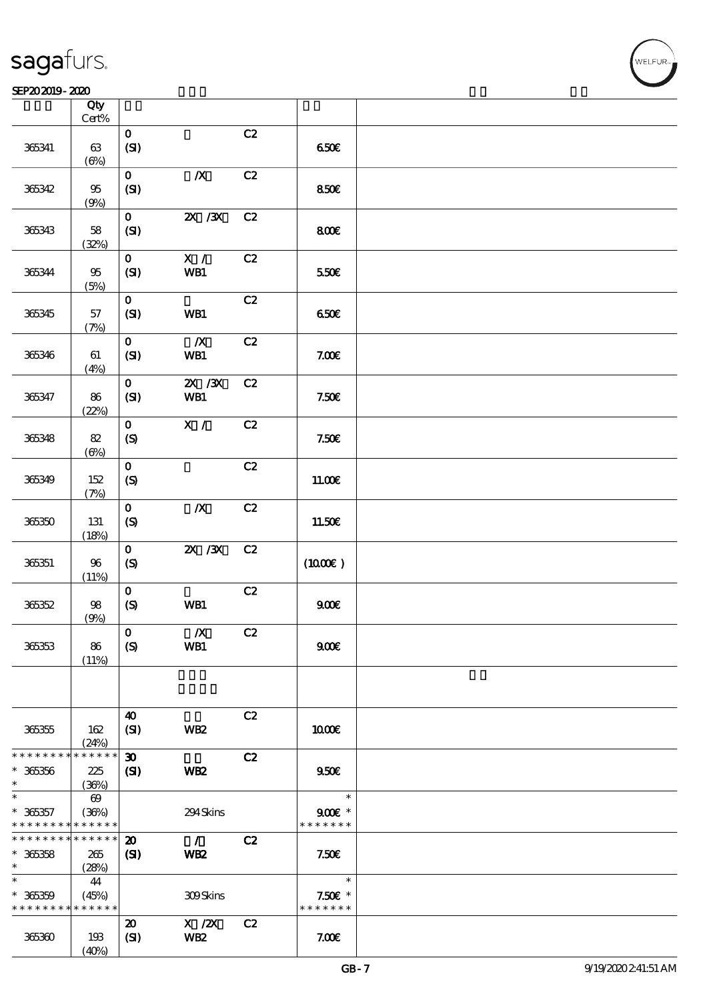#### SEP202019-2020

|                              | Qty<br>$\mbox{Cert}\%$ |                               |                                        |               |                                     |  |
|------------------------------|------------------------|-------------------------------|----------------------------------------|---------------|-------------------------------------|--|
|                              |                        |                               |                                        | C2            |                                     |  |
| 365341                       | 63<br>$(\Theta)$       | $\mathbf O$<br>(SI)           |                                        |               | 650E                                |  |
| 365342                       | $9\!5$                 | $\mathbf{o}$<br>(SI)          | $\boldsymbol{X}$                       | C2            | 850€                                |  |
|                              | (9%)                   |                               |                                        |               |                                     |  |
| 365343                       | 58                     | $\mathbf{O}$<br>(SI)          | $X \, X$                               | C2            | 800                                 |  |
|                              | (32%)                  |                               |                                        |               |                                     |  |
| 365344                       | 95<br>(5%)             | $\mathbf{O}$<br>(SI)          | X /<br>WB1                             | C2            | 550€                                |  |
|                              |                        |                               |                                        |               |                                     |  |
| 365345                       | 57<br>(7%)             | $\mathbf{O}$<br>(SI)          | WB1                                    | C2            | 650€                                |  |
|                              |                        | $\mathbf{O}$                  | $\boldsymbol{X}$                       | C2            |                                     |  |
| 365346                       | 61<br>(4%)             | (SI)                          | WB1                                    |               | 7.00E                               |  |
|                              |                        | $\mathbf{o}$                  | $ZX$ $ZX$                              | C2            |                                     |  |
| 365347                       | 86<br>(22%)            | (SI)                          | WB1                                    |               | 7.50E                               |  |
|                              |                        | $\mathbf{O}$                  | $\mathbf{X}$ /                         | C2            |                                     |  |
| 365348                       | 82<br>$(\Theta)$       | $\boldsymbol{S}$              |                                        |               | 7.50E                               |  |
|                              |                        | $\mathbf{o}$                  |                                        | C2            |                                     |  |
| 365349                       | 152<br>(7%)            | (S)                           |                                        |               | 11.00E                              |  |
|                              |                        | $\mathbf{o}$                  | $\boldsymbol{X}$                       | C2            |                                     |  |
| 365350                       | 131<br>(18%)           | (S)                           |                                        |               | 11.50€                              |  |
| 365351                       | $96\,$                 | $\mathbf{o}$<br>(S)           | $\overline{\mathbf{X}}$ / $\mathbf{X}$ | C2            | (1000E)                             |  |
|                              | (11%)                  |                               |                                        |               |                                     |  |
|                              |                        | $\mathbf{o}$                  |                                        | $\mathbf{C2}$ |                                     |  |
| 366352                       | $98$<br>(9%)           | $\boldsymbol{S}$              | WB1                                    |               | 900E                                |  |
|                              |                        | $\mathbf 0$                   | $\pmb{X}$                              | C2            |                                     |  |
| 365353                       | 86<br>(11%)            | $\boldsymbol{S}$              | WB1                                    |               | 900E                                |  |
|                              |                        |                               |                                        |               |                                     |  |
|                              |                        |                               |                                        |               |                                     |  |
| 365355                       | 162<br>(24%)           | $\boldsymbol{\omega}$<br>(SI) | WB <sub>2</sub>                        | C2            | 1000E                               |  |
| * * * * * * * *              | * * * * * *            | $\boldsymbol{\mathfrak{D}}$   |                                        | C2            |                                     |  |
|                              |                        |                               |                                        |               |                                     |  |
| $* 36356$                    | 225                    | $\mathbf{C}$                  | WB <sub>2</sub>                        |               | 950E                                |  |
| $\ast$                       | (36%)                  |                               |                                        |               |                                     |  |
| $\ast$                       | $\boldsymbol{\omega}$  |                               |                                        |               | $\ast$                              |  |
| $* 36357$<br>* * * * * * * * | (36%)<br>* * * * * *   |                               | 294Skins                               |               | $900$ $\epsilon$ *<br>* * * * * * * |  |
| * * * * * * * *              | * * * * * *            | $\boldsymbol{\mathfrak{D}}$   | $\mathcal{L}$                          | C2            |                                     |  |
| $* 36358$                    | 265                    | (S)                           | WB <sub>2</sub>                        |               | 7.506                               |  |
| $\ast$                       | (28%)                  |                               |                                        |               |                                     |  |
| $\ast$                       | 44                     |                               |                                        |               | $\ast$                              |  |
| $* 36359$                    | (45%)                  |                               | 309Skins                               |               | $7.50E$ *                           |  |
| * * * * * * * *              | * * * * * *            |                               |                                        |               | * * * * * * *                       |  |
|                              |                        |                               |                                        |               |                                     |  |
|                              |                        | $\boldsymbol{\mathfrak{D}}$   | $X$ / $ZX$                             | C2            |                                     |  |
| 365360                       | 193<br>(40%)           | (SI)                          | WB <sub>2</sub>                        |               | 7.00E                               |  |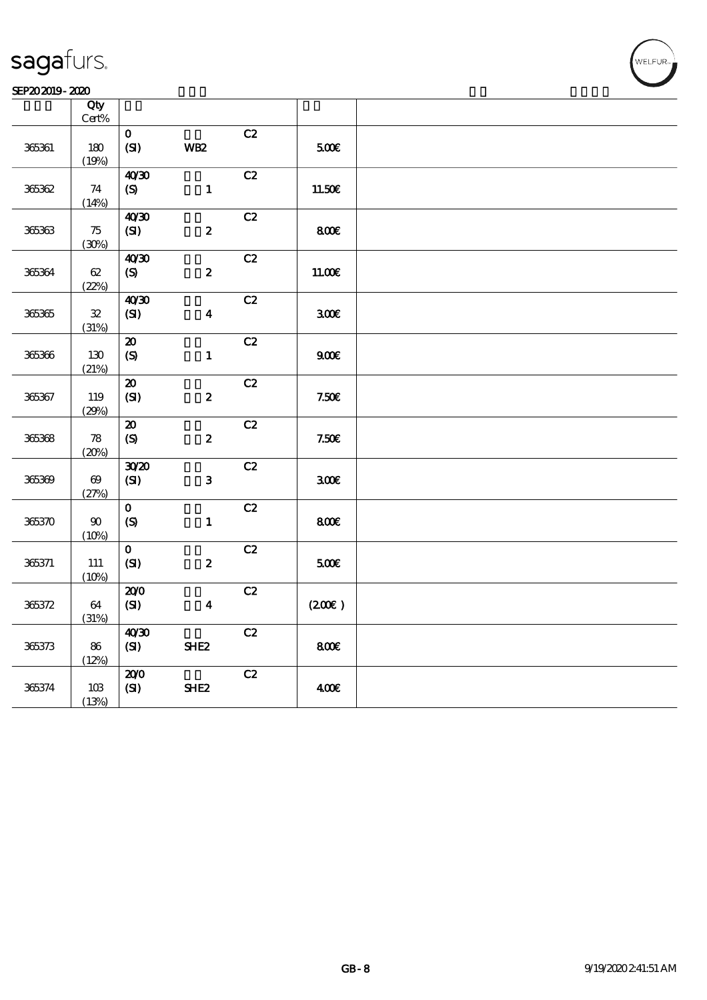#### SEP202019-2020 RHz

| Qty                     |                                                              |                  |               |               |  |
|-------------------------|--------------------------------------------------------------|------------------|---------------|---------------|--|
| $180$                   | $\mathbf{o}$<br>(SI)                                         | <b>WB2</b>       | C2            | 500E          |  |
| 74                      | 40'30<br>(S)                                                 | $\mathbf{1}$     | C2            | 11.50€        |  |
| 75<br>(30%)             | 40'30<br>(SI)                                                | $\boldsymbol{2}$ | C2            | 800           |  |
| $62\,$<br>(22%)         | 40'30<br>$\boldsymbol{\mathrm{(S)}}$                         | $\boldsymbol{z}$ | C2            | 11.00E        |  |
| ${\bf 3\!2}$            | 40'30<br>(SI)                                                | $\boldsymbol{4}$ | C2            | 300E          |  |
| 130                     | ${\bf Z}$<br>$\pmb{\text{(S)}}$                              | $\mathbf{1}$     | C2            | 900E          |  |
| 119<br>(29%)            | $\boldsymbol{\mathsf{20}}$<br>(SI)                           | $\boldsymbol{2}$ | C2            | 7.50E         |  |
| ${\bf 78}$              | $\boldsymbol{\mathfrak{D}}$<br>$\pmb{\text{(S)}}$            | $\boldsymbol{2}$ | C2            | 7.50E         |  |
| $\pmb{\infty}$<br>(27%) | 3020<br>(SI)                                                 | 3                | C2            | 300E          |  |
| $90\,$<br>(10%)         | $\mathbf{o}$<br>$\boldsymbol{S}$                             | $\mathbf{1}$     | C2            | $800$ €       |  |
| $111\,$<br>(10%)        | $\mathbf{o}$<br>(SI)                                         | $\boldsymbol{2}$ | C2            | 500           |  |
| 64<br>(31%)             | 200<br>$\mathbf{C}$                                          | $\boldsymbol{4}$ |               | (200)         |  |
| 86<br>(12%)             | 40'30<br>(SI)                                                | SHE <sub>2</sub> | $\mathbf{C2}$ | 800E          |  |
| $10B$<br>(13%)          | 200<br>(SI)                                                  | SHE <sub>2</sub> | C2            | 400E          |  |
|                         | $\mbox{Cert}\%$<br>(19%)<br>(14%)<br>(31%)<br>(21%)<br>(20%) |                  |               | $\mathbf{C2}$ |  |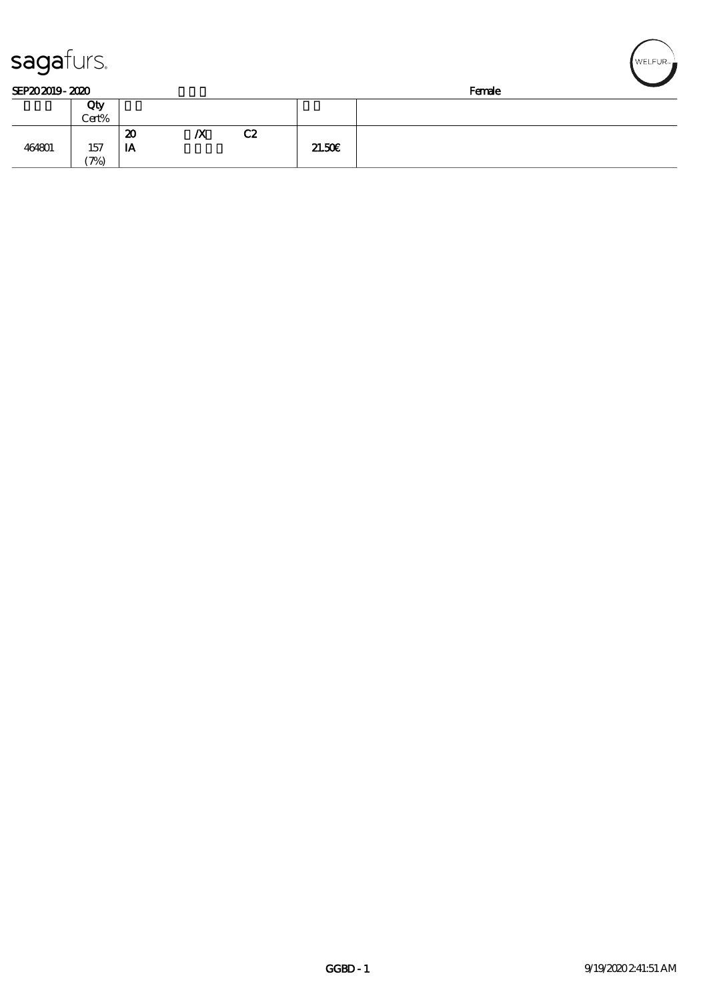| sagafurs.<br>SEP202019-2020 |                   |    |                  |    |        |        | WELFUR <sub>™</sub> |
|-----------------------------|-------------------|----|------------------|----|--------|--------|---------------------|
|                             |                   |    |                  |    |        | Female |                     |
|                             | Qty               |    |                  |    |        |        |                     |
|                             | Cert%             |    |                  |    |        |        |                     |
|                             |                   | 20 | $\boldsymbol{X}$ | C2 |        |        |                     |
| 464801                      | 157               | IA |                  |    | 21.50E |        |                     |
|                             | $\mathcal{P}_{0}$ |    |                  |    |        |        |                     |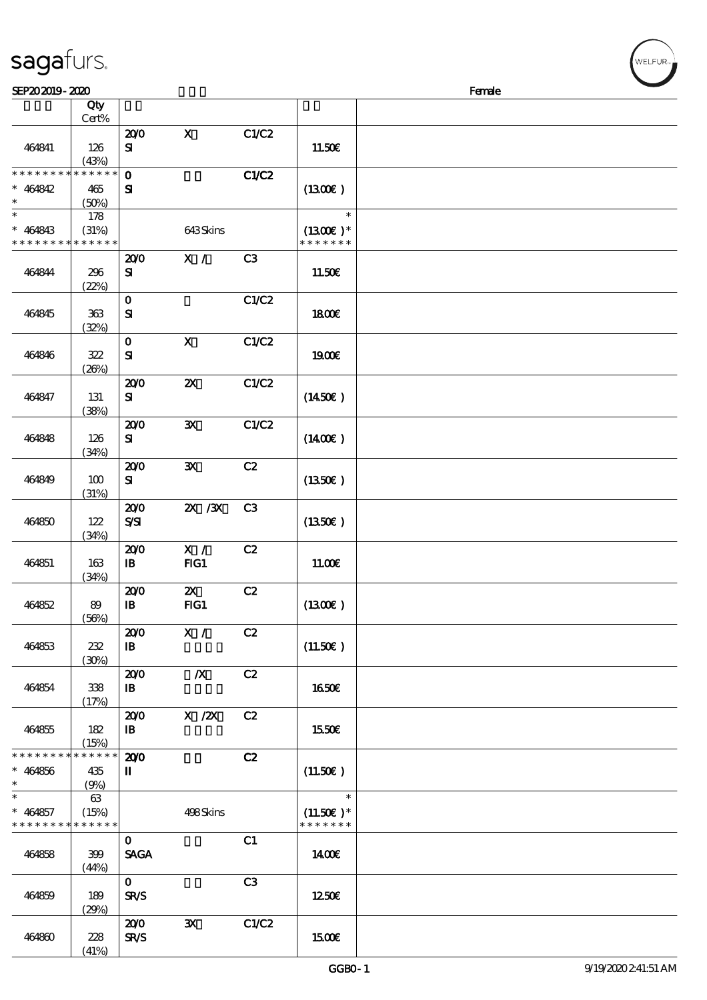(41%)

 $\overline{\phantom{a}}$ 

| SEP202019-2020                                                   |                                |                                   |                                  |              |                                        | Female |  |
|------------------------------------------------------------------|--------------------------------|-----------------------------------|----------------------------------|--------------|----------------------------------------|--------|--|
|                                                                  | Qty<br>Cert%                   |                                   |                                  |              |                                        |        |  |
| 464841                                                           | 126<br>(43%)                   | 200<br>${\bf s}$                  | $\mathbf{X}$                     | C1/C2        | 11.50E                                 |        |  |
| * * * * * * * *<br>$* 464842$<br>$\ast$                          | * * * * * *<br>465<br>(50%)    | $\mathbf 0$<br>${\bf s}$          |                                  | <b>C1/C2</b> | (1300)                                 |        |  |
| $\ast$<br>$* 464843$<br>* * * * * * * * <mark>* * * * * *</mark> | 178<br>(31%)                   |                                   | 643Skins                         |              | $\ast$<br>$(1300)$ *<br>* * * * * * *  |        |  |
| 464844                                                           | 296<br>(22%)                   | 200<br>${\bf s}$                  | X /                              | C3           | 11.50E                                 |        |  |
| 464845                                                           | 363<br>(32%)                   | $\mathbf{o}$<br>${\bf s}$         |                                  | C1/C2        | 1800E                                  |        |  |
| 464846                                                           | 322<br>(20%)                   | $\mathbf{O}$<br>${\bf s}$         | $\boldsymbol{\mathrm{X}}$        | C1/C2        | 1900E                                  |        |  |
| 464847                                                           | 131<br>(38%)                   | 200<br>${\bf s}$                  | $\boldsymbol{\mathsf{Z}}$        | C1/C2        | (1450E)                                |        |  |
| 464848                                                           | 126<br>(34%)                   | 200<br>${\bf s}$                  | ${\bf X}$                        | C1/C2        | (1400E)                                |        |  |
| 464849                                                           | 100<br>(31%)                   | 200<br>${\bf s}$                  | $\mathbf{x}$                     | C2           | (1350E)                                |        |  |
| 464850                                                           | 122<br>(34%)                   | 200<br>$S\!S\!I$                  | $X \, X$                         | C3           | (1350)                                 |        |  |
| 464851                                                           | 163<br>(34%)                   | 200<br>$\mathbf{B}$               | X /<br>$HG1$                     | C2           | 11.00E                                 |        |  |
| 464852                                                           | 89<br>(56%)                    | 200<br>$\, {\bf I} \! {\bf B} \,$ | $\boldsymbol{\mathsf{Z}}$<br>FG1 | C2           | (1300)                                 |        |  |
| 464853                                                           | 232<br>(30%)                   | 200<br>$\mathbf{B}$               | X /                              | C2           | (11.50)                                |        |  |
| 464854                                                           | 338<br>(17%)                   | 200<br>$\mathbf{B}$               | $\mathbb{X}$                     | C2           | <b>1650€</b>                           |        |  |
| 464855                                                           | 182<br>(15%)                   | 200<br>$\mathbf{B}$               | $X$ / $ZX$                       | C2           | 1550€                                  |        |  |
| * * * * * * * *<br>$* 464856$<br>$\ast$                          | $* * * * * * *$<br>435<br>(9%) | 200<br>П                          |                                  | C2           | (11.50)                                |        |  |
| $\ast$<br>$* 464857$<br>* * * * * * * * <mark>* * * * * *</mark> | 63<br>(15%)                    |                                   | 498Skins                         |              | $\ast$<br>$(11.50)$ *<br>* * * * * * * |        |  |
| 464858                                                           | 399<br>(44%)                   | $\mathbf{O}$<br><b>SAGA</b>       |                                  | C1           | 1400                                   |        |  |
| 464859                                                           | 189<br>(29%)                   | $\mathbf{0}$<br><b>SR/S</b>       |                                  | C3           | 1250€                                  |        |  |
| 464860                                                           | 228                            | 200<br><b>SR/S</b>                | $\mathbf{x}$                     | C1/C2        | 1500€                                  |        |  |

ELFUR-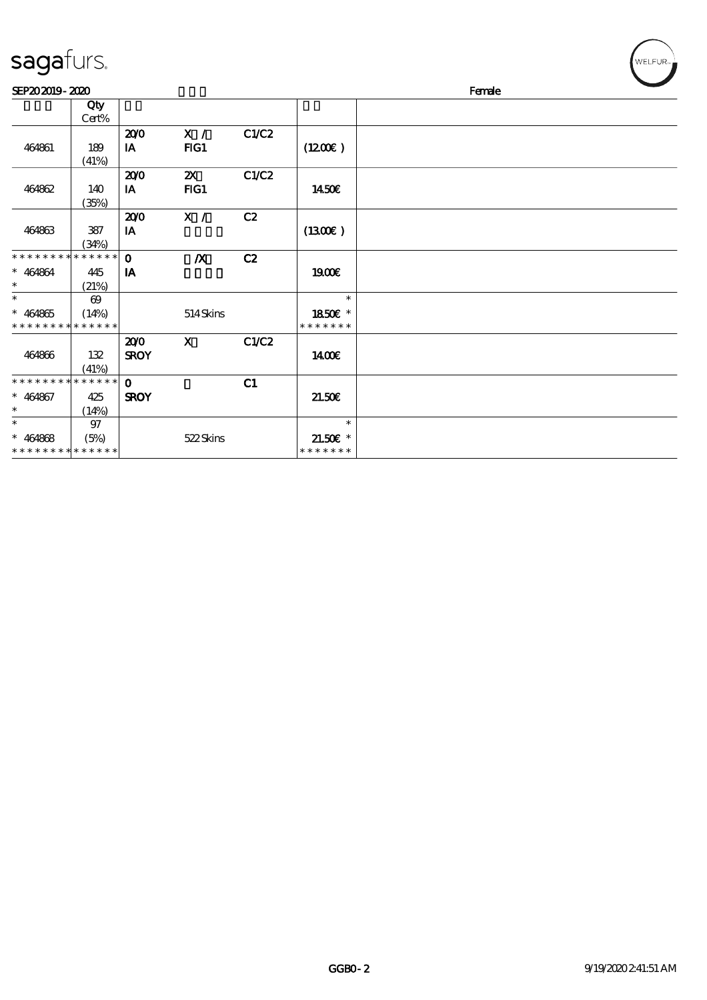| sagafurs. |
|-----------|
|-----------|

\*

\*

\* 464868

\* \* \* \* \* \* \* \* \* \* \* \* \*

 $(14%)$ 

97

(5%) 522 Skins

| sagafurs.                               |                                               |                    |                       |       |                                    |        | WELFUR <sub>™</sub> |
|-----------------------------------------|-----------------------------------------------|--------------------|-----------------------|-------|------------------------------------|--------|---------------------|
| SEP202019-2020                          |                                               |                    |                       |       |                                    | Female |                     |
|                                         | Qty<br>Cert%                                  |                    |                       |       |                                    |        |                     |
| 464861                                  | 189<br>(41%)                                  | 200<br>IA          | X /<br>FG1            | C1/C2 | (1200E)                            |        |                     |
| 464862                                  | 140<br>(35%)                                  | 200<br>IA          | $\mathbf{x}$<br>$HG1$ | C1/C2 | 1450€                              |        |                     |
| 464863                                  | 387<br>(34%)                                  | 200<br>IA          | X /                   | C2    | (1300E)                            |        |                     |
| * * * * * * * *<br>$* 464864$<br>$\ast$ | * * * * * *<br>445<br>(21%)                   | $\mathbf 0$<br>IA  | $\boldsymbol{X}$      | C2    | <b>1900€</b>                       |        |                     |
| $\ast$<br>$* 464865$<br>* * * * * * * * | $\boldsymbol{\omega}$<br>(14%)<br>* * * * * * |                    | 514Skins              |       | $\ast$<br>1850E *<br>* * * * * * * |        |                     |
| 464866                                  | 132<br>(41%)                                  | 200<br><b>SROY</b> | X                     | C1/C2 | 1400E                              |        |                     |
| * * * * * * * * * * * * * *             |                                               | $\Omega$           |                       | C1    |                                    |        |                     |
| $* 464867$                              | 425                                           | <b>SROY</b>        |                       |       | 21.50E                             |        |                     |

\*

\* 21.50€\* \* \* \* \* \* \*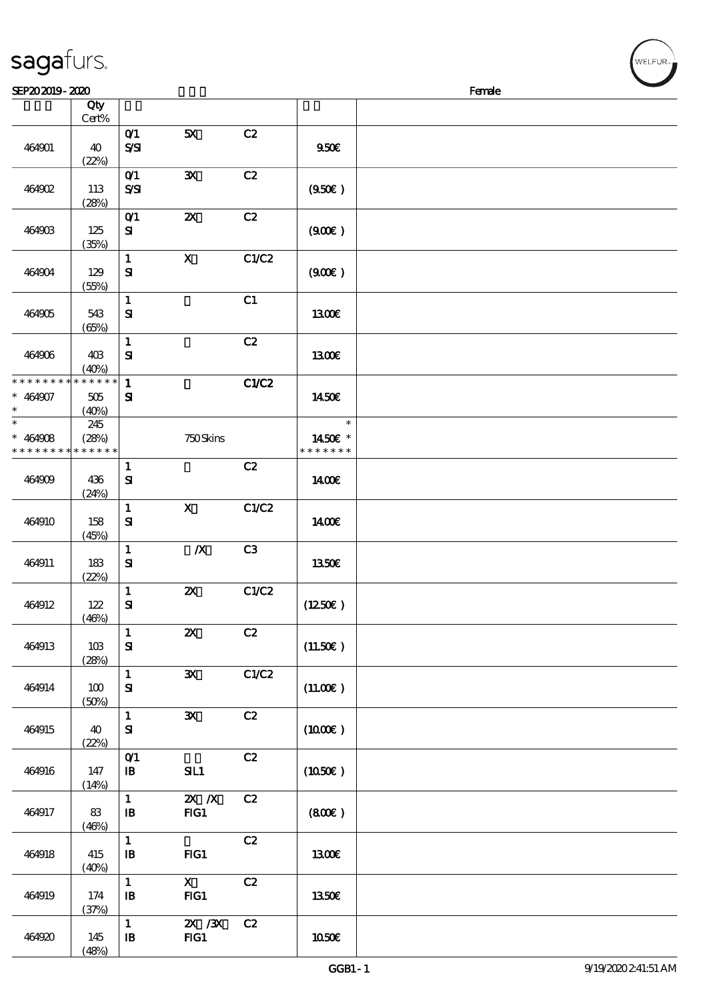| sagafurs. |  |
|-----------|--|
|           |  |

 $(48%)$ 

| SEP202019-2020                                                 |                      |                                            |                           |                |                                    | Female |
|----------------------------------------------------------------|----------------------|--------------------------------------------|---------------------------|----------------|------------------------------------|--------|
|                                                                | Qty                  |                                            |                           |                |                                    |        |
| 464901                                                         | Cert%<br>40<br>(22%) | O(1)<br>$S\!S\!I$                          | 5X                        | C2             | 950E                               |        |
| 464902                                                         | 113<br>(28%)         | O(1)<br>SSI                                | ${\bf x}$                 | C2             | (950)                              |        |
| 464903                                                         | 125<br>(35%)         | $O$ <sup><math>1</math></sup><br>${\bf s}$ | $\boldsymbol{\mathsf{z}}$ | C2             | (900)                              |        |
| 464904                                                         | 129<br>(55%)         | $\mathbf{1}$<br>${\bf s}$                  | $\mathbf X$               | C1/C2          | (900)                              |        |
| 464905                                                         | 543<br>(65%)         | $\mathbf{1}$<br>${\bf s}$                  |                           | C1             | <b>1300€</b>                       |        |
| 464906                                                         | 40B<br>(40%)         | $\mathbf{1}$<br>$\mathbf{S}$               |                           | C2             | 1300E                              |        |
| * * * * * * * * * * * * * *<br>$* 464907$<br>$\ast$            | 505<br>(40%)         | $\mathbf{1}$<br>${\bf s}$                  |                           | C1/C2          | 1450€                              |        |
| $\overline{\ast}$<br>$* 464908$<br>* * * * * * * * * * * * * * | 245<br>(28%)         |                                            | $750$ Skins               |                | $\ast$<br>1450E *<br>* * * * * * * |        |
| 464909                                                         | 436<br>(24%)         | $\mathbf{1}$<br>${\bf s}$                  |                           | C2             | 1400E                              |        |
| 464910                                                         | 158<br>(45%)         | $\mathbf{1}$<br>${\bf s}$                  | $\mathbf x$               | C1/C2          | <b>140€</b>                        |        |
| 464911                                                         | 183<br>(22%)         | $\mathbf{1}$<br>${\bf s}$                  | $\boldsymbol{X}$          | C <sub>3</sub> | 1350€                              |        |
| 464912                                                         | 122<br>(46%)         | $\mathbf{1}$<br>$\mathbf{S}$               | $\pmb{\mathsf{zx}}$       | C1/C2          | (1250E)                            |        |
| 464913                                                         | 10B<br>(28%)         | $\mathbf{1}$<br>${\bf s}$                  | $\boldsymbol{\mathsf{z}}$ | C2             | (11.50)                            |        |
| 464914                                                         | 100<br>(50%)         | $\mathbf{1}$<br>${\bf s}$                  | $\mathbf{x}$              | C1/C2          | (11.00)                            |        |
| 464915                                                         | 40<br>(22%)          | $\mathbf{1}$<br>${\bf s}$                  | ${\bf X}$                 | C2             | (1000E)                            |        |
| 464916                                                         | 147<br>(14%)         | $O$ $1$<br>$\mathbf{B}$                    | SL1                       | C2             | (1050)                             |        |
| 464917                                                         | 83<br>(46%)          | $\mathbf{1}$<br>$\mathbf{B}$               | $X$ $N$<br>FG1            | C2             | (800)                              |        |
| 464918                                                         | 415<br>(40%)         | $\mathbf{1}$<br>$\mathbf{B}$               | FG1                       | C2             | 1300E                              |        |
| 464919                                                         | 174<br>(37%)         | $\mathbf{1}$<br>$\, {\bf I} \! {\bf B} \,$ | $\mathbf{X}$<br>$HG1$     | C2             | 1350E                              |        |
| 464920                                                         | 145                  | $\mathbf 1$<br>$\mathbf{B}$                | $X \, X$<br>FG1           | C2             | 1050€                              |        |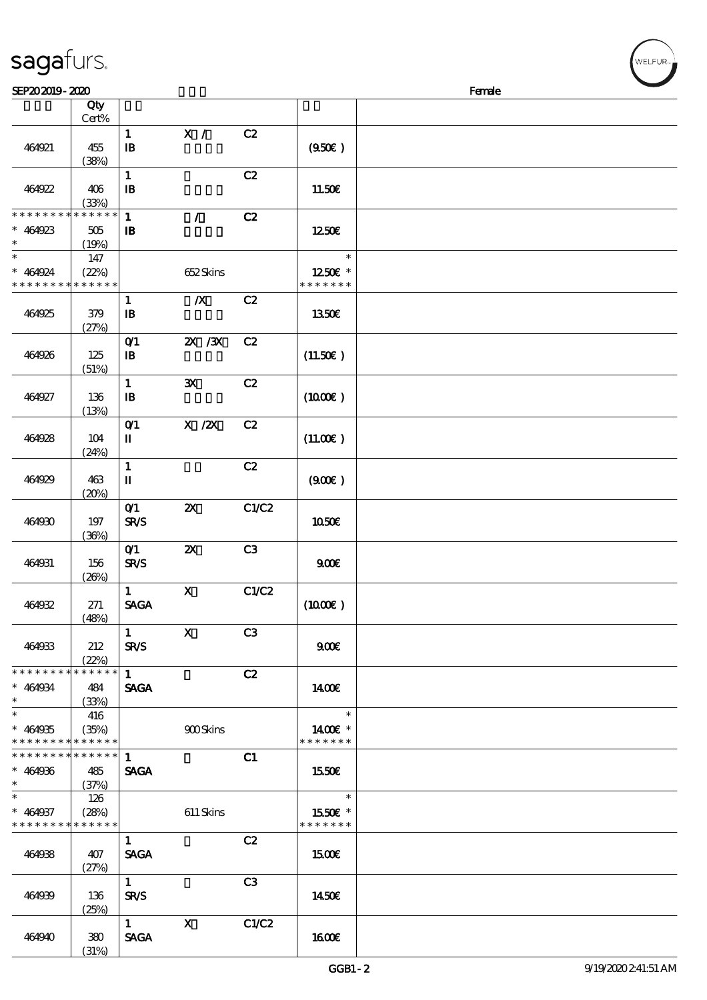| sagafurs. |  |
|-----------|--|
|           |  |

(31%)

| SEP202019-2020                                                   |                                 |                                               |                           |                |                                    | Female |  |
|------------------------------------------------------------------|---------------------------------|-----------------------------------------------|---------------------------|----------------|------------------------------------|--------|--|
|                                                                  | Qty<br>Cert%                    |                                               |                           |                |                                    |        |  |
| 464921                                                           | 455<br>(38%)                    | $\mathbf{1}$<br>$\mathbf{B}$                  | X /                       | C2             | (950)                              |        |  |
| 464922                                                           | 406<br>(33%)                    | $\mathbf{1}$<br>$\mathbf{B}$                  |                           | C2             | 11.50€                             |        |  |
| * * * * * * * *<br>$* 464923$<br>$\ast$                          | * * * * * *<br>$505\,$<br>(19%) | $\mathbf{1}$<br>$\mathbf{B}$                  | $\mathcal{L}$             | C2             | 1250E                              |        |  |
| $\ast$<br>$* 464924$<br>* * * * * * * * <mark>* * * * * *</mark> | 147<br>(22%)                    |                                               | 652Skins                  |                | $\ast$<br>1250E *<br>* * * * * * * |        |  |
| 464925                                                           | 379<br>(27%)                    | $\mathbf{1}$<br>в                             | $\boldsymbol{X}$          | C2             | 1350€                              |        |  |
| 464926                                                           | 125<br>(51%)                    | $O$ <sup><math>1</math></sup><br>$\mathbf{B}$ | 2X / 3X                   | C2             | (11.50)                            |        |  |
| 464927                                                           | 136<br>(13%)                    | $\mathbf{1}$<br>$\, {\bf I} \! {\bf B} \,$    | $\mathbf{x}$              | C2             | (1000E)                            |        |  |
| 464928                                                           | 104<br>(24%)                    | O(1)<br>П                                     | $X$ / $ZX$                | C2             | (11.00)                            |        |  |
| 464929                                                           | 463<br>(20%)                    | $\mathbf{1}$<br>П                             |                           | C2             | (900)                              |        |  |
| 464930                                                           | 197<br>(36%)                    | O(1)<br><b>SR/S</b>                           | $\boldsymbol{\mathsf{Z}}$ | C1/C2          | <b>1050€</b>                       |        |  |
| 464931                                                           | 156<br>(20%)                    | $O$ <sup>1</sup><br><b>SR/S</b>               | $\boldsymbol{\mathsf{z}}$ | C <sub>3</sub> | 900E                               |        |  |
| 464932                                                           | 271<br>(48%)                    | $\mathbf{1}$<br><b>SAGA</b>                   | $\mathbf X$               | C1/C2          | $(1000\varepsilon)$                |        |  |
| 464933                                                           | 212<br>(22%)                    | 1<br><b>SR/S</b>                              | $\mathbf{x}$              | C3             | 900E                               |        |  |
| * * * * * * * * * * * * * *<br>$* 464934$<br>$\ast$              | 484<br>(33%)                    | $1 \quad$<br><b>SAGA</b>                      |                           | C2             | 1400E                              |        |  |
| $\ast$<br>$* 464935$<br>* * * * * * * * * * * * * *              | 416<br>(35%)                    |                                               | 900Skins                  |                | $\ast$<br>1400€ *<br>* * * * * * * |        |  |
| * * * * * * * * * * * * * * *<br>$* 464936$<br>$\ast$            | 485<br>(37%)                    | $\mathbf{1}$<br><b>SAGA</b>                   |                           | C1             | 1550€                              |        |  |
| $\ast$<br>$* 464937$<br>* * * * * * * * * * * * * *              | 126<br>(28%)                    |                                               | 611 Skins                 |                | $\ast$<br>1550E *<br>* * * * * * * |        |  |
| 464938                                                           | 407<br>(27%)                    | $\mathbf{1}$<br><b>SAGA</b>                   |                           | C2             | 1500                               |        |  |
| 464939                                                           | 136<br>(25%)                    | 1<br><b>SR/S</b>                              |                           | C3             | 1450E                              |        |  |
| 464940                                                           | 380                             | $1 \quad \blacksquare$<br><b>SAGA</b>         | $\mathbf{X}$              | C1/C2          | 1600E                              |        |  |

ELFUR-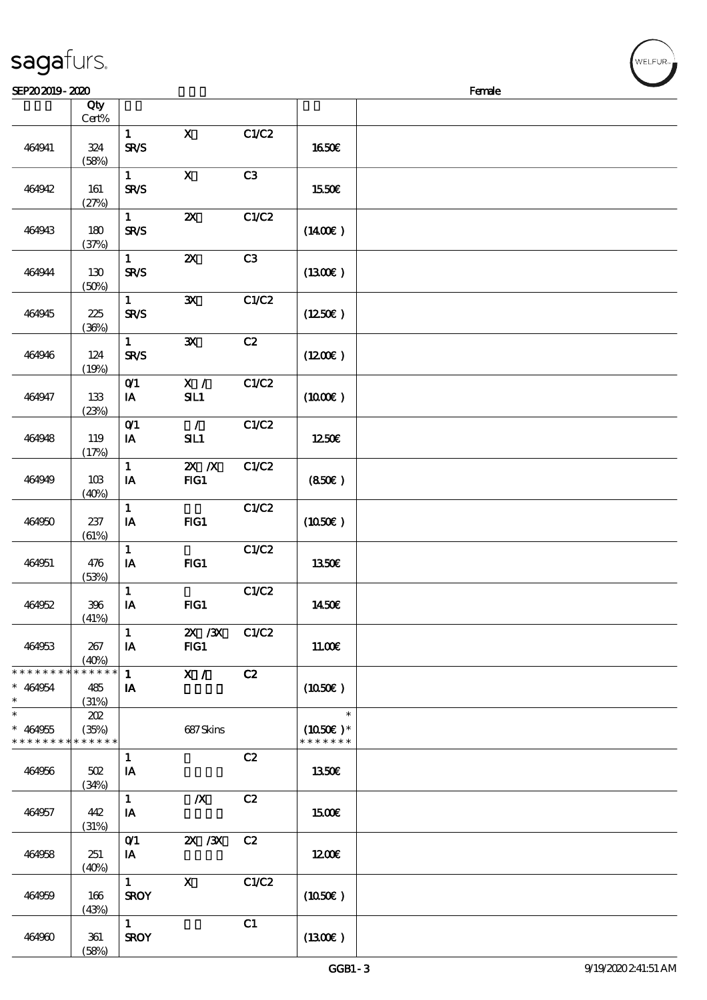|                                         | Cert%                       |                                        |                                  |       |                                       |  |
|-----------------------------------------|-----------------------------|----------------------------------------|----------------------------------|-------|---------------------------------------|--|
| 464941                                  | 324<br>(58%)                | $\mathbf{1}$<br><b>SR/S</b>            | $\mathbf X$                      | C1/C2 | 1650€                                 |  |
| 464942                                  | 161<br>(27%)                | $\mathbf{1}$<br><b>SR/S</b>            | $\mathbf x$                      | C3    | 1550€                                 |  |
| 464943                                  | 180<br>(37%)                | $\mathbf{1}$<br><b>SR/S</b>            | $\boldsymbol{\mathsf{X}}$        | C1/C2 | (1400)                                |  |
| 464944                                  | 130<br>(50%)                | $\mathbf{1}$<br><b>SR/S</b>            | $\boldsymbol{\mathsf{z}}$        | C3    | (1300E)                               |  |
| 464945                                  | 225<br>(36%)                | $\mathbf{1}$<br><b>SR/S</b>            | $\mathbf{x}$                     | C1/C2 | (1250E)                               |  |
| 464946                                  | 124<br>(19%)                | $\mathbf{1}$<br><b>SR/S</b>            | $\mathbf{x}$                     | C2    | $(1200\varepsilon)$                   |  |
| 464947                                  | 133<br>(23%)                | O(1)<br>IA                             | X /<br>SL1                       | C1/C2 | $(1000\varepsilon)$                   |  |
| 464948                                  | 119<br>(17%)                | $O$ <sup><math>1</math></sup><br>IA    | $\mathcal{L}$<br>SL1             | C1/C2 | 1250€                                 |  |
| 464949                                  | 10B<br>(40%)                | $\mathbf{1}$<br>IA                     | $\mathbf{X}$ $\mathbf{X}$<br>FG1 | C1/C2 | (850)                                 |  |
| 464950                                  | 237<br>(61%)                | $\mathbf{1}$<br>IA                     | FG1                              | C1/C2 | (1050)                                |  |
| 464951                                  | 476<br>(53%)                | $\mathbf{1}$<br>IA                     | $HG1$                            | C1/C2 | 1350E                                 |  |
| 464952                                  | 396<br>(41%)                | $\mathbf{1}$<br>IA                     | FG1                              | C1/C2 | 1450€                                 |  |
| 464953                                  | $267\,$<br>(40%)            | $\mathbf{1}$<br>$\mathbf{I}\mathbf{A}$ | $X \, X$<br>FG1                  | C1/C2 | 11.00E                                |  |
| * * * * * * * *<br>$* 464954$<br>$\ast$ | * * * * * *<br>485<br>(31%) | $\mathbf{1}$<br>IA                     | X /                              | C2    | (1050)                                |  |
| $\ast$<br>$* 464955$<br>* * * * * * * * | 202<br>(35%)<br>* * * * * * |                                        | 687Skins                         |       | $\ast$<br>$(1050)$ *<br>* * * * * * * |  |
| 464956                                  | $502\,$<br>(34%)            | $\mathbf{1}$<br>IA                     |                                  | C2    | 1350€                                 |  |
| 464957                                  | 442<br>(31%)                | $\mathbf{1}$<br>IA                     | $\boldsymbol{X}$                 | C2    | <b>1500€</b>                          |  |

顺序号 Qty

464958 251

464959 166

464960 361

 $(40%)$ 

(43%)

 $(58%)$ 

0/1 2X /3X C2

 $\overline{1}$  X C1/C2

 $\overline{1}$  C1

 $IA$   $1200 \epsilon$ 

 $SROY$  (1050€)

 $SROY$  (1300€)

说明 价格

**NELFUR**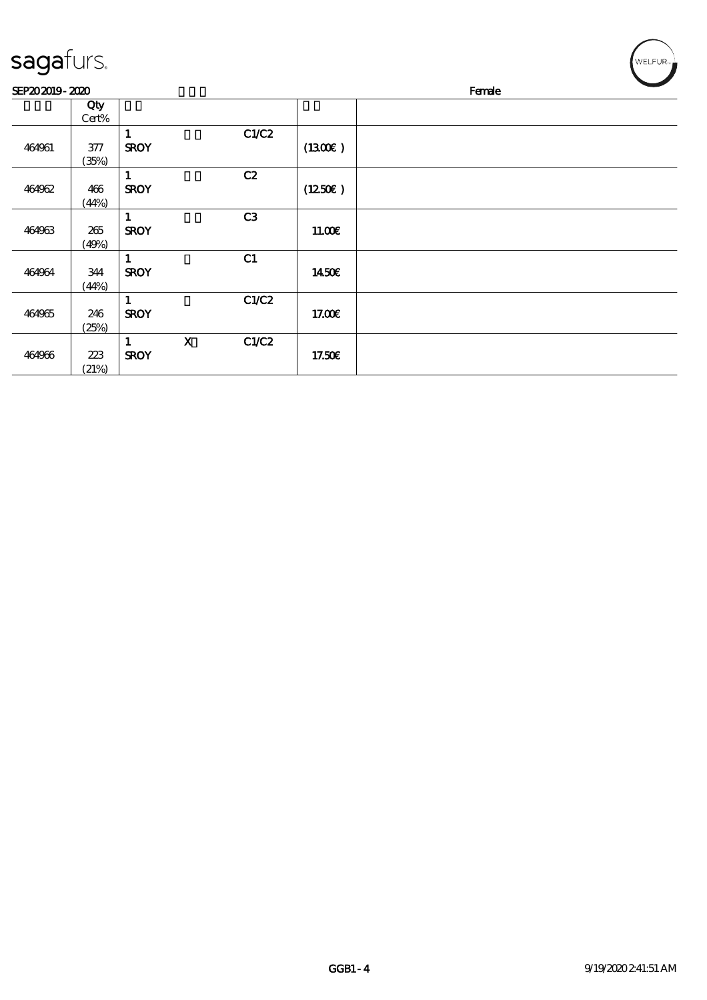| sagafurs.      |                  |                  |              |                |         | WELFUR <sub>™</sub> |
|----------------|------------------|------------------|--------------|----------------|---------|---------------------|
| SEP202019-2020 |                  |                  |              |                |         | Female              |
|                | Qty<br>Cert%     |                  |              |                |         |                     |
| 464961         | $377\,$<br>(35%) | 1<br><b>SROY</b> |              | C1/C2          | (1300E) |                     |
| 464962         | 466<br>(44%)     | 1<br><b>SROY</b> |              | C2             | (1250E) |                     |
| 464963         | $265\,$<br>(49%) | 1<br><b>SROY</b> |              | C <sub>3</sub> | 11.00E  |                     |
| 464964         | 344<br>(44%)     | 1<br><b>SROY</b> |              | C1             | 1450€   |                     |
| 464965         | 246<br>(25%)     | 1<br><b>SROY</b> |              | C1/C2          | 17.00E  |                     |
| 464966         | 223<br>(21%)     | 1<br><b>SROY</b> | $\mathbf{x}$ | C1/C2          | 17.50€  |                     |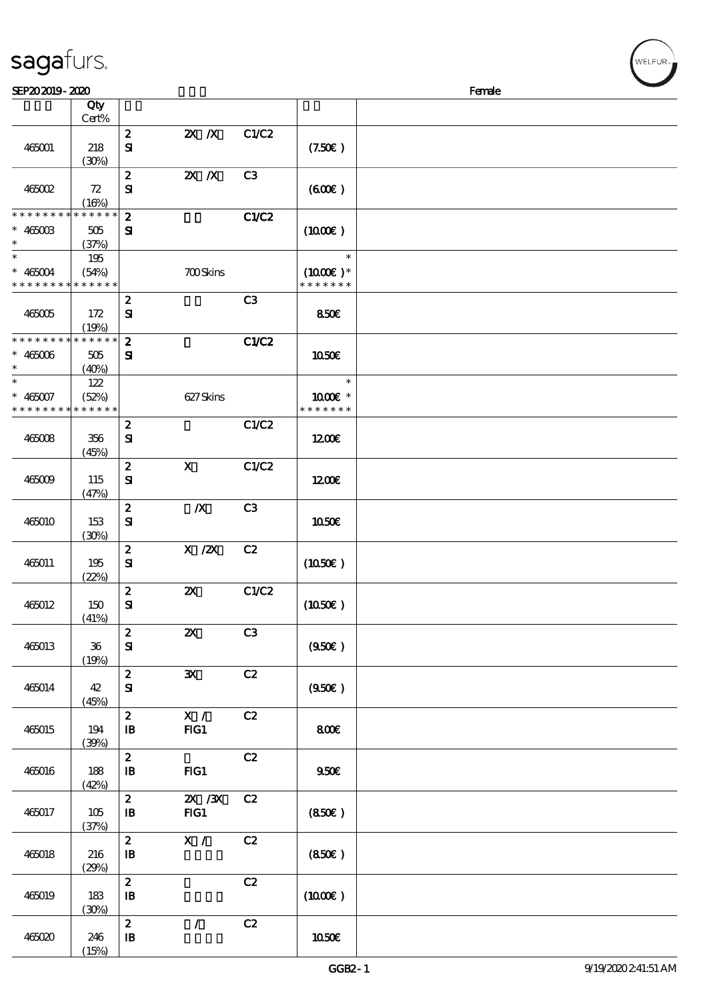|  | sagafurs. |
|--|-----------|
|  |           |

| SEP202019-2020              |             |                        |                           |                |               | Female |
|-----------------------------|-------------|------------------------|---------------------------|----------------|---------------|--------|
|                             | Qty         |                        |                           |                |               |        |
|                             | Cert%       |                        |                           |                |               |        |
|                             |             | $\boldsymbol{2}$       | $X$ $N$                   | C1/C2          |               |        |
| 465001                      | 218         | $\mathbf{S}$           |                           |                | (7.50)        |        |
|                             | (30%)       |                        |                           |                |               |        |
|                             |             | $\pmb{2}$              | $X$ $X$                   | C <sub>3</sub> |               |        |
| 465002                      | 72          | ${\bf s}$              |                           |                | (600)         |        |
|                             | (16%)       |                        |                           |                |               |        |
| * * * * * * * *             | * * * * * * | $\boldsymbol{z}$       |                           | C1/C2          |               |        |
| $* 46500B$                  | 505         | ${\bf s}$              |                           |                | (1000E)       |        |
| $\ast$                      | (37%)       |                        |                           |                |               |        |
| $\ast$                      | 195         |                        |                           |                | $\ast$        |        |
| $* 465004$                  | (54%)       |                        | <b>700Skins</b>           |                | $(1000E)*$    |        |
| * * * * * * * * * * * * * * |             |                        |                           |                | * * * * * * * |        |
|                             |             | $\pmb{2}$              |                           | C3             |               |        |
| 465005                      | 172         | ${\bf s}$              |                           |                | 850E          |        |
|                             | (19%)       |                        |                           |                |               |        |
| * * * * * * * * * * * * * * |             | $\boldsymbol{z}$       |                           | C1/C2          |               |        |
| $* 465006$                  | 505         | ${\bf s}$              |                           |                | 1050E         |        |
| $\ast$                      | (40%)       |                        |                           |                |               |        |
| $\ast$                      | 122         |                        |                           |                | $\ast$        |        |
| $* 465007$                  | (52%)       |                        | 627Skins                  |                | 1000 *        |        |
| * * * * * * * *             | * * * * * * |                        |                           |                | * * * * * * * |        |
|                             |             | $\boldsymbol{2}$       |                           | C1/C2          |               |        |
| 465008                      | 356         | ${\bf s}$              |                           |                | 1200E         |        |
|                             | (45%)       |                        |                           |                |               |        |
|                             |             | $\bf{2}$               | $\mathbf x$               | C1/C2          |               |        |
| 465009                      | 115         | ${\bf s}$              |                           |                | 1200          |        |
|                             |             |                        |                           |                |               |        |
|                             | (47%)       | $\boldsymbol{2}$       | $\boldsymbol{X}$          | C <sub>3</sub> |               |        |
|                             | 153         | ${\bf s}$              |                           |                | 1050E         |        |
| 465010                      |             |                        |                           |                |               |        |
|                             | (30%)       | $\boldsymbol{2}$       | $X$ / $ZX$                | C2             |               |        |
|                             |             | ${\bf s}$              |                           |                | (1050)        |        |
| 465011                      | 195         |                        |                           |                |               |        |
|                             | (22%)       | $\bf{2}$               | $\boldsymbol{\mathsf{Z}}$ | C1/C2          |               |        |
| 465012                      | 150         | $\mathbf{S}\mathbf{I}$ |                           |                | (1050)        |        |
|                             | (41%)       |                        |                           |                |               |        |
|                             |             | $\boldsymbol{z}$       | $\pmb{\mathsf{Z}}$        | C <sub>3</sub> |               |        |
| 465013                      | $36\,$      | ${\bf S}$              |                           |                | (950)         |        |
|                             |             |                        |                           |                |               |        |
|                             | (19%)       | $\boldsymbol{2}$       | $\mathbf{x}$              | C2             |               |        |
|                             |             |                        |                           |                |               |        |
| 465014                      | 42          | ${\bf S}$              |                           |                | (950)         |        |
|                             | (45%)       | $\boldsymbol{z}$       | X /                       | C2             |               |        |
|                             | 194         |                        |                           |                |               |        |
| 465015                      |             | $\mathbf{B}$           | FG1                       |                | 800E          |        |
|                             | (39%)       |                        |                           |                |               |        |
|                             |             | $\pmb{2}$              |                           | C2             |               |        |
| 465016                      | 188         | $\mathbf{B}$           | $HG1$                     |                | 950E          |        |
|                             | (42%)       | $\boldsymbol{z}$       | $X \, X$                  | C2             |               |        |
|                             |             |                        |                           |                |               |        |
| 465017                      | 105         | $\mathbf{B}$           | FG1                       |                | (850)         |        |
|                             | (37%)       | $\boldsymbol{z}$       | X /                       | C2             |               |        |
|                             |             |                        |                           |                |               |        |
| 465018                      | 216         | $\, {\bf B}$           |                           |                | (850)         |        |
|                             | (29%)       |                        |                           |                |               |        |
|                             |             | $\boldsymbol{2}$       |                           | C2             |               |        |
| 465019                      | 183         | $\mathbf{B}$           |                           |                | (1000E)       |        |
|                             | (30%)       | $\boldsymbol{2}$       | $\mathcal{L}$             |                |               |        |
|                             |             |                        |                           | C2             |               |        |
| 465020                      | 246         | $\mathbf{B}$           |                           |                | 1050€         |        |
|                             | (15%)       |                        |                           |                |               |        |

ELFUR<sub>i</sub>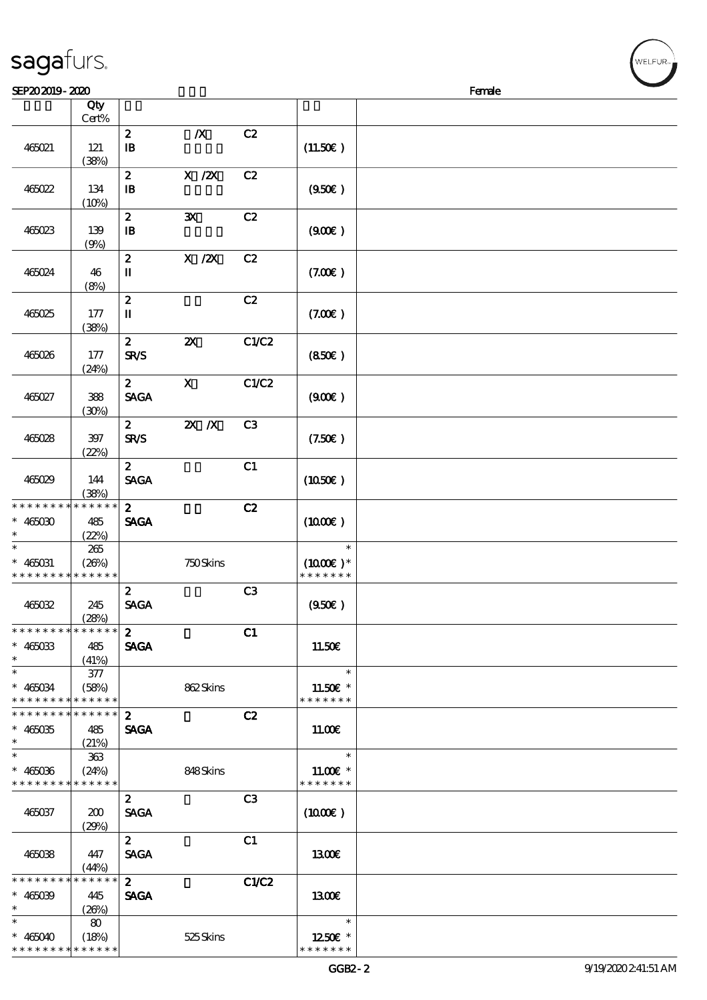| sagafurs. |  |
|-----------|--|
|           |  |

\* \* \* \* \* \* \*

\* \* \* \* \*

| SEP202019-2020                                                        |                 |                                  |                           |                |                                       | Female |
|-----------------------------------------------------------------------|-----------------|----------------------------------|---------------------------|----------------|---------------------------------------|--------|
|                                                                       | Qty<br>$Cert\%$ |                                  |                           |                |                                       |        |
| 465021                                                                | 121<br>(38%)    | $\boldsymbol{z}$<br>$\mathbf{B}$ | $\boldsymbol{X}$          | C2             | (11.50)                               |        |
| 465022                                                                | 134<br>(10%)    | $\boldsymbol{z}$<br>$\mathbf{B}$ | $X$ / $ZX$                | C2             | (950)                                 |        |
| 465023                                                                | 139<br>(9%)     | $\boldsymbol{2}$<br>$\mathbf{B}$ | $\mathbf{x}$              | C2             | (900)                                 |        |
| 465024                                                                | 46<br>(8%)      | $\boldsymbol{z}$<br>$\mathbf I$  | $X$ / $ZX$                | C2             | (7.00)                                |        |
| 465025                                                                | 177<br>(38%)    | $\boldsymbol{z}$<br>П            |                           | C2             | (7.00)                                |        |
| 465026                                                                | 177<br>(24%)    | $\mathbf{2}$<br><b>SR/S</b>      | $\boldsymbol{\mathsf{z}}$ | C1/C2          | (850)                                 |        |
| 465027                                                                | 388<br>(30%)    | $\boldsymbol{z}$<br><b>SAGA</b>  | $\mathbf x$               | C1/C2          | (900)                                 |        |
| 465028                                                                | $397$<br>(22%)  | $\mathbf{2}$<br><b>SR/S</b>      | $\mathbf{X}$ $\mathbf{X}$ | C <sub>3</sub> | (7.50)                                |        |
| 465029                                                                | 144<br>(38%)    | $\mathbf{z}$<br><b>SAGA</b>      |                           | C1             | (1050)                                |        |
| * * * * * * * * * * * * * *<br>$* 465030$<br>$\ast$                   | 485<br>(22%)    | $\mathbf{2}$<br><b>SAGA</b>      |                           | C2             | (1000E)                               |        |
| $\ast$<br>$* 465031$<br>* * * * * * * * <mark>* * * * * *</mark>      | 265<br>(20%)    |                                  | 750Skins                  |                | $\ast$<br>$(1000E)*$<br>* * * * * * * |        |
| 465032                                                                | 245<br>(28%)    | $\mathbf{z}$<br><b>SAGA</b>      |                           | C3             | (950)                                 |        |
| * * * * * * * * * * * * * * *<br>$* 465033$<br>$\ast$                 | 485<br>(41%)    | $\mathbf{2}$<br><b>SAGA</b>      |                           | C1             | 11.50E                                |        |
| $\ast$<br>$* 465034$<br>* * * * * * * * * * * * * *                   | 377<br>(58%)    |                                  | 862Skins                  |                | $\ast$<br>11.50€ *<br>* * * * * * *   |        |
| * * * * * * * * * * * * * *<br>$* 465035$<br>$\ast$                   | 485<br>(21%)    | $\mathbf{z}$<br><b>SAGA</b>      |                           | C2             | 11.00E                                |        |
| $\overline{\phantom{0}}$<br>$* 465036$<br>* * * * * * * * * * * * * * | 363<br>(24%)    |                                  | 848Skins                  |                | $\ast$<br>11.00€ *<br>* * * * * * *   |        |
| 465037                                                                | 200<br>(29%)    | $\mathbf{2}$<br><b>SAGA</b>      |                           | C <sub>3</sub> | $(1000\varepsilon)$                   |        |
| 465038                                                                | 447<br>(44%)    | $\mathbf{2}$<br><b>SAGA</b>      |                           | C1             | 1300E                                 |        |
| * * * * * * * * <mark>* * * * * * *</mark><br>$* 465039$<br>$\ast$    | 445<br>(26%)    | $\mathbf{2}$<br><b>SAGA</b>      |                           | C1/C2          | 1300                                  |        |
| $\ast$<br>$* 465040$                                                  | 80<br>(18%)     |                                  | 525Skins                  |                | $\ast$<br>1250E *                     |        |

\* \* \* \* \*

\*

VELFUR-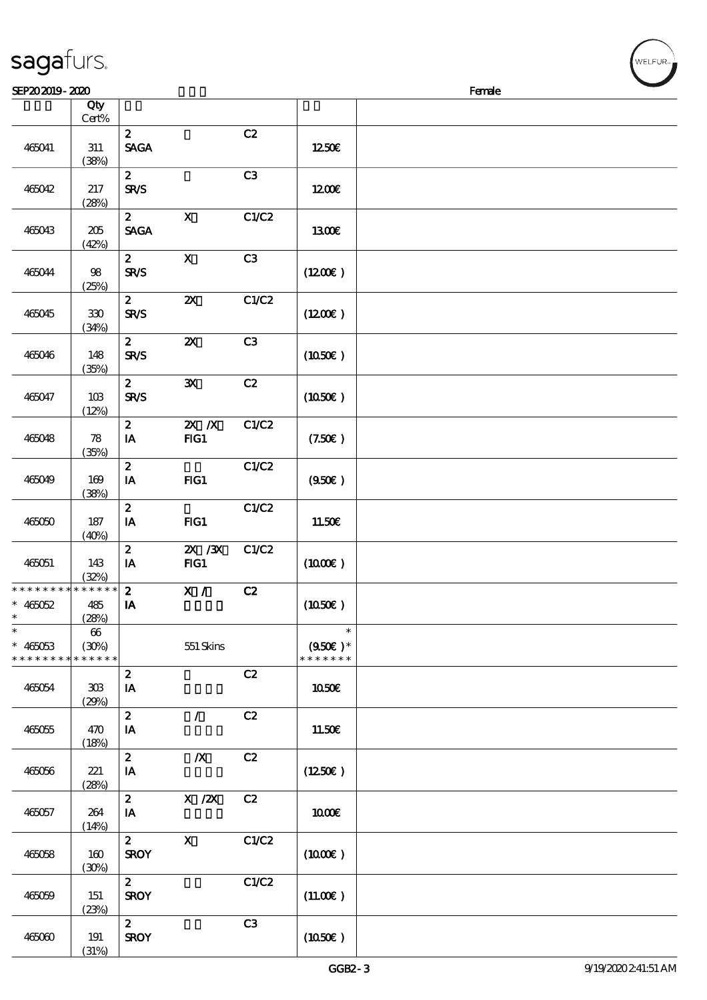| SEP202019-2020                                 |                                     |                                 |                                                     |       |                                              | Female |
|------------------------------------------------|-------------------------------------|---------------------------------|-----------------------------------------------------|-------|----------------------------------------------|--------|
|                                                | Qty<br>$Cert\%$                     |                                 |                                                     |       |                                              |        |
| 465041                                         | 311<br>(38%)                        | $\mathbf{z}$<br><b>SAGA</b>     |                                                     | C2    | 1250€                                        |        |
| 465042                                         | 217<br>(28%)                        | $\boldsymbol{2}$<br><b>SR/S</b> |                                                     | C3    | 1200E                                        |        |
| 465043                                         | 205<br>(42%)                        | $\boldsymbol{z}$<br><b>SAGA</b> | $\mathbf{X}$                                        | C1/C2 | 1300E                                        |        |
| 465044                                         | $98$<br>(25%)                       | $\mathbf{z}$<br><b>SR/S</b>     | $\mathbf X$                                         | C3    | $(1200\varepsilon)$                          |        |
| 465045                                         | $330\,$<br>(34%)                    | $\boldsymbol{2}$<br><b>SR/S</b> | $\boldsymbol{\mathsf{z}}$                           | C1/C2 | (1200)                                       |        |
| 465046                                         | 148<br>(35%)                        | $\boldsymbol{z}$<br><b>SR/S</b> | $\boldsymbol{\mathsf{z}}$                           | C3    | (1050)                                       |        |
| 465047                                         | 10B<br>(12%)                        | $\boldsymbol{z}$<br>SR/S        | ${\bf x}$                                           | C2    | (1050)                                       |        |
| 465048                                         | $\boldsymbol{\mathcal{R}}$<br>(35%) | $\boldsymbol{z}$<br>IA          | $\overline{z}$ X<br>FG1                             | C1/C2 | (7.50)                                       |        |
| 465049                                         | 169<br>(38%)                        | $\mathbf{z}$<br>IA              | FG1                                                 | C1/C2 | (950)                                        |        |
| 465050                                         | 187<br>(40%)                        | $\boldsymbol{z}$<br>IA          | FG1                                                 | C1/C2 | 11.50E                                       |        |
| 465051                                         | 143<br>(32%)                        | $\boldsymbol{z}$<br>IA          | $X$ / $X$<br>$HG1$                                  | C1/C2 | $(1000\varepsilon)$                          |        |
| * * * * * * * * * * * * * *<br>$* 465052$<br>∗ | 485<br>(28%)                        | $\boldsymbol{2}$<br>IA          | X /                                                 | C2    | (1050)                                       |        |
| $\ast$<br>$* 465053$<br>* * * * * * * *        | $66\,$<br>(30%)<br>* * * * * *      |                                 | 551 Skins                                           |       | $\ast$<br>$(950\epsilon)^*$<br>* * * * * * * |        |
| 465054                                         | $30\!\!\!\;\mathrm{B}$<br>(29%)     | $\boldsymbol{z}$<br>IA          |                                                     | C2    | 1050€                                        |        |
| 465055                                         | 470<br>(18%)                        | $\boldsymbol{z}$<br>IA          | $\mathcal{L}$                                       | C2    | 11.50E                                       |        |
| 465056                                         | 221<br>(28%)                        | $\boldsymbol{2}$<br>IA          | $\boldsymbol{X}$                                    | C2    | (1250E)                                      |        |
| 465057                                         | 264<br>(14%)                        | $\boldsymbol{z}$<br>IA          | $\boldsymbol{X}$ / $\boldsymbol{Z}\!\boldsymbol{X}$ | C2    | 1000E                                        |        |
| 465058                                         | 160<br>(30%)                        | $\mathbf{z}$<br><b>SROY</b>     | $\mathbf{x}$                                        | C1/C2 | $(1000\varepsilon)$                          |        |
| 465059                                         | 151<br>(23%)                        | $\mathbf{2}$<br><b>SROY</b>     |                                                     | C1/C2 | (11.00)                                      |        |
| 465060                                         | 191<br>(31%)                        | $\mathbf{2}$<br><b>SROY</b>     |                                                     | C3    | (1050)                                       |        |

√<br>WELFUR<sub>™</sub>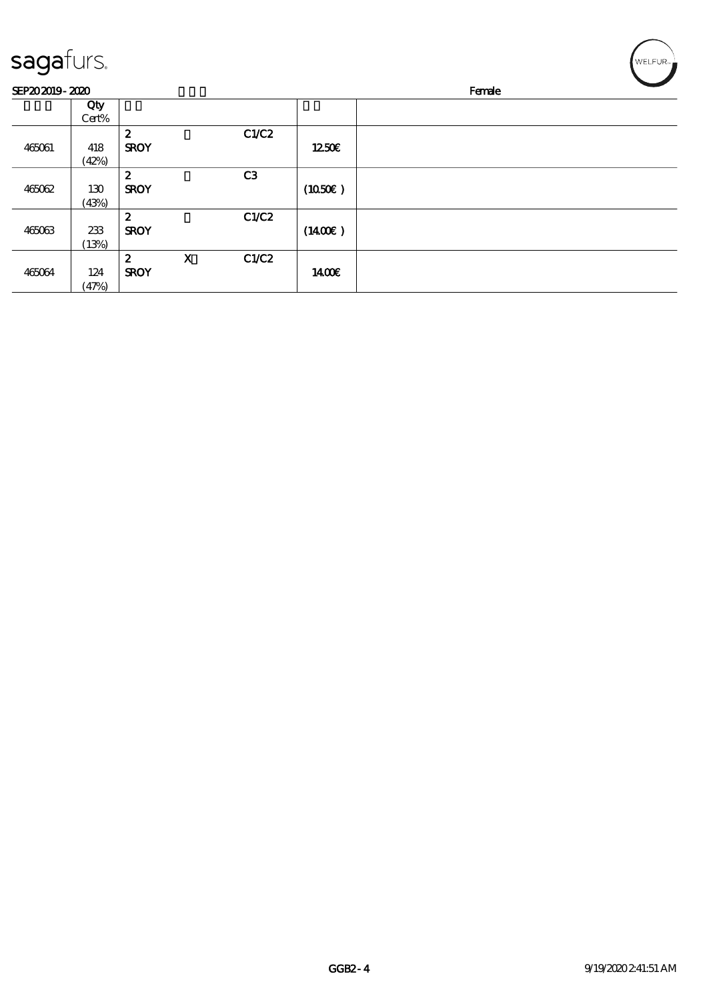| sagafurs.      |       |                  |             |                |                     | WELFUR <sub>"</sub> |
|----------------|-------|------------------|-------------|----------------|---------------------|---------------------|
| SEP202019-2020 |       |                  |             |                |                     | Female              |
|                | Qty   |                  |             |                |                     |                     |
|                | Cert% |                  |             |                |                     |                     |
|                |       | $\boldsymbol{2}$ |             | C1/C2          |                     |                     |
| 465061         | 418   | <b>SROY</b>      |             |                | 1250E               |                     |
|                | (42%) |                  |             |                |                     |                     |
|                |       | $\boldsymbol{z}$ |             | C <sub>3</sub> |                     |                     |
| 465062         | 130   | <b>SROY</b>      |             |                | $(1050\epsilon)$    |                     |
|                | (43%) |                  |             |                |                     |                     |
|                |       | $\boldsymbol{z}$ |             | C1/C2          |                     |                     |
| 465063         | 233   | <b>SROY</b>      |             |                | $(1400\varepsilon)$ |                     |
|                | (13%) |                  |             |                |                     |                     |
|                |       | $\boldsymbol{z}$ | $\mathbf X$ | C1/C2          |                     |                     |
| 465064         | 124   | <b>SROY</b>      |             |                | 1400€               |                     |
|                | (47%) |                  |             |                |                     |                     |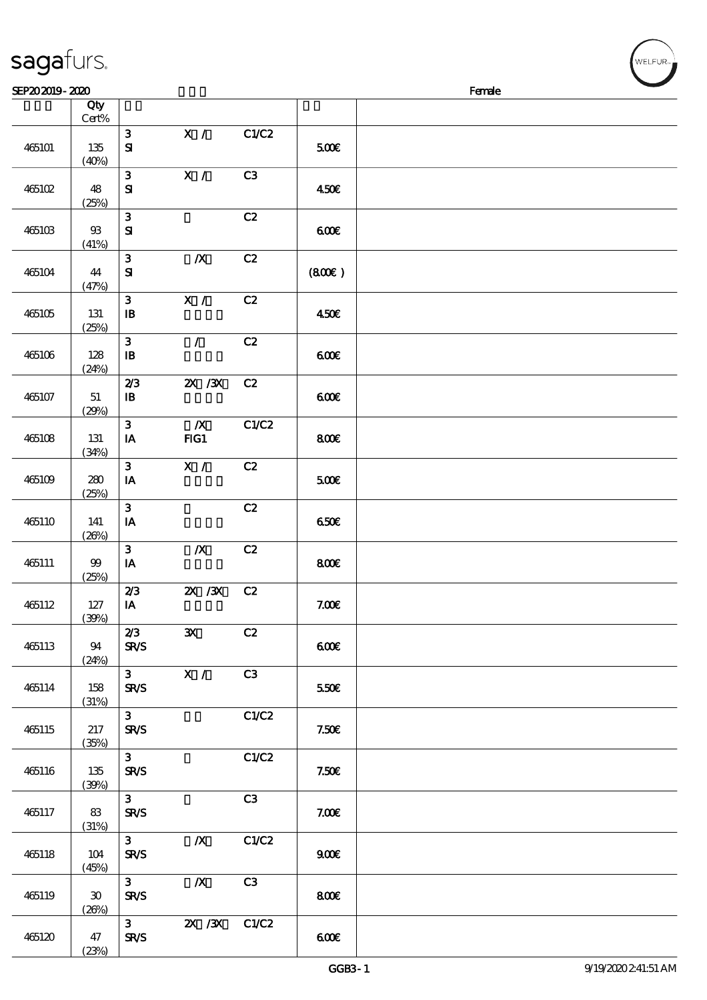| sagafurs.      |                  |                                        |                         |                |       | WELFUR <sub>™</sub> |
|----------------|------------------|----------------------------------------|-------------------------|----------------|-------|---------------------|
| SEP202019-2020 |                  |                                        |                         |                |       | Female              |
|                | Qty<br>Cert%     |                                        |                         |                |       |                     |
| 465101         | $135\,$<br>(40%) | $\mathbf{3}$<br>$\mathbf{S}$           | X /                     | C1/C2          | 500€  |                     |
| 465102         | 48<br>(25%)      | 3<br>$\mathbf{S}$                      | X /                     | C <sub>3</sub> | 450€  |                     |
| 465103         | $93\,$<br>(41%)  | 3<br>${\bf S}$                         |                         | C2             | 600   |                     |
| 465104         | 44<br>(47%)      | 3<br>$\mathbf{S}$                      | $\boldsymbol{X}$        | C2             | (800) |                     |
| 465105         | 131<br>(25%)     | 3<br>$\mathbf{B}$                      | X /                     | C2             | 450€  |                     |
| 465106         | 128<br>(24%)     | 3<br>$\mathbf{I}$                      | $\overline{1}$          | C2             | 6000  |                     |
| 465107         | $5\!1$<br>(29%)  | 2/3<br>$\, {\bf I} \! {\bf B} \,$      | $X \, X$                | C2             | 600   |                     |
| 465108         | 131<br>(34%)     | 3<br>$\mathbf{I}\mathbf{A}$            | $\boldsymbol{X}$<br>FG1 | C1/C2          | 800€  |                     |
| 465109         | 280<br>(25%)     | $\mathbf{3}$<br>$\mathbf{I}\mathbf{A}$ | X /                     | C2             | 500€  |                     |
| 465110         | 141<br>(20%)     | 3<br>$\mathbf{I}\mathbf{A}$            |                         | C2             | 650E  |                     |
| 465111         | $99$<br>(25%)    | 3<br>$\mathbf{I}\mathbf{A}$            | $\boldsymbol{X}$        | C2             | 800   |                     |
| 465112         | $127\,$          | 2/3<br>${\bf I} {\bf A}$               | $X \, X$                | C2             | 7.006 |                     |

|        |                      |                               |                  |       | <b>GGB3-1</b> | 9/19/2020 241:51 AM |
|--------|----------------------|-------------------------------|------------------|-------|---------------|---------------------|
|        | (23%)                |                               |                  |       |               |                     |
| 465120 | $47\,$               | 3 <sup>1</sup><br><b>SR/S</b> | $X \, X$         | C1/C2 | 600           |                     |
|        | (20%)                |                               |                  |       |               |                     |
| 465119 | $\pmb{\mathfrak{V}}$ | <b>SR/S</b>                   |                  |       | 800€          |                     |
|        |                      | $\mathbf{3}$                  | $\boldsymbol{X}$ | C3    |               |                     |
| 465118 | $104$<br>(45%)       | <b>SR/S</b>                   |                  |       | 900E          |                     |
|        |                      | $\mathbf{3}$                  | $\boldsymbol{X}$ | C1/C2 |               |                     |
|        | (31%)                |                               |                  |       |               |                     |
| 465117 | $83\,$               | <b>SR/S</b>                   |                  |       | 7.006         |                     |
|        |                      | $\mathbf{3}$                  |                  | C3    |               |                     |
| 465116 | 135<br>(30%)         | <b>SR/S</b>                   |                  |       | 7.50E         |                     |
|        |                      | $\mathbf{3}$                  |                  | C1/C2 |               |                     |
|        | (35%)                |                               |                  |       |               |                     |
| 465115 | 217                  | <b>SR/S</b>                   |                  |       | 7.50E         |                     |
|        | (31%)                | $\mathbf{3}$                  |                  | C1/C2 |               |                     |
| 465114 | 158                  | <b>SR/S</b>                   |                  |       | 550€          |                     |
|        |                      | 3 <sup>1</sup>                | $\bar{x}$ /      | C3    |               |                     |
|        | (24%)                |                               |                  |       |               |                     |
| 465113 | 94                   | 2/3<br><b>SR/S</b>            | ${\bf x}$        | C2    | 600           |                     |
|        | (30%)                |                               |                  |       |               |                     |
| 465112 | 127                  | IA                            |                  |       | 7.00E         |                     |
|        | (25%)                | 2/3                           | $X \, X$         | C2    |               |                     |
| 465111 | $99$                 | $\mathbf{I}\mathbf{A}$        |                  |       | 800E          |                     |
|        |                      | $\mathbf{3}$                  | $\boldsymbol{X}$ | C2    |               |                     |
|        | (20%)                |                               |                  |       |               |                     |
| 465110 | 141                  | $\mathbf{3}$<br>IA            |                  | C2    | 650E          |                     |
|        | (25%)                |                               |                  |       |               |                     |
| 465109 | 280                  | $\mathbf{I}\mathbf{A}$        |                  |       | 5000          |                     |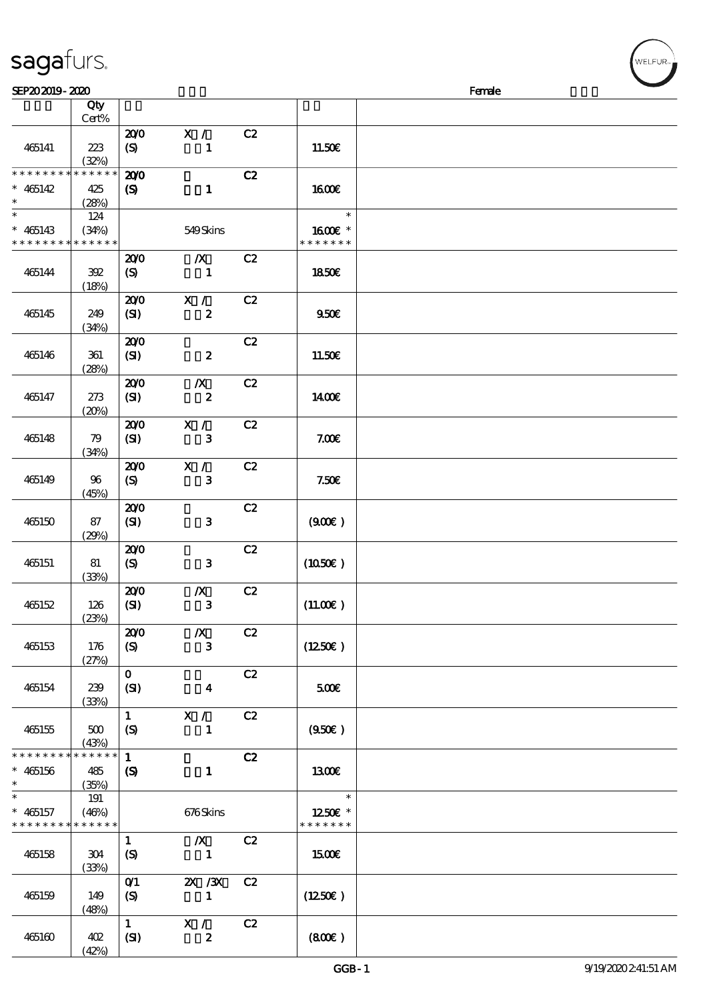| <b>saga</b> furs. |
|-------------------|
|-------------------|

(42%)

| SEP202019-2020                             |              |                            |                                             |    |                     | Female |  |
|--------------------------------------------|--------------|----------------------------|---------------------------------------------|----|---------------------|--------|--|
|                                            | Qty          |                            |                                             |    |                     |        |  |
|                                            | Cert%        |                            |                                             |    |                     |        |  |
|                                            |              | 200                        | X /                                         | C2 |                     |        |  |
| 465141                                     | 223          | $\boldsymbol{S}$           | $\mathbf{1}$                                |    | 11.50€              |        |  |
|                                            | (32%)        |                            |                                             |    |                     |        |  |
| * * * * * * * * * * * * * *                |              | 200                        |                                             | C2 |                     |        |  |
| $* 465142$                                 | 425          | $\boldsymbol{S}$           | $\mathbf{1}$                                |    | 1600E               |        |  |
| $\ast$                                     | (28%)        |                            |                                             |    |                     |        |  |
| $\ast$                                     | 124          |                            |                                             |    | $\ast$              |        |  |
| $* 465143$                                 | (34%)        |                            | 549Skins                                    |    | 1600E *             |        |  |
| * * * * * * * * * * * * * *                |              |                            |                                             |    | * * * * * * *       |        |  |
|                                            |              | 200                        | $\boldsymbol{X}$                            | C2 |                     |        |  |
| 465144                                     | 392          | (S)                        | $\mathbf{1}$                                |    | <b>1850€</b>        |        |  |
|                                            | (18%)        |                            |                                             |    |                     |        |  |
|                                            |              | 200                        | X / C                                       | C2 |                     |        |  |
| 465145                                     | 249          | (SI)                       | $\boldsymbol{z}$                            |    | 950E                |        |  |
|                                            | (34%)        |                            |                                             |    |                     |        |  |
|                                            |              | 200                        |                                             | C2 |                     |        |  |
| 465146                                     | 361<br>(28%) | (SI)                       | $\boldsymbol{z}$                            |    | 11.50E              |        |  |
|                                            |              | 200                        | $\boldsymbol{X}$                            | C2 |                     |        |  |
| 465147                                     | 273          | (SI)                       | $\boldsymbol{z}$                            |    | 1400E               |        |  |
|                                            | (20%)        |                            |                                             |    |                     |        |  |
|                                            |              | 200                        | X /                                         | C2 |                     |        |  |
| 465148                                     | 79           | (SI)                       | $\mathbf{3}$                                |    | 7.006               |        |  |
|                                            | (34%)        |                            |                                             |    |                     |        |  |
|                                            |              | 200                        | X /                                         | C2 |                     |        |  |
| 465149                                     | 96           | (S)                        | $\mathbf{3}$                                |    | 7.50E               |        |  |
|                                            | (45%)        |                            |                                             |    |                     |        |  |
|                                            |              | 200                        |                                             | C2 |                     |        |  |
| 465150                                     | 87           | (SI)                       | $\mathbf{3}$                                |    | (900)               |        |  |
|                                            | (29%)        |                            |                                             |    |                     |        |  |
|                                            |              | 200                        |                                             | C2 |                     |        |  |
| 465151                                     | 81           | (S)                        | $\mathbf{3}$                                |    | $(1050\varepsilon)$ |        |  |
|                                            | (33%)        |                            |                                             |    |                     |        |  |
|                                            |              | 200                        | $\boldsymbol{X}$                            | C2 |                     |        |  |
| 465152                                     | 126          | (SI)                       | ${\bf 3}$                                   |    | (11.00)             |        |  |
|                                            | (23%)        |                            |                                             |    |                     |        |  |
| 465153                                     | 176          | 200<br>(S)                 | $\boldsymbol{X}$<br>$\mathbf{3}$            | C2 | (1250E)             |        |  |
|                                            | (27%)        |                            |                                             |    |                     |        |  |
|                                            |              | $\mathbf{O}$               |                                             | C2 |                     |        |  |
| 465154                                     | 239          | (SI)                       | $\boldsymbol{4}$                            |    | 500                 |        |  |
|                                            | (33%)        |                            |                                             |    |                     |        |  |
|                                            |              | $\mathbf{1}$               | X /                                         | C2 |                     |        |  |
| 465155                                     | 500          | (S)                        | $\mathbf{1}$                                |    | (950)               |        |  |
|                                            | (43%)        |                            |                                             |    |                     |        |  |
| * * * * * * * * <mark>* * * * * * *</mark> |              | $\mathbf{1}$               |                                             | C2 |                     |        |  |
| $* 465156$                                 | 485          | $\boldsymbol{\mathcal{S}}$ | $\mathbf{1}$                                |    | 1300E               |        |  |
| $\ast$                                     | (35%)        |                            |                                             |    |                     |        |  |
| $\ast$                                     | 191          |                            |                                             |    | $\ast$              |        |  |
| $* 465157$                                 | (46%)        |                            | 676Skins                                    |    | 1250E *             |        |  |
| * * * * * * * * * * * * * *                |              |                            |                                             |    | * * * * * * *       |        |  |
|                                            |              | $\mathbf{1}$               | $\boldsymbol{X}$                            | C2 |                     |        |  |
| 465158                                     | 304          | (S)                        | $\blacksquare$                              |    | 1500€               |        |  |
|                                            | (33%)        |                            |                                             | C2 |                     |        |  |
| 465159                                     | 149          | O(1)<br>(S)                | $\mathbf{X}$ / $\mathbf{X}$<br>$\mathbf{1}$ |    | (1250E)             |        |  |
|                                            | (48%)        |                            |                                             |    |                     |        |  |
|                                            |              | $\mathbf{1}$               | X /                                         | C2 |                     |        |  |
| 465160                                     | 402          | (SI)                       | $\boldsymbol{z}$                            |    | (800)               |        |  |

ELFUR-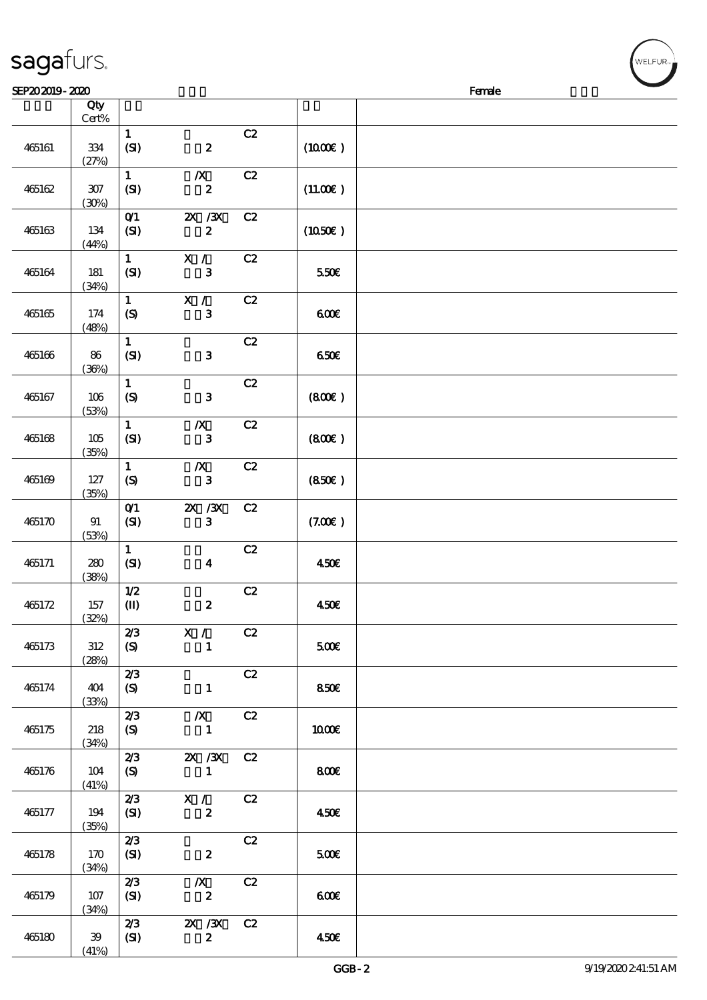|        | Cert%            |                                  |                                      |    |                  |  |
|--------|------------------|----------------------------------|--------------------------------------|----|------------------|--|
| 465161 | $334\,$<br>(27%) | $\mathbf{1}$<br>(SI)             | $\pmb{2}$                            | C2 | (1000E)          |  |
| 465162 | $307\,$<br>(30%) | $\mathbf{1}$<br>(SI)             | $\boldsymbol{X}$<br>$\boldsymbol{z}$ | C2 | (11.00)          |  |
| 465163 | 134<br>(44%)     | O(1)<br>(SI)                     | $X \, X$<br>$\boldsymbol{z}$         | C2 | $(1050\epsilon)$ |  |
| 465164 | 181<br>(34%)     | $\mathbf{1}$<br>(SI)             | X /<br>3                             | C2 | 550€             |  |
| 465165 | 174<br>(48%)     | $\mathbf{1}$<br>$\boldsymbol{S}$ | $\mathbf{X}$ /<br>$\mathbf{3}$       | C2 | 600              |  |
| 465166 | 86<br>(36%)      | $\mathbf{1}$<br>(SI)             | $\mathbf{3}$                         | C2 | 650E             |  |
| 465167 | $106$<br>(53%)   | $\mathbf{1}$<br>(S)              | $\mathbf{3}$                         | C2 | (800)            |  |
| 465168 | 105<br>(35%)     | $\mathbf{1}$<br>(SI)             | $\boldsymbol{X}$<br>$\mathbf{3}$     | C2 | (800)            |  |
| 465169 | 127<br>(35%)     | $\mathbf{1}$<br>$\boldsymbol{S}$ | $\boldsymbol{X}$<br>$\mathbf{3}$     | C2 | (850)            |  |
| 465170 | 91<br>(53%)      | O(1)<br>(SI)                     | $ZX$ / $ZX$<br>$\mathbf{3}$          | C2 | (7.00)           |  |
| 465171 | 280<br>(38%)     | $\mathbf{1}$<br>(SI)             | $\boldsymbol{4}$                     | C2 | 450€             |  |
| 465172 | 157<br>(32%)     | $1/2$<br>$\mathbf{I}$            | $\boldsymbol{z}$                     | C2 | 450€             |  |
| 465173 | $312\,$<br>(28%) | 2/3<br>(S)                       | X /<br>$\mathbf{1}$                  | C2 | $5000$           |  |
| 465174 | 404<br>(33%)     | 2/3<br>(S)                       | $\mathbf{1}$                         | C2 | 850€             |  |
| 465175 | 218<br>(34%)     | 2/3<br>(S)                       | $\boldsymbol{X}$<br>$\mathbf{1}$     | C2 | 1000E            |  |
| 465176 | 104<br>(41%)     | 2/3<br>(S)                       | $X \, X$<br>$\mathbf{1}$             | C2 | 800€             |  |
| 465177 | 194<br>(35%)     | 2/3<br>(SI)                      | X /<br>$\boldsymbol{z}$              | C2 | 450E             |  |
| 465178 | 170<br>(34%)     | 2/3<br>(S)                       | $\boldsymbol{z}$                     | C2 | 500              |  |
| 465179 | 107              | 2/3<br>(SI)                      | $\boldsymbol{X}$<br>$\boldsymbol{2}$ | C2 | 600              |  |

 $SEP202019 - 2020$ 

说明 价格

顺序号 Qty

465180 39

(34%)

2/3 2X /3X C2

(SI)  $2 \t 450 \t 6$ 

 $(41%)$ 

GGB-2 9/19/2020 2:41:51 AM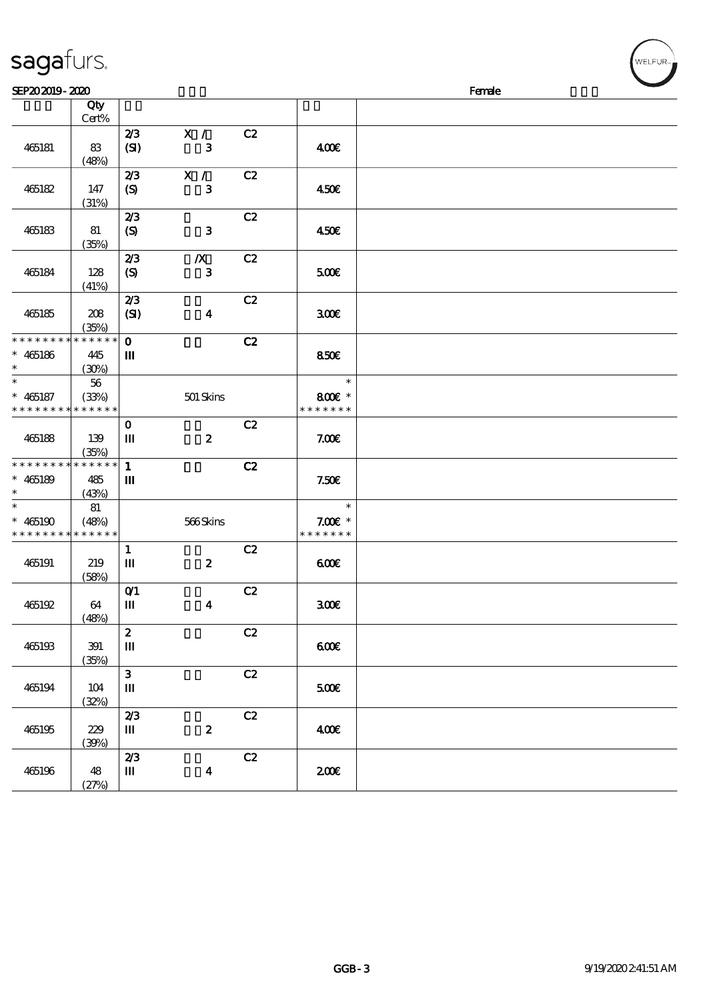| SEP202019-2020                          |                                |                                                    |                                  |               |                                      | Female |
|-----------------------------------------|--------------------------------|----------------------------------------------------|----------------------------------|---------------|--------------------------------------|--------|
|                                         | Qty<br>Cert%                   |                                                    |                                  |               |                                      |        |
| 465181                                  | 83<br>(48%)                    | 2/3<br>(SI)                                        | X /<br>${\bf 3}$                 | C2            | 400                                  |        |
| 465182                                  | 147<br>(31%)                   | 2/3<br>$\boldsymbol{\mathrm{(S)}}$                 | X /<br>${\bf 3}$                 | C2            | 450€                                 |        |
| 465183                                  | 81<br>(35%)                    | 2/3<br>$\boldsymbol{S}$                            | $\mathbf{3}$                     | C2            | 450€                                 |        |
| 465184                                  | 128<br>(41%)                   | 2/3<br>$\boldsymbol{S}$                            | $\boldsymbol{X}$<br>$\mathbf{3}$ | C2            | 500                                  |        |
| 465185                                  | 208<br>(35%)                   | 2/3<br>(SI)                                        | $\boldsymbol{4}$                 | C2            | 300E                                 |        |
| * * * * * * * *<br>$* 465186$<br>$\ast$ | * * * * * *<br>445<br>(30%)    | $\mathbf{o}$<br>Ш                                  |                                  | C2            | 850E                                 |        |
| $\ast$<br>$* 465187$<br>* * * * * * * * | $5\!6$<br>(33%)<br>* * * * * * |                                                    | 501 Skins                        |               | $\ast$<br>800€ *<br>* * * * * * *    |        |
| 465188                                  | 139<br>(35%)                   | $\mathbf 0$<br>$\mathbf m$                         | $\boldsymbol{2}$                 | C2            | 7.00E                                |        |
| * * * * * * * *<br>$* 465189$<br>$\ast$ | * * * * * *<br>485<br>(43%)    | $\mathbf{1}$<br>$\mathbf m$                        |                                  | C2            | 7.50E                                |        |
| $\ast$<br>$* 465190$<br>* * * * * * * * | 81<br>(48%)<br>* * * * * *     |                                                    | 566Skins                         |               | $\ast$<br>$7.00E$ *<br>* * * * * * * |        |
| 465191                                  | 219<br>(58%)                   | $\mathbf{1}$<br>Ш                                  | $\pmb{2}$                        | C2            | 600                                  |        |
| 465192                                  | 64<br>(48%)                    | $O$ <sup><math>\prime</math></sup><br>$\mathbf{m}$ | $\boldsymbol{4}$                 | C2            | 300E                                 |        |
| 465193                                  | 391<br>(35%)                   | $\boldsymbol{z}$<br>$\mathbf m$                    |                                  | C2            | 600E                                 |        |
| 465194                                  | 104<br>(32%)                   | $\mathbf{3}$<br>$\mathbf m$                        |                                  | C2            | 500€                                 |        |
| 465195                                  | 229<br>(30%)                   | 2/3<br>$\mathbf{m}$                                | $\boldsymbol{2}$                 | $\mathbf{C2}$ | 400€                                 |        |
| 465196                                  | 48<br>(27%)                    | 2/3<br>$\mathbf m$                                 | $\boldsymbol{4}$                 | $\mathbf{C2}$ | 200E                                 |        |